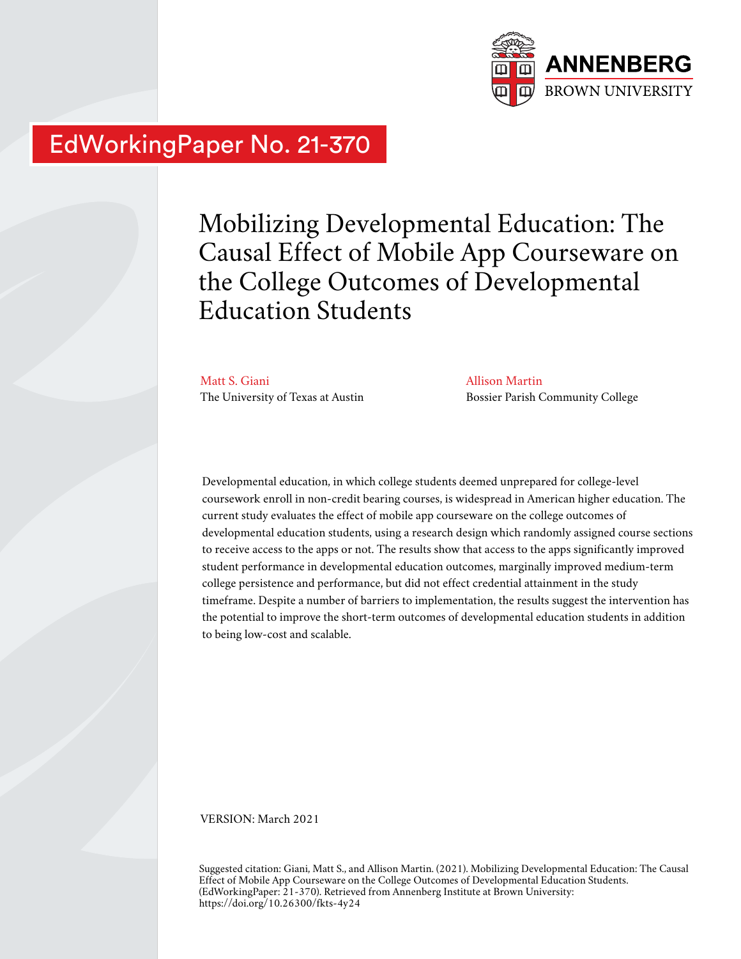

# EdWorkingPaper No. 21-370

Mobilizing Developmental Education: The Causal Effect of Mobile App Courseware on the College Outcomes of Developmental Education Students

Matt S. Giani The University of Texas at Austin Allison Martin Bossier Parish Community College

Developmental education, in which college students deemed unprepared for college-level coursework enroll in non-credit bearing courses, is widespread in American higher education. The current study evaluates the effect of mobile app courseware on the college outcomes of developmental education students, using a research design which randomly assigned course sections to receive access to the apps or not. The results show that access to the apps significantly improved student performance in developmental education outcomes, marginally improved medium-term college persistence and performance, but did not effect credential attainment in the study timeframe. Despite a number of barriers to implementation, the results suggest the intervention has the potential to improve the short-term outcomes of developmental education students in addition to being low-cost and scalable.

VERSION: March 2021

Suggested citation: Giani, Matt S., and Allison Martin. (2021). Mobilizing Developmental Education: The Causal Effect of Mobile App Courseware on the College Outcomes of Developmental Education Students. (EdWorkingPaper: 21-370). Retrieved from Annenberg Institute at Brown University: https://doi.org/10.26300/fkts-4y24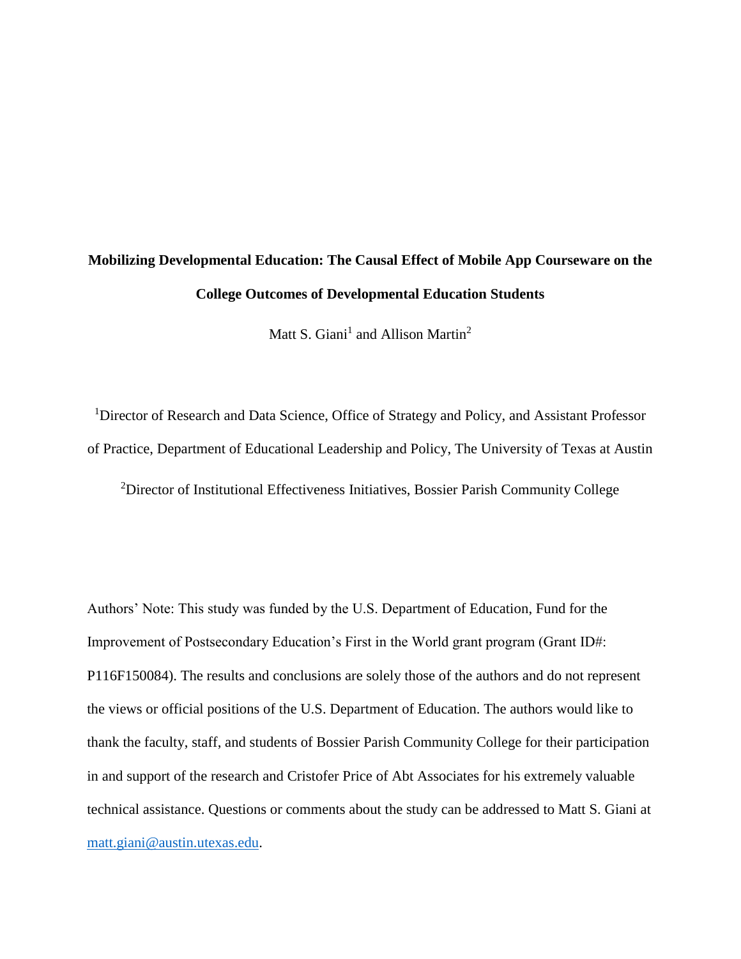# **Mobilizing Developmental Education: The Causal Effect of Mobile App Courseware on the College Outcomes of Developmental Education Students**

Matt S. Giani<sup>1</sup> and Allison Martin<sup>2</sup>

<sup>1</sup>Director of Research and Data Science, Office of Strategy and Policy, and Assistant Professor of Practice, Department of Educational Leadership and Policy, The University of Texas at Austin <sup>2</sup>Director of Institutional Effectiveness Initiatives, Bossier Parish Community College

Authors' Note: This study was funded by the U.S. Department of Education, Fund for the Improvement of Postsecondary Education's First in the World grant program (Grant ID#: P116F150084). The results and conclusions are solely those of the authors and do not represent the views or official positions of the U.S. Department of Education. The authors would like to thank the faculty, staff, and students of Bossier Parish Community College for their participation in and support of the research and Cristofer Price of Abt Associates for his extremely valuable technical assistance. Questions or comments about the study can be addressed to Matt S. Giani at [matt.giani@austin.utexas.edu.](mailto:matt.giani@austin.utexas.edu)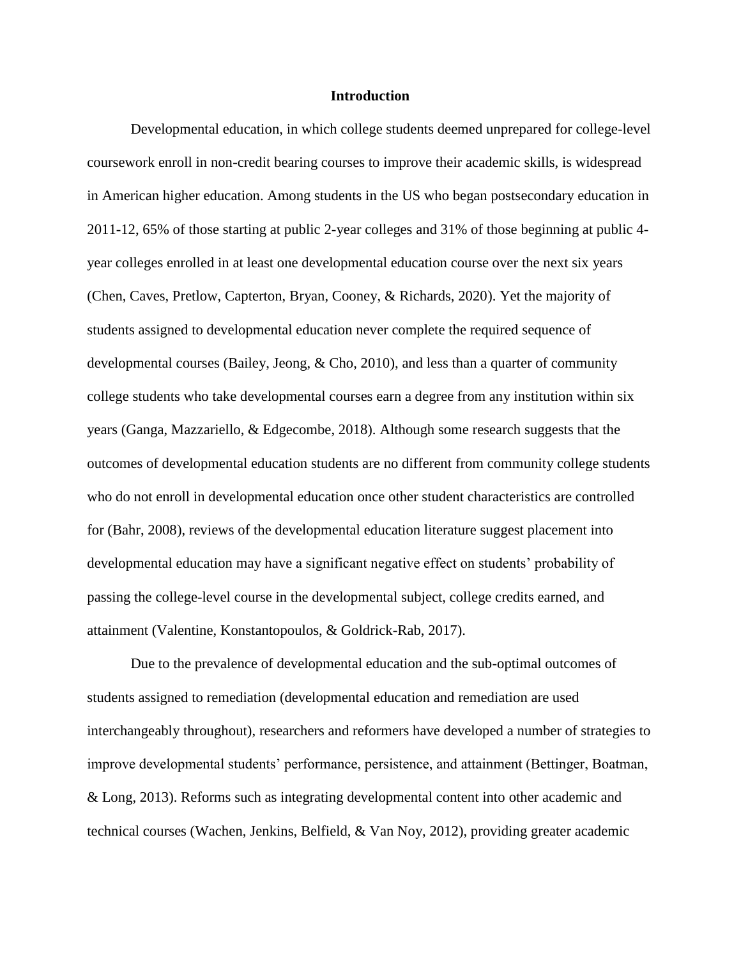#### **Introduction**

Developmental education, in which college students deemed unprepared for college-level coursework enroll in non-credit bearing courses to improve their academic skills, is widespread in American higher education. Among students in the US who began postsecondary education in 2011-12, 65% of those starting at public 2-year colleges and 31% of those beginning at public 4 year colleges enrolled in at least one developmental education course over the next six years (Chen, Caves, Pretlow, Capterton, Bryan, Cooney, & Richards, 2020). Yet the majority of students assigned to developmental education never complete the required sequence of developmental courses (Bailey, Jeong, & Cho, 2010), and less than a quarter of community college students who take developmental courses earn a degree from any institution within six years (Ganga, Mazzariello, & Edgecombe, 2018). Although some research suggests that the outcomes of developmental education students are no different from community college students who do not enroll in developmental education once other student characteristics are controlled for (Bahr, 2008), reviews of the developmental education literature suggest placement into developmental education may have a significant negative effect on students' probability of passing the college-level course in the developmental subject, college credits earned, and attainment (Valentine, Konstantopoulos, & Goldrick-Rab, 2017).

Due to the prevalence of developmental education and the sub-optimal outcomes of students assigned to remediation (developmental education and remediation are used interchangeably throughout), researchers and reformers have developed a number of strategies to improve developmental students' performance, persistence, and attainment (Bettinger, Boatman, & Long, 2013). Reforms such as integrating developmental content into other academic and technical courses (Wachen, Jenkins, Belfield, & Van Noy, 2012), providing greater academic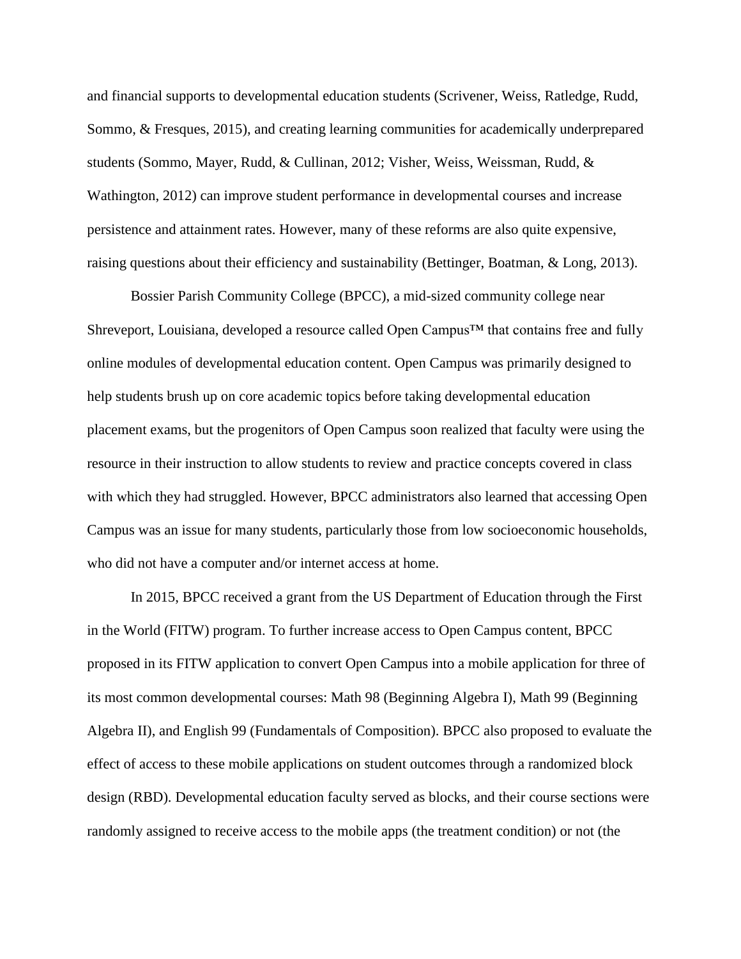and financial supports to developmental education students (Scrivener, Weiss, Ratledge, Rudd, Sommo, & Fresques, 2015), and creating learning communities for academically underprepared students (Sommo, Mayer, Rudd, & Cullinan, 2012; Visher, Weiss, Weissman, Rudd, & Wathington, 2012) can improve student performance in developmental courses and increase persistence and attainment rates. However, many of these reforms are also quite expensive, raising questions about their efficiency and sustainability (Bettinger, Boatman, & Long, 2013).

Bossier Parish Community College (BPCC), a mid-sized community college near Shreveport, Louisiana, developed a resource called Open Campus<sup>™</sup> that contains free and fully online modules of developmental education content. Open Campus was primarily designed to help students brush up on core academic topics before taking developmental education placement exams, but the progenitors of Open Campus soon realized that faculty were using the resource in their instruction to allow students to review and practice concepts covered in class with which they had struggled. However, BPCC administrators also learned that accessing Open Campus was an issue for many students, particularly those from low socioeconomic households, who did not have a computer and/or internet access at home.

In 2015, BPCC received a grant from the US Department of Education through the First in the World (FITW) program. To further increase access to Open Campus content, BPCC proposed in its FITW application to convert Open Campus into a mobile application for three of its most common developmental courses: Math 98 (Beginning Algebra I), Math 99 (Beginning Algebra II), and English 99 (Fundamentals of Composition). BPCC also proposed to evaluate the effect of access to these mobile applications on student outcomes through a randomized block design (RBD). Developmental education faculty served as blocks, and their course sections were randomly assigned to receive access to the mobile apps (the treatment condition) or not (the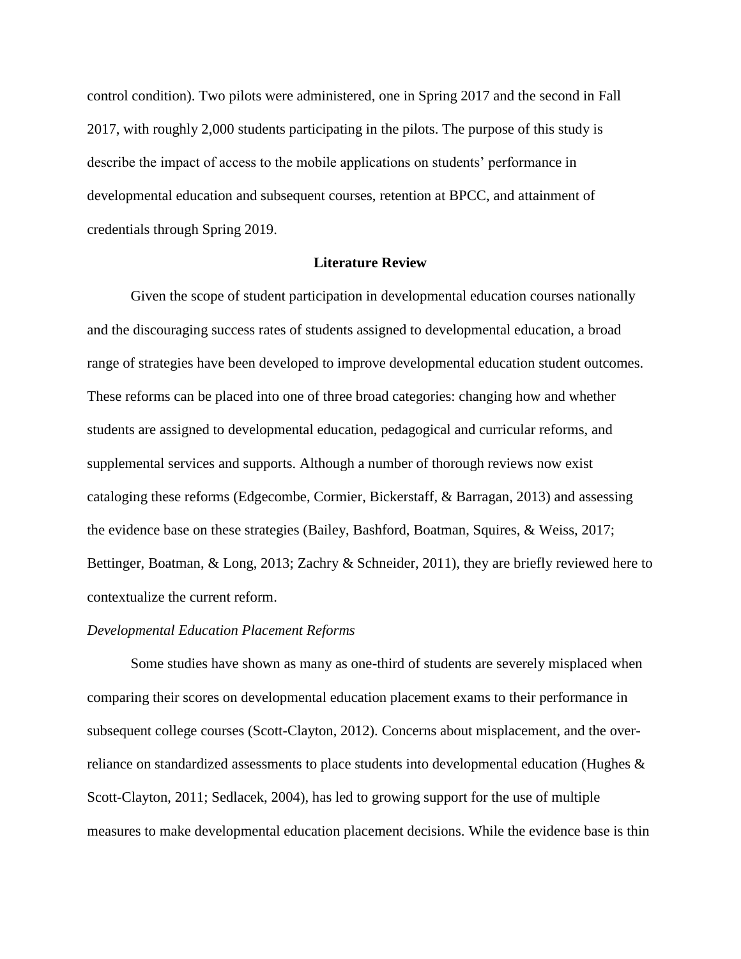control condition). Two pilots were administered, one in Spring 2017 and the second in Fall 2017, with roughly 2,000 students participating in the pilots. The purpose of this study is describe the impact of access to the mobile applications on students' performance in developmental education and subsequent courses, retention at BPCC, and attainment of credentials through Spring 2019.

# **Literature Review**

Given the scope of student participation in developmental education courses nationally and the discouraging success rates of students assigned to developmental education, a broad range of strategies have been developed to improve developmental education student outcomes. These reforms can be placed into one of three broad categories: changing how and whether students are assigned to developmental education, pedagogical and curricular reforms, and supplemental services and supports. Although a number of thorough reviews now exist cataloging these reforms (Edgecombe, Cormier, Bickerstaff, & Barragan, 2013) and assessing the evidence base on these strategies (Bailey, Bashford, Boatman, Squires, & Weiss, 2017; Bettinger, Boatman, & Long, 2013; Zachry & Schneider, 2011), they are briefly reviewed here to contextualize the current reform.

#### *Developmental Education Placement Reforms*

Some studies have shown as many as one-third of students are severely misplaced when comparing their scores on developmental education placement exams to their performance in subsequent college courses (Scott-Clayton, 2012). Concerns about misplacement, and the overreliance on standardized assessments to place students into developmental education (Hughes & Scott-Clayton, 2011; Sedlacek, 2004), has led to growing support for the use of multiple measures to make developmental education placement decisions. While the evidence base is thin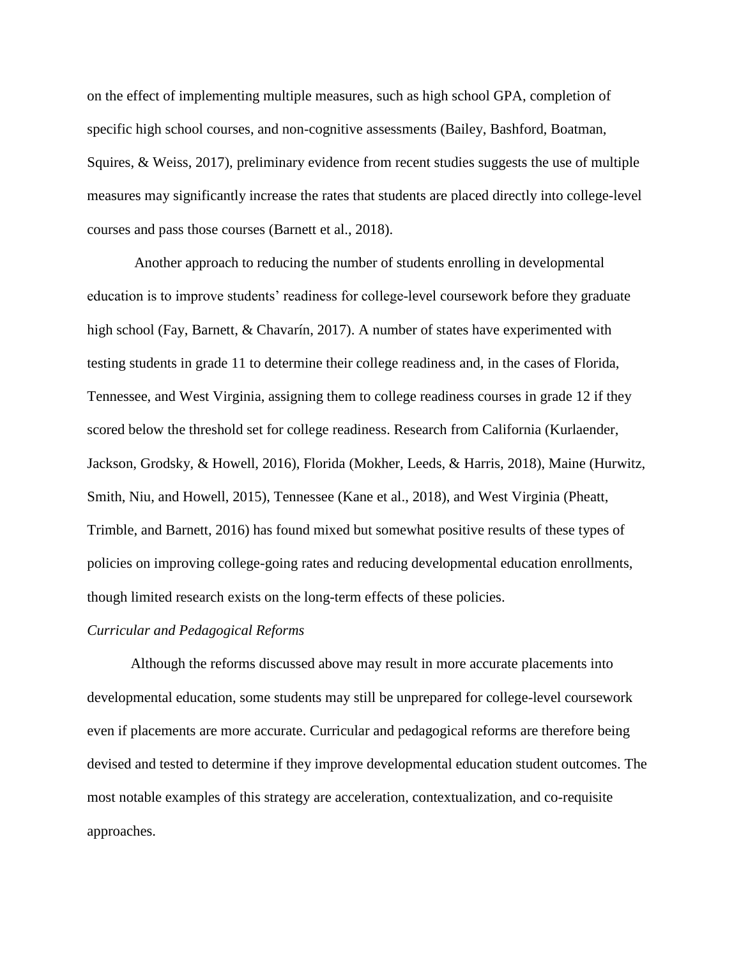on the effect of implementing multiple measures, such as high school GPA, completion of specific high school courses, and non-cognitive assessments (Bailey, Bashford, Boatman, Squires, & Weiss, 2017), preliminary evidence from recent studies suggests the use of multiple measures may significantly increase the rates that students are placed directly into college-level courses and pass those courses (Barnett et al., 2018).

Another approach to reducing the number of students enrolling in developmental education is to improve students' readiness for college-level coursework before they graduate high school (Fay, Barnett, & Chavarín, 2017). A number of states have experimented with testing students in grade 11 to determine their college readiness and, in the cases of Florida, Tennessee, and West Virginia, assigning them to college readiness courses in grade 12 if they scored below the threshold set for college readiness. Research from California (Kurlaender, Jackson, Grodsky, & Howell, 2016), Florida (Mokher, Leeds, & Harris, 2018), Maine (Hurwitz, Smith, Niu, and Howell, 2015), Tennessee (Kane et al., 2018), and West Virginia (Pheatt, Trimble, and Barnett, 2016) has found mixed but somewhat positive results of these types of policies on improving college-going rates and reducing developmental education enrollments, though limited research exists on the long-term effects of these policies.

#### *Curricular and Pedagogical Reforms*

Although the reforms discussed above may result in more accurate placements into developmental education, some students may still be unprepared for college-level coursework even if placements are more accurate. Curricular and pedagogical reforms are therefore being devised and tested to determine if they improve developmental education student outcomes. The most notable examples of this strategy are acceleration, contextualization, and co-requisite approaches.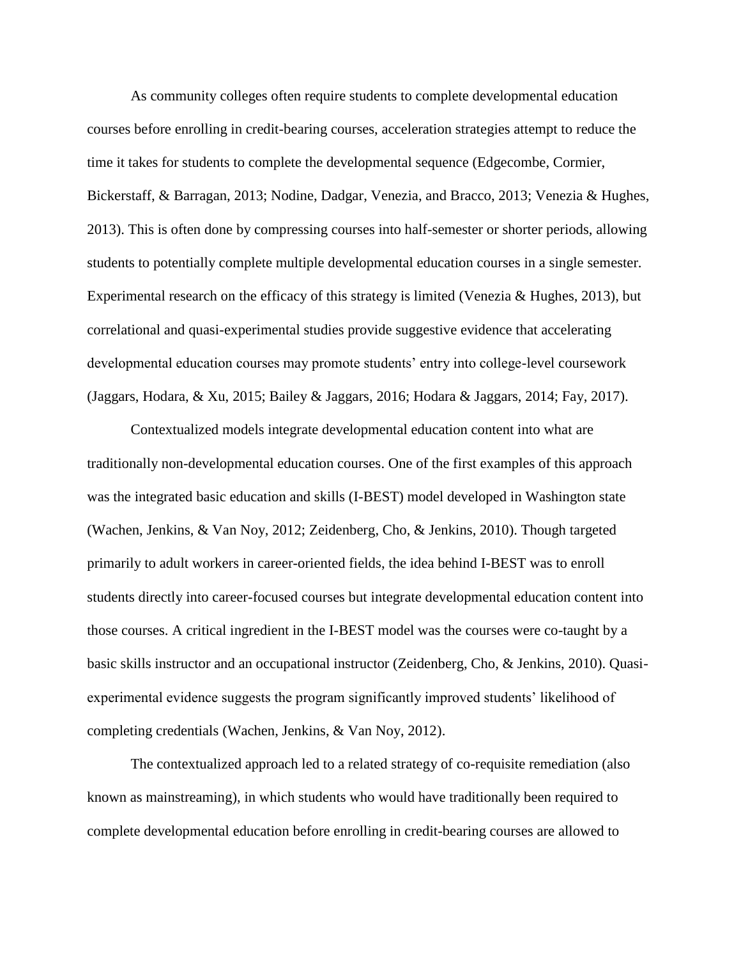As community colleges often require students to complete developmental education courses before enrolling in credit-bearing courses, acceleration strategies attempt to reduce the time it takes for students to complete the developmental sequence (Edgecombe, Cormier, Bickerstaff, & Barragan, 2013; Nodine, Dadgar, Venezia, and Bracco, 2013; Venezia & Hughes, 2013). This is often done by compressing courses into half-semester or shorter periods, allowing students to potentially complete multiple developmental education courses in a single semester. Experimental research on the efficacy of this strategy is limited (Venezia & Hughes, 2013), but correlational and quasi-experimental studies provide suggestive evidence that accelerating developmental education courses may promote students' entry into college-level coursework (Jaggars, Hodara, & Xu, 2015; Bailey & Jaggars, 2016; Hodara & Jaggars, 2014; Fay, 2017).

Contextualized models integrate developmental education content into what are traditionally non-developmental education courses. One of the first examples of this approach was the integrated basic education and skills (I-BEST) model developed in Washington state (Wachen, Jenkins, & Van Noy, 2012; Zeidenberg, Cho, & Jenkins, 2010). Though targeted primarily to adult workers in career-oriented fields, the idea behind I-BEST was to enroll students directly into career-focused courses but integrate developmental education content into those courses. A critical ingredient in the I-BEST model was the courses were co-taught by a basic skills instructor and an occupational instructor (Zeidenberg, Cho, & Jenkins, 2010). Quasiexperimental evidence suggests the program significantly improved students' likelihood of completing credentials (Wachen, Jenkins, & Van Noy, 2012).

The contextualized approach led to a related strategy of co-requisite remediation (also known as mainstreaming), in which students who would have traditionally been required to complete developmental education before enrolling in credit-bearing courses are allowed to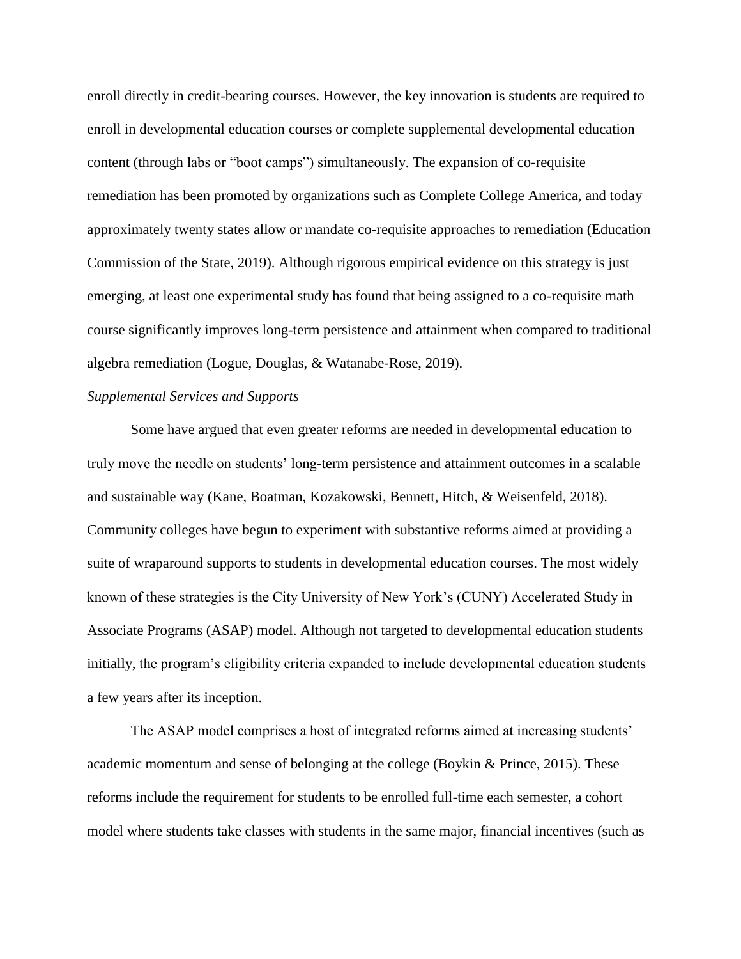enroll directly in credit-bearing courses. However, the key innovation is students are required to enroll in developmental education courses or complete supplemental developmental education content (through labs or "boot camps") simultaneously. The expansion of co-requisite remediation has been promoted by organizations such as Complete College America, and today approximately twenty states allow or mandate co-requisite approaches to remediation (Education Commission of the State, 2019). Although rigorous empirical evidence on this strategy is just emerging, at least one experimental study has found that being assigned to a co-requisite math course significantly improves long-term persistence and attainment when compared to traditional algebra remediation (Logue, Douglas, & Watanabe-Rose, 2019).

# *Supplemental Services and Supports*

Some have argued that even greater reforms are needed in developmental education to truly move the needle on students' long-term persistence and attainment outcomes in a scalable and sustainable way (Kane, Boatman, Kozakowski, Bennett, Hitch, & Weisenfeld, 2018). Community colleges have begun to experiment with substantive reforms aimed at providing a suite of wraparound supports to students in developmental education courses. The most widely known of these strategies is the City University of New York's (CUNY) Accelerated Study in Associate Programs (ASAP) model. Although not targeted to developmental education students initially, the program's eligibility criteria expanded to include developmental education students a few years after its inception.

The ASAP model comprises a host of integrated reforms aimed at increasing students' academic momentum and sense of belonging at the college (Boykin & Prince, 2015). These reforms include the requirement for students to be enrolled full-time each semester, a cohort model where students take classes with students in the same major, financial incentives (such as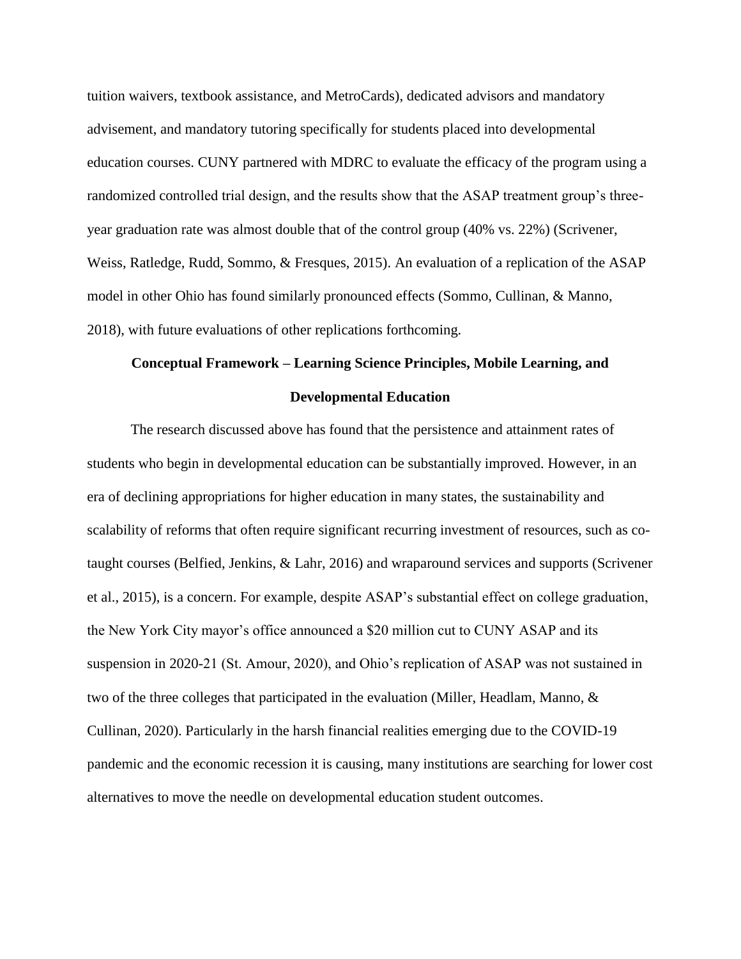tuition waivers, textbook assistance, and MetroCards), dedicated advisors and mandatory advisement, and mandatory tutoring specifically for students placed into developmental education courses. CUNY partnered with MDRC to evaluate the efficacy of the program using a randomized controlled trial design, and the results show that the ASAP treatment group's threeyear graduation rate was almost double that of the control group (40% vs. 22%) (Scrivener, Weiss, Ratledge, Rudd, Sommo, & Fresques, 2015). An evaluation of a replication of the ASAP model in other Ohio has found similarly pronounced effects (Sommo, Cullinan, & Manno, 2018), with future evaluations of other replications forthcoming.

# **Conceptual Framework – Learning Science Principles, Mobile Learning, and Developmental Education**

The research discussed above has found that the persistence and attainment rates of students who begin in developmental education can be substantially improved. However, in an era of declining appropriations for higher education in many states, the sustainability and scalability of reforms that often require significant recurring investment of resources, such as cotaught courses (Belfied, Jenkins, & Lahr, 2016) and wraparound services and supports (Scrivener et al., 2015), is a concern. For example, despite ASAP's substantial effect on college graduation, the New York City mayor's office announced a \$20 million cut to CUNY ASAP and its suspension in 2020-21 (St. Amour, 2020), and Ohio's replication of ASAP was not sustained in two of the three colleges that participated in the evaluation (Miller, Headlam, Manno, & Cullinan, 2020). Particularly in the harsh financial realities emerging due to the COVID-19 pandemic and the economic recession it is causing, many institutions are searching for lower cost alternatives to move the needle on developmental education student outcomes.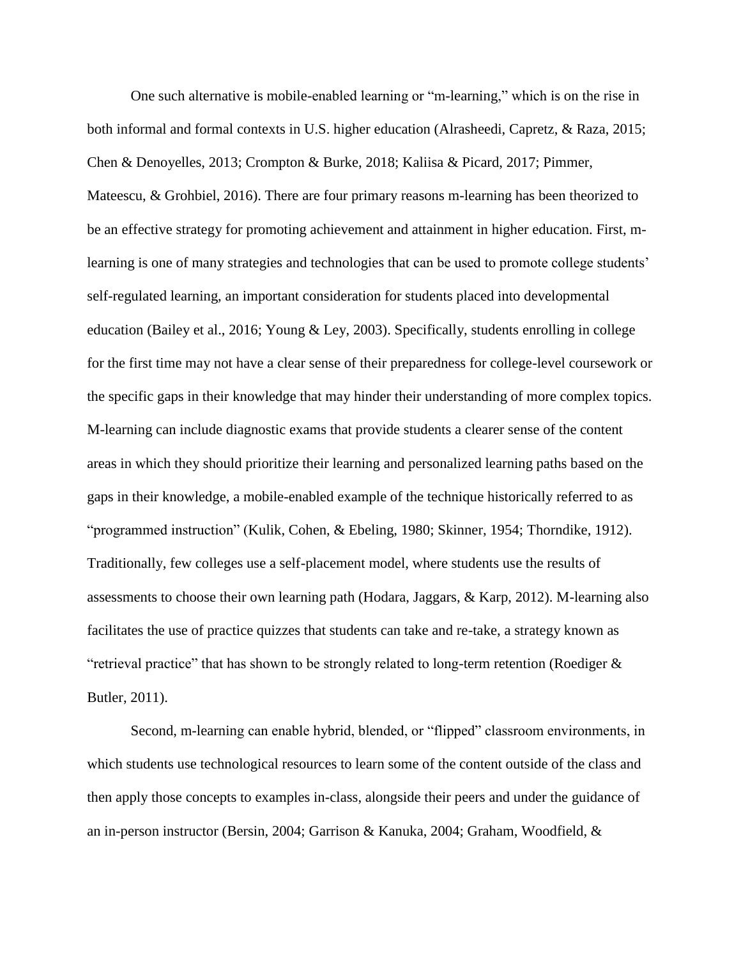One such alternative is mobile-enabled learning or "m-learning," which is on the rise in both informal and formal contexts in U.S. higher education (Alrasheedi, Capretz, & Raza, 2015; Chen & Denoyelles, 2013; Crompton & Burke, 2018; Kaliisa & Picard, 2017; Pimmer, Mateescu, & Grohbiel, 2016). There are four primary reasons m-learning has been theorized to be an effective strategy for promoting achievement and attainment in higher education. First, mlearning is one of many strategies and technologies that can be used to promote college students' self-regulated learning, an important consideration for students placed into developmental education (Bailey et al., 2016; Young & Ley, 2003). Specifically, students enrolling in college for the first time may not have a clear sense of their preparedness for college-level coursework or the specific gaps in their knowledge that may hinder their understanding of more complex topics. M-learning can include diagnostic exams that provide students a clearer sense of the content areas in which they should prioritize their learning and personalized learning paths based on the gaps in their knowledge, a mobile-enabled example of the technique historically referred to as "programmed instruction" (Kulik, Cohen, & Ebeling, 1980; Skinner, 1954; Thorndike, 1912). Traditionally, few colleges use a self-placement model, where students use the results of assessments to choose their own learning path (Hodara, Jaggars, & Karp, 2012). M-learning also facilitates the use of practice quizzes that students can take and re-take, a strategy known as "retrieval practice" that has shown to be strongly related to long-term retention (Roediger  $\&$ Butler, 2011).

Second, m-learning can enable hybrid, blended, or "flipped" classroom environments, in which students use technological resources to learn some of the content outside of the class and then apply those concepts to examples in-class, alongside their peers and under the guidance of an in-person instructor (Bersin, 2004; Garrison & Kanuka, 2004; Graham, Woodfield, &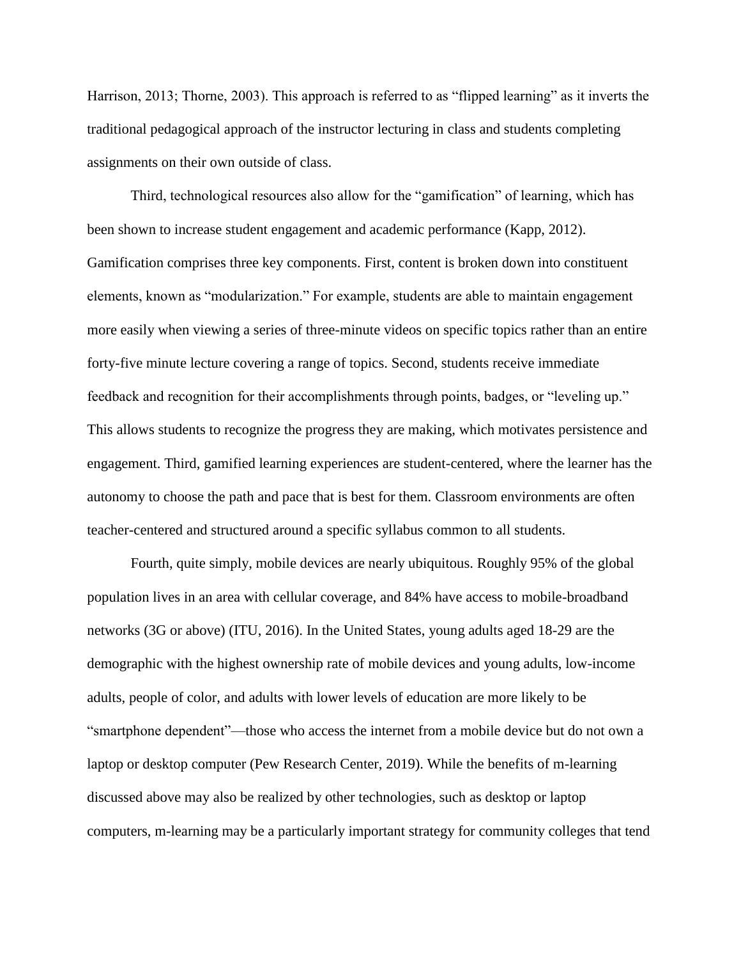Harrison, 2013; Thorne, 2003). This approach is referred to as "flipped learning" as it inverts the traditional pedagogical approach of the instructor lecturing in class and students completing assignments on their own outside of class.

Third, technological resources also allow for the "gamification" of learning, which has been shown to increase student engagement and academic performance (Kapp, 2012). Gamification comprises three key components. First, content is broken down into constituent elements, known as "modularization." For example, students are able to maintain engagement more easily when viewing a series of three-minute videos on specific topics rather than an entire forty-five minute lecture covering a range of topics. Second, students receive immediate feedback and recognition for their accomplishments through points, badges, or "leveling up." This allows students to recognize the progress they are making, which motivates persistence and engagement. Third, gamified learning experiences are student-centered, where the learner has the autonomy to choose the path and pace that is best for them. Classroom environments are often teacher-centered and structured around a specific syllabus common to all students.

Fourth, quite simply, mobile devices are nearly ubiquitous. Roughly 95% of the global population lives in an area with cellular coverage, and 84% have access to mobile-broadband networks (3G or above) (ITU, 2016). In the United States, young adults aged 18-29 are the demographic with the highest ownership rate of mobile devices and young adults, low-income adults, people of color, and adults with lower levels of education are more likely to be "smartphone dependent"—those who access the internet from a mobile device but do not own a laptop or desktop computer (Pew Research Center, 2019). While the benefits of m-learning discussed above may also be realized by other technologies, such as desktop or laptop computers, m-learning may be a particularly important strategy for community colleges that tend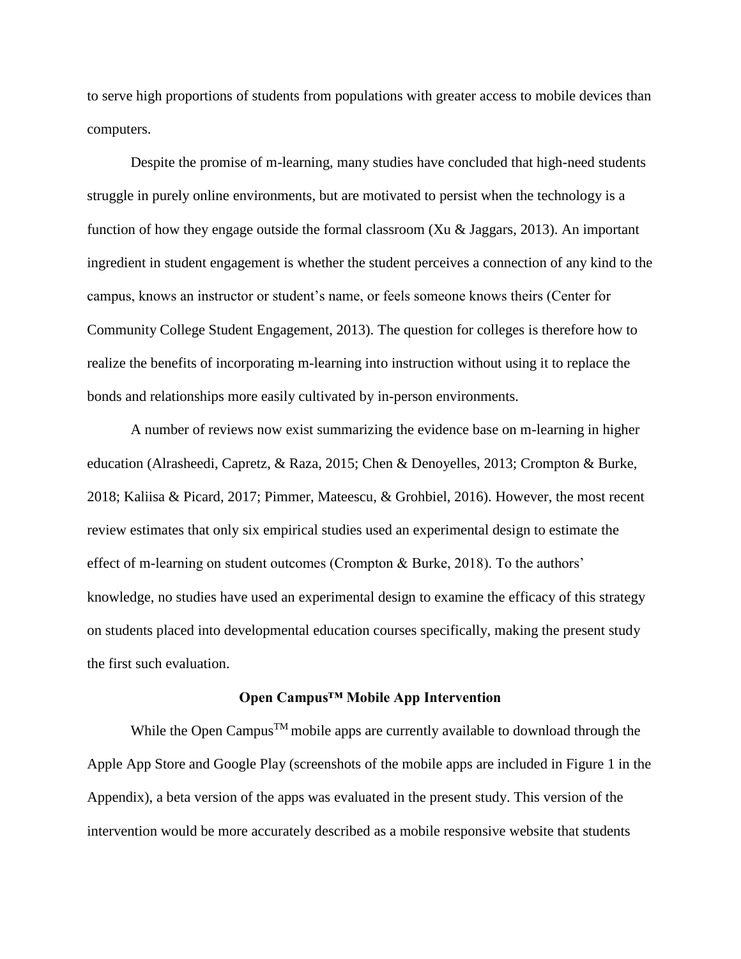to serve high proportions of students from populations with greater access to mobile devices than computers.

Despite the promise of m-learning, many studies have concluded that high-need students struggle in purely online environments, but are motivated to persist when the technology is a function of how they engage outside the formal classroom (Xu & Jaggars, 2013). An important ingredient in student engagement is whether the student perceives a connection of any kind to the campus, knows an instructor or student's name, or feels someone knows theirs (Center for Community College Student Engagement, 2013). The question for colleges is therefore how to realize the benefits of incorporating m-learning into instruction without using it to replace the bonds and relationships more easily cultivated by in-person environments.

A number of reviews now exist summarizing the evidence base on m-learning in higher education (Alrasheedi, Capretz, & Raza, 2015; Chen & Denoyelles, 2013; Crompton & Burke, 2018; Kaliisa & Picard, 2017; Pimmer, Mateescu, & Grohbiel, 2016). However, the most recent review estimates that only six empirical studies used an experimental design to estimate the effect of m-learning on student outcomes (Crompton & Burke, 2018). To the authors' knowledge, no studies have used an experimental design to examine the efficacy of this strategy on students placed into developmental education courses specifically, making the present study the first such evaluation.

#### **Open Campus™ Mobile App Intervention**

While the Open Campus<sup>TM</sup> mobile apps are currently available to download through the Apple App Store and Google Play (screenshots of the mobile apps are included in Figure 1 in the Appendix), a beta version of the apps was evaluated in the present study. This version of the intervention would be more accurately described as a mobile responsive website that students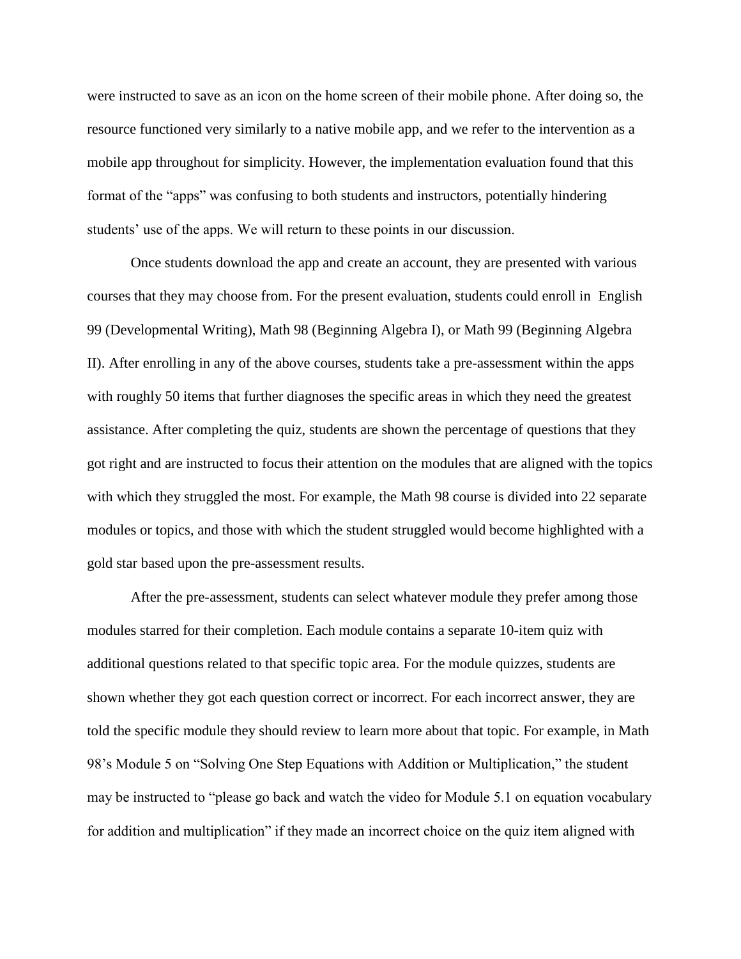were instructed to save as an icon on the home screen of their mobile phone. After doing so, the resource functioned very similarly to a native mobile app, and we refer to the intervention as a mobile app throughout for simplicity. However, the implementation evaluation found that this format of the "apps" was confusing to both students and instructors, potentially hindering students' use of the apps. We will return to these points in our discussion.

Once students download the app and create an account, they are presented with various courses that they may choose from. For the present evaluation, students could enroll in English 99 (Developmental Writing), Math 98 (Beginning Algebra I), or Math 99 (Beginning Algebra II). After enrolling in any of the above courses, students take a pre-assessment within the apps with roughly 50 items that further diagnoses the specific areas in which they need the greatest assistance. After completing the quiz, students are shown the percentage of questions that they got right and are instructed to focus their attention on the modules that are aligned with the topics with which they struggled the most. For example, the Math 98 course is divided into 22 separate modules or topics, and those with which the student struggled would become highlighted with a gold star based upon the pre-assessment results.

After the pre-assessment, students can select whatever module they prefer among those modules starred for their completion. Each module contains a separate 10-item quiz with additional questions related to that specific topic area. For the module quizzes, students are shown whether they got each question correct or incorrect. For each incorrect answer, they are told the specific module they should review to learn more about that topic. For example, in Math 98's Module 5 on "Solving One Step Equations with Addition or Multiplication," the student may be instructed to "please go back and watch the video for Module 5.1 on equation vocabulary for addition and multiplication" if they made an incorrect choice on the quiz item aligned with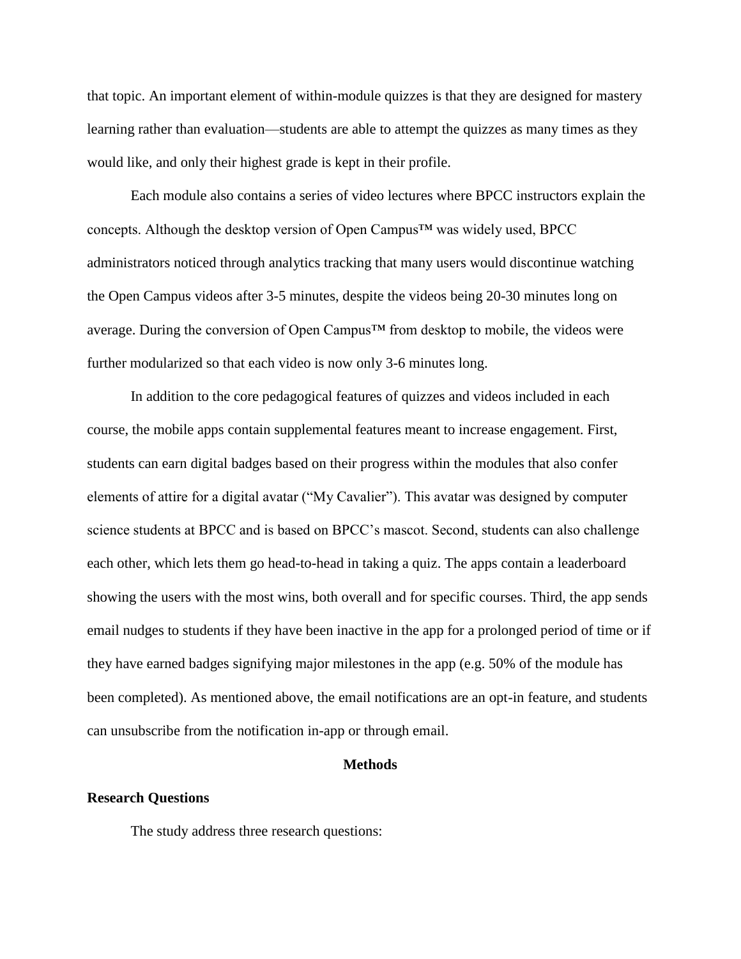that topic. An important element of within-module quizzes is that they are designed for mastery learning rather than evaluation—students are able to attempt the quizzes as many times as they would like, and only their highest grade is kept in their profile.

Each module also contains a series of video lectures where BPCC instructors explain the concepts. Although the desktop version of Open Campus™ was widely used, BPCC administrators noticed through analytics tracking that many users would discontinue watching the Open Campus videos after 3-5 minutes, despite the videos being 20-30 minutes long on average. During the conversion of Open Campus™ from desktop to mobile, the videos were further modularized so that each video is now only 3-6 minutes long.

In addition to the core pedagogical features of quizzes and videos included in each course, the mobile apps contain supplemental features meant to increase engagement. First, students can earn digital badges based on their progress within the modules that also confer elements of attire for a digital avatar ("My Cavalier"). This avatar was designed by computer science students at BPCC and is based on BPCC's mascot. Second, students can also challenge each other, which lets them go head-to-head in taking a quiz. The apps contain a leaderboard showing the users with the most wins, both overall and for specific courses. Third, the app sends email nudges to students if they have been inactive in the app for a prolonged period of time or if they have earned badges signifying major milestones in the app (e.g. 50% of the module has been completed). As mentioned above, the email notifications are an opt-in feature, and students can unsubscribe from the notification in-app or through email.

# **Methods**

#### **Research Questions**

The study address three research questions: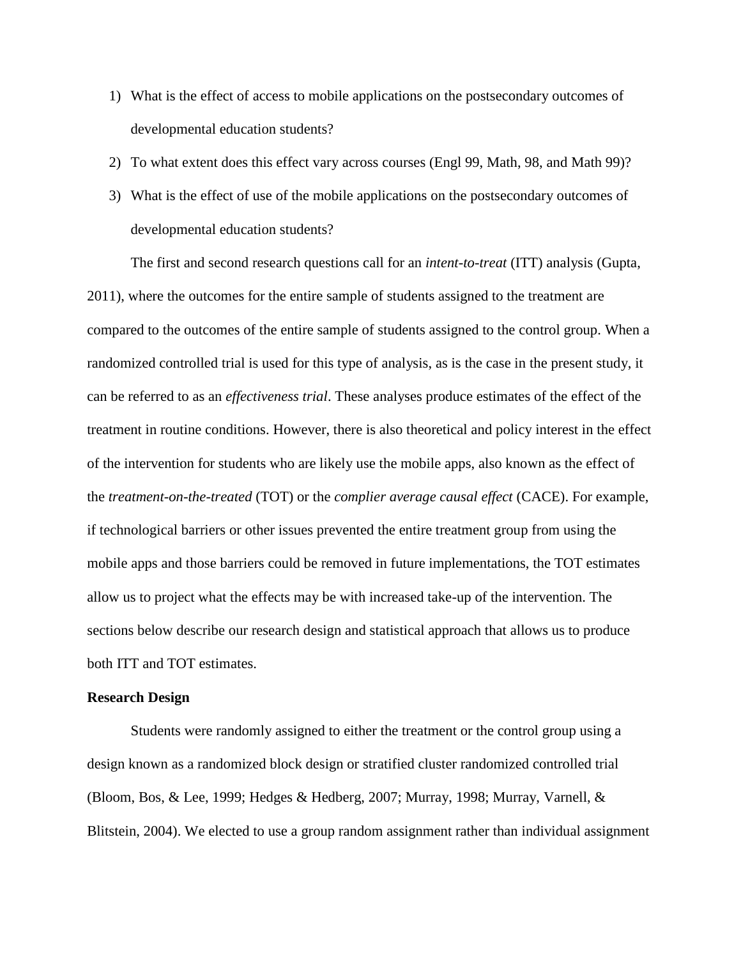- 1) What is the effect of access to mobile applications on the postsecondary outcomes of developmental education students?
- 2) To what extent does this effect vary across courses (Engl 99, Math, 98, and Math 99)?
- 3) What is the effect of use of the mobile applications on the postsecondary outcomes of developmental education students?

The first and second research questions call for an *intent-to-treat* (ITT) analysis (Gupta, 2011), where the outcomes for the entire sample of students assigned to the treatment are compared to the outcomes of the entire sample of students assigned to the control group. When a randomized controlled trial is used for this type of analysis, as is the case in the present study, it can be referred to as an *effectiveness trial*. These analyses produce estimates of the effect of the treatment in routine conditions. However, there is also theoretical and policy interest in the effect of the intervention for students who are likely use the mobile apps, also known as the effect of the *treatment-on-the-treated* (TOT) or the *complier average causal effect* (CACE). For example, if technological barriers or other issues prevented the entire treatment group from using the mobile apps and those barriers could be removed in future implementations, the TOT estimates allow us to project what the effects may be with increased take-up of the intervention. The sections below describe our research design and statistical approach that allows us to produce both ITT and TOT estimates.

### **Research Design**

Students were randomly assigned to either the treatment or the control group using a design known as a randomized block design or stratified cluster randomized controlled trial (Bloom, Bos, & Lee, 1999; Hedges & Hedberg, 2007; Murray, 1998; Murray, Varnell, & Blitstein, 2004). We elected to use a group random assignment rather than individual assignment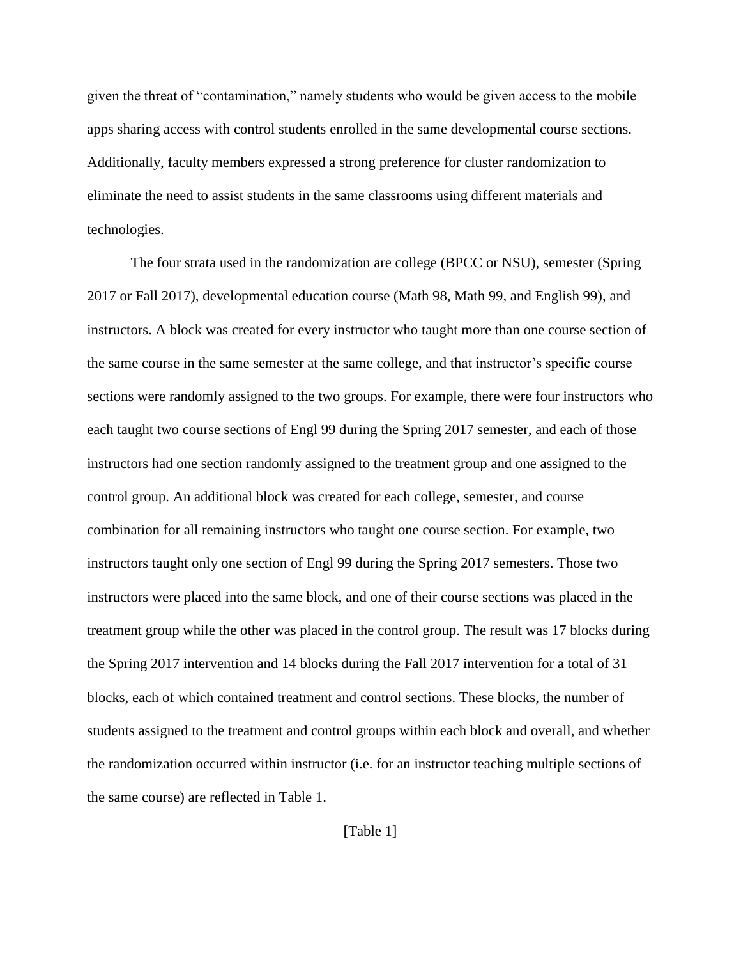given the threat of "contamination," namely students who would be given access to the mobile apps sharing access with control students enrolled in the same developmental course sections. Additionally, faculty members expressed a strong preference for cluster randomization to eliminate the need to assist students in the same classrooms using different materials and technologies.

The four strata used in the randomization are college (BPCC or NSU), semester (Spring 2017 or Fall 2017), developmental education course (Math 98, Math 99, and English 99), and instructors. A block was created for every instructor who taught more than one course section of the same course in the same semester at the same college, and that instructor's specific course sections were randomly assigned to the two groups. For example, there were four instructors who each taught two course sections of Engl 99 during the Spring 2017 semester, and each of those instructors had one section randomly assigned to the treatment group and one assigned to the control group. An additional block was created for each college, semester, and course combination for all remaining instructors who taught one course section. For example, two instructors taught only one section of Engl 99 during the Spring 2017 semesters. Those two instructors were placed into the same block, and one of their course sections was placed in the treatment group while the other was placed in the control group. The result was 17 blocks during the Spring 2017 intervention and 14 blocks during the Fall 2017 intervention for a total of 31 blocks, each of which contained treatment and control sections. These blocks, the number of students assigned to the treatment and control groups within each block and overall, and whether the randomization occurred within instructor (i.e. for an instructor teaching multiple sections of the same course) are reflected in Table 1.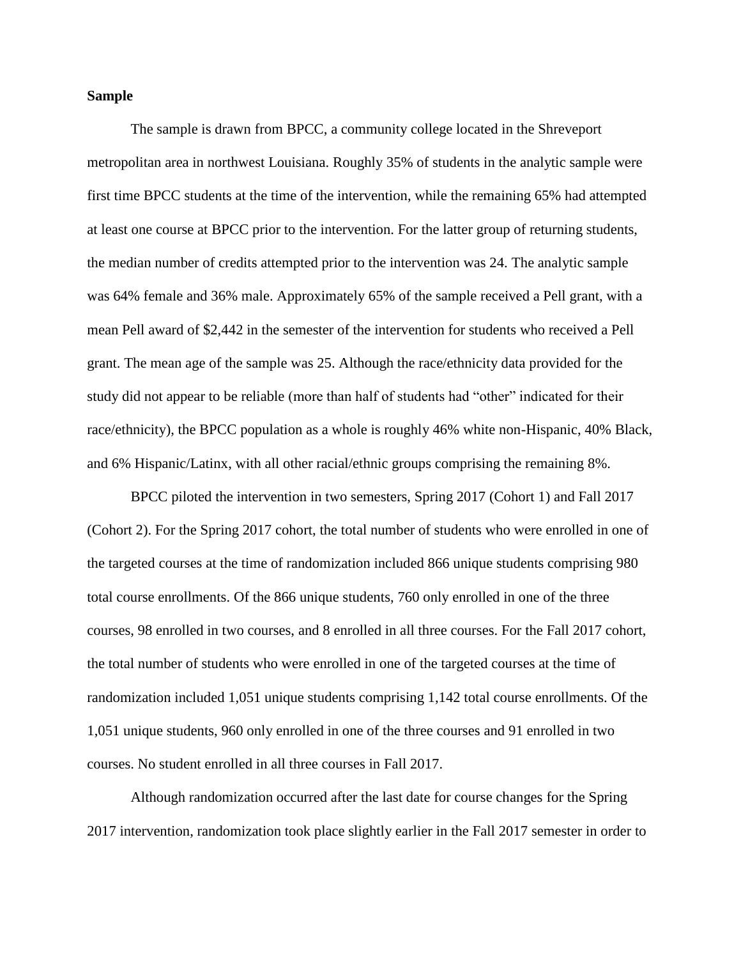# **Sample**

The sample is drawn from BPCC, a community college located in the Shreveport metropolitan area in northwest Louisiana. Roughly 35% of students in the analytic sample were first time BPCC students at the time of the intervention, while the remaining 65% had attempted at least one course at BPCC prior to the intervention. For the latter group of returning students, the median number of credits attempted prior to the intervention was 24. The analytic sample was 64% female and 36% male. Approximately 65% of the sample received a Pell grant, with a mean Pell award of \$2,442 in the semester of the intervention for students who received a Pell grant. The mean age of the sample was 25. Although the race/ethnicity data provided for the study did not appear to be reliable (more than half of students had "other" indicated for their race/ethnicity), the BPCC population as a whole is roughly 46% white non-Hispanic, 40% Black, and 6% Hispanic/Latinx, with all other racial/ethnic groups comprising the remaining 8%.

BPCC piloted the intervention in two semesters, Spring 2017 (Cohort 1) and Fall 2017 (Cohort 2). For the Spring 2017 cohort, the total number of students who were enrolled in one of the targeted courses at the time of randomization included 866 unique students comprising 980 total course enrollments. Of the 866 unique students, 760 only enrolled in one of the three courses, 98 enrolled in two courses, and 8 enrolled in all three courses. For the Fall 2017 cohort, the total number of students who were enrolled in one of the targeted courses at the time of randomization included 1,051 unique students comprising 1,142 total course enrollments. Of the 1,051 unique students, 960 only enrolled in one of the three courses and 91 enrolled in two courses. No student enrolled in all three courses in Fall 2017.

Although randomization occurred after the last date for course changes for the Spring 2017 intervention, randomization took place slightly earlier in the Fall 2017 semester in order to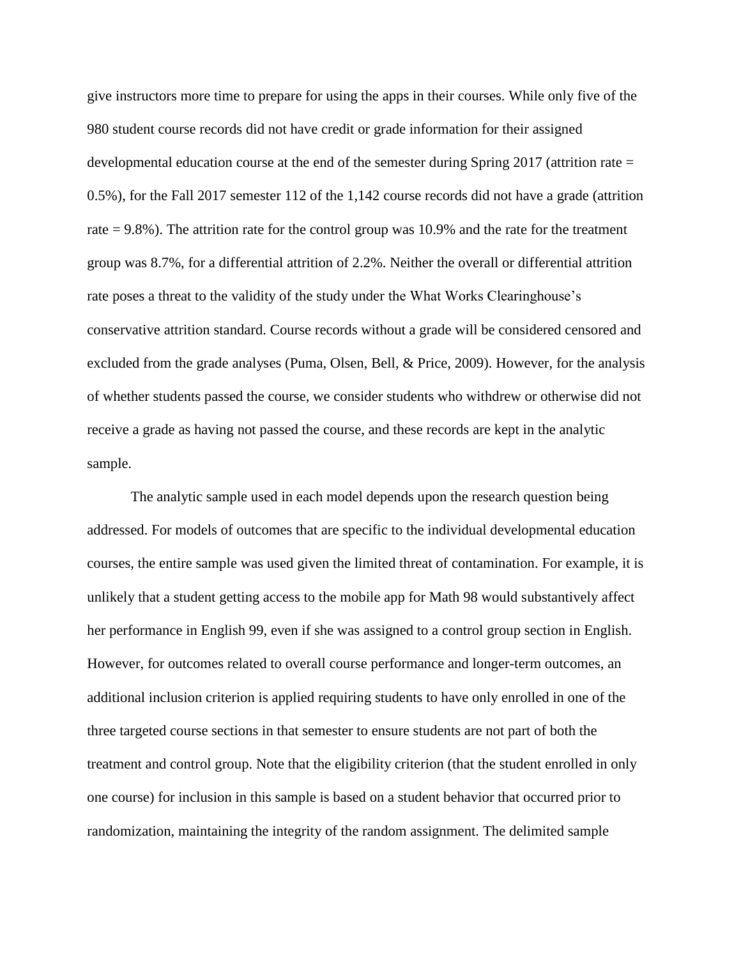give instructors more time to prepare for using the apps in their courses. While only five of the 980 student course records did not have credit or grade information for their assigned developmental education course at the end of the semester during Spring 2017 (attrition rate = 0.5%), for the Fall 2017 semester 112 of the 1,142 course records did not have a grade (attrition rate  $= 9.8\%$ ). The attrition rate for the control group was 10.9% and the rate for the treatment group was 8.7%, for a differential attrition of 2.2%. Neither the overall or differential attrition rate poses a threat to the validity of the study under the What Works Clearinghouse's conservative attrition standard. Course records without a grade will be considered censored and excluded from the grade analyses (Puma, Olsen, Bell, & Price, 2009). However, for the analysis of whether students passed the course, we consider students who withdrew or otherwise did not receive a grade as having not passed the course, and these records are kept in the analytic sample.

The analytic sample used in each model depends upon the research question being addressed. For models of outcomes that are specific to the individual developmental education courses, the entire sample was used given the limited threat of contamination. For example, it is unlikely that a student getting access to the mobile app for Math 98 would substantively affect her performance in English 99, even if she was assigned to a control group section in English. However, for outcomes related to overall course performance and longer-term outcomes, an additional inclusion criterion is applied requiring students to have only enrolled in one of the three targeted course sections in that semester to ensure students are not part of both the treatment and control group. Note that the eligibility criterion (that the student enrolled in only one course) for inclusion in this sample is based on a student behavior that occurred prior to randomization, maintaining the integrity of the random assignment. The delimited sample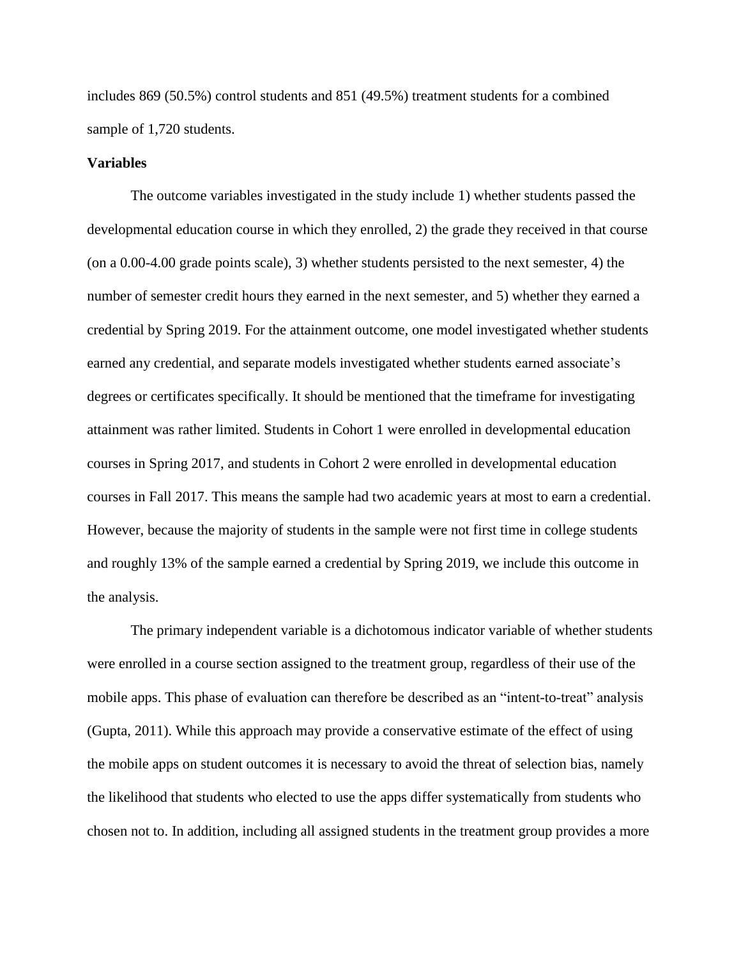includes 869 (50.5%) control students and 851 (49.5%) treatment students for a combined sample of 1,720 students.

#### **Variables**

The outcome variables investigated in the study include 1) whether students passed the developmental education course in which they enrolled, 2) the grade they received in that course (on a 0.00-4.00 grade points scale), 3) whether students persisted to the next semester, 4) the number of semester credit hours they earned in the next semester, and 5) whether they earned a credential by Spring 2019. For the attainment outcome, one model investigated whether students earned any credential, and separate models investigated whether students earned associate's degrees or certificates specifically. It should be mentioned that the timeframe for investigating attainment was rather limited. Students in Cohort 1 were enrolled in developmental education courses in Spring 2017, and students in Cohort 2 were enrolled in developmental education courses in Fall 2017. This means the sample had two academic years at most to earn a credential. However, because the majority of students in the sample were not first time in college students and roughly 13% of the sample earned a credential by Spring 2019, we include this outcome in the analysis.

The primary independent variable is a dichotomous indicator variable of whether students were enrolled in a course section assigned to the treatment group, regardless of their use of the mobile apps. This phase of evaluation can therefore be described as an "intent-to-treat" analysis (Gupta, 2011). While this approach may provide a conservative estimate of the effect of using the mobile apps on student outcomes it is necessary to avoid the threat of selection bias, namely the likelihood that students who elected to use the apps differ systematically from students who chosen not to. In addition, including all assigned students in the treatment group provides a more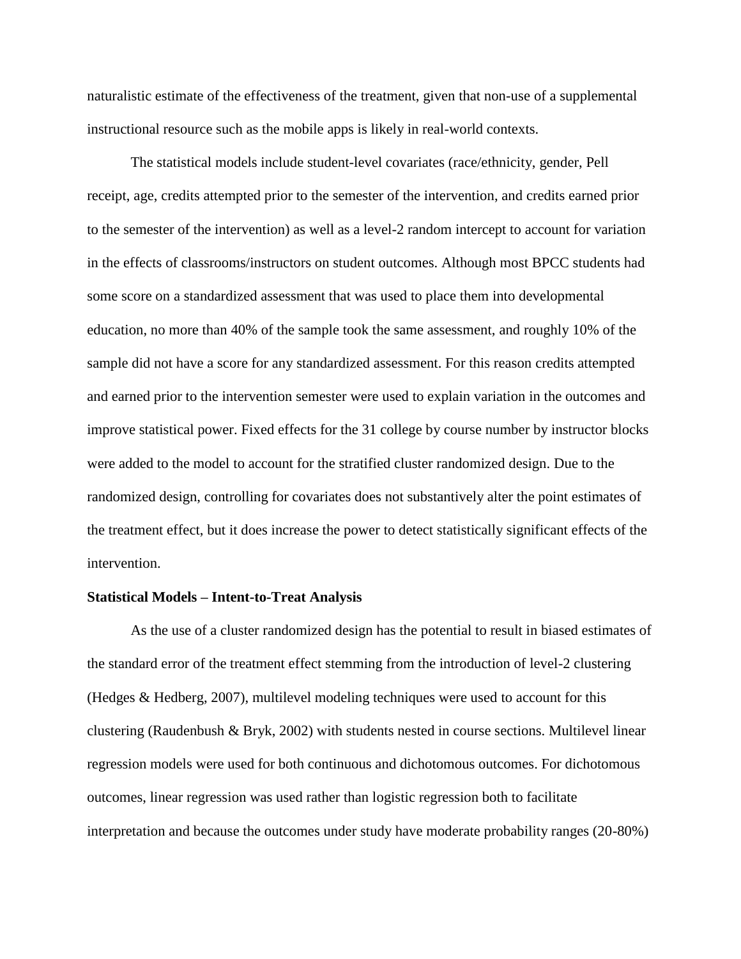naturalistic estimate of the effectiveness of the treatment, given that non-use of a supplemental instructional resource such as the mobile apps is likely in real-world contexts.

The statistical models include student-level covariates (race/ethnicity, gender, Pell receipt, age, credits attempted prior to the semester of the intervention, and credits earned prior to the semester of the intervention) as well as a level-2 random intercept to account for variation in the effects of classrooms/instructors on student outcomes. Although most BPCC students had some score on a standardized assessment that was used to place them into developmental education, no more than 40% of the sample took the same assessment, and roughly 10% of the sample did not have a score for any standardized assessment. For this reason credits attempted and earned prior to the intervention semester were used to explain variation in the outcomes and improve statistical power. Fixed effects for the 31 college by course number by instructor blocks were added to the model to account for the stratified cluster randomized design. Due to the randomized design, controlling for covariates does not substantively alter the point estimates of the treatment effect, but it does increase the power to detect statistically significant effects of the intervention.

#### **Statistical Models – Intent-to-Treat Analysis**

As the use of a cluster randomized design has the potential to result in biased estimates of the standard error of the treatment effect stemming from the introduction of level-2 clustering (Hedges & Hedberg, 2007), multilevel modeling techniques were used to account for this clustering (Raudenbush & Bryk, 2002) with students nested in course sections. Multilevel linear regression models were used for both continuous and dichotomous outcomes. For dichotomous outcomes, linear regression was used rather than logistic regression both to facilitate interpretation and because the outcomes under study have moderate probability ranges (20-80%)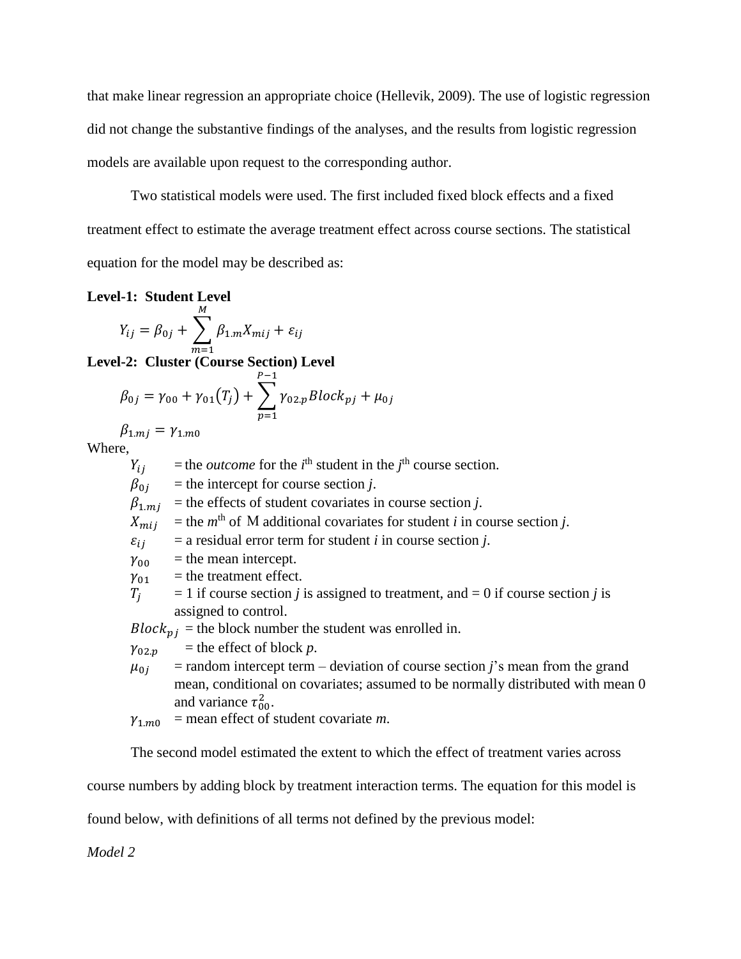that make linear regression an appropriate choice (Hellevik, 2009). The use of logistic regression did not change the substantive findings of the analyses, and the results from logistic regression models are available upon request to the corresponding author.

Two statistical models were used. The first included fixed block effects and a fixed treatment effect to estimate the average treatment effect across course sections. The statistical equation for the model may be described as:

**Level-1: Student Level**

$$
Y_{ij} = \beta_{0j} + \sum_{m=1}^{M} \beta_{1,m} X_{mij} + \varepsilon_{ij}
$$
  
1.2: Cluster (Contra Section) I

**Level-2: Cluster (Course Section) Level** 

$$
\beta_{0j} = \gamma_{00} + \gamma_{01}(T_j) + \sum_{p=1}^{P-1} \gamma_{02,p} Block_{pj} + \mu_{0j}
$$

 $\beta_{1. m j} = \gamma_{1. m 0}$ Where,

 $Y_{ij}$  = the *outcome* for the *i*<sup>th</sup> student in the *j*<sup>th</sup> course section.  $\beta_{0i}$  = the intercept for course section *j*.  $\beta_{1, mi}$  = the effects of student covariates in course section *j*.  $X_{mij}$  = the *m*<sup>th</sup> of M additional covariates for student *i* in course section *j*.  $\varepsilon_{ii}$  = a residual error term for student *i* in course section *j*.  $\gamma_{00}$  = the mean intercept.  $\gamma_{01}$  = the treatment effect.  $T_i$  = 1 if course section *j* is assigned to treatment, and = 0 if course section *j* is assigned to control.  $Block_{ni}$  = the block number the student was enrolled in.  $\gamma_{02,p}$  = the effect of block *p*.

- $\mu_{0i}$  = random intercept term deviation of course section *j*'s mean from the grand mean, conditional on covariates; assumed to be normally distributed with mean 0 and variance  $\tau_{00}^2$ .
- $\gamma_{1,m0}$  = mean effect of student covariate *m*.

The second model estimated the extent to which the effect of treatment varies across

course numbers by adding block by treatment interaction terms. The equation for this model is

found below, with definitions of all terms not defined by the previous model:

*Model 2*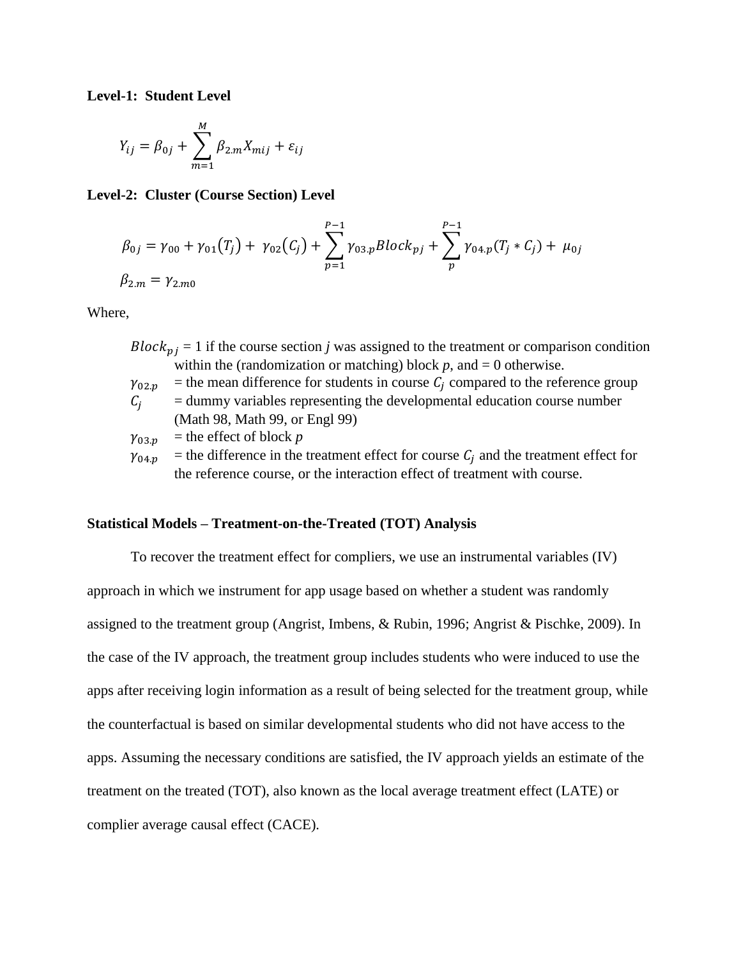**Level-1: Student Level**

$$
Y_{ij} = \beta_{0j} + \sum_{m=1}^{M} \beta_{2,m} X_{mij} + \varepsilon_{ij}
$$

**Level-2: Cluster (Course Section) Level** 

$$
\beta_{0j} = \gamma_{00} + \gamma_{01}(T_j) + \gamma_{02}(C_j) + \sum_{p=1}^{P-1} \gamma_{03,p} Block_{pj} + \sum_{p}^{P-1} \gamma_{04,p}(T_j * C_j) + \mu_{0j}
$$
  

$$
\beta_{2,m} = \gamma_{2,m0}
$$

Where,

- $Block_{pj} = 1$  if the course section *j* was assigned to the treatment or comparison condition within the (randomization or matching) block  $p$ , and  $= 0$  otherwise.
- $\gamma_{02,p}$  = the mean difference for students in course  $C_i$  compared to the reference group
- $C_i$  = dummy variables representing the developmental education course number (Math 98, Math 99, or Engl 99)

$$
\gamma_{03,p} = \text{the effect of block } p
$$

 $\gamma_{04,p}$  = the difference in the treatment effect for course  $C_j$  and the treatment effect for the reference course, or the interaction effect of treatment with course.

# **Statistical Models – Treatment-on-the-Treated (TOT) Analysis**

To recover the treatment effect for compliers, we use an instrumental variables (IV) approach in which we instrument for app usage based on whether a student was randomly assigned to the treatment group (Angrist, Imbens, & Rubin, 1996; Angrist & Pischke, 2009). In the case of the IV approach, the treatment group includes students who were induced to use the apps after receiving login information as a result of being selected for the treatment group, while the counterfactual is based on similar developmental students who did not have access to the apps. Assuming the necessary conditions are satisfied, the IV approach yields an estimate of the treatment on the treated (TOT), also known as the local average treatment effect (LATE) or complier average causal effect (CACE).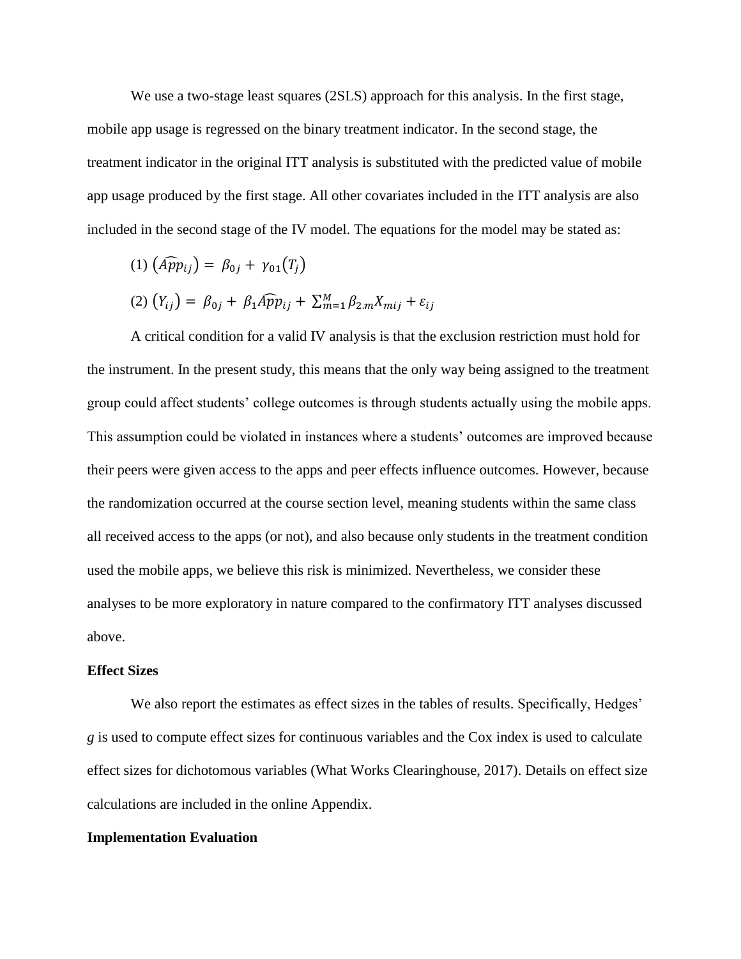We use a two-stage least squares (2SLS) approach for this analysis. In the first stage, mobile app usage is regressed on the binary treatment indicator. In the second stage, the treatment indicator in the original ITT analysis is substituted with the predicted value of mobile app usage produced by the first stage. All other covariates included in the ITT analysis are also included in the second stage of the IV model. The equations for the model may be stated as:

$$
(1) \left( \widehat{App}_{ij} \right) = \beta_{0j} + \gamma_{01}(T_j)
$$

$$
(2) (Y_{ij}) = \beta_{0j} + \beta_1 \widehat{App}_{ij} + \sum_{m=1}^{M} \beta_{2,m} X_{mij} + \varepsilon_{ij}
$$

A critical condition for a valid IV analysis is that the exclusion restriction must hold for the instrument. In the present study, this means that the only way being assigned to the treatment group could affect students' college outcomes is through students actually using the mobile apps. This assumption could be violated in instances where a students' outcomes are improved because their peers were given access to the apps and peer effects influence outcomes. However, because the randomization occurred at the course section level, meaning students within the same class all received access to the apps (or not), and also because only students in the treatment condition used the mobile apps, we believe this risk is minimized. Nevertheless, we consider these analyses to be more exploratory in nature compared to the confirmatory ITT analyses discussed above.

#### **Effect Sizes**

We also report the estimates as effect sizes in the tables of results. Specifically, Hedges' *g* is used to compute effect sizes for continuous variables and the Cox index is used to calculate effect sizes for dichotomous variables (What Works Clearinghouse, 2017). Details on effect size calculations are included in the online Appendix.

# **Implementation Evaluation**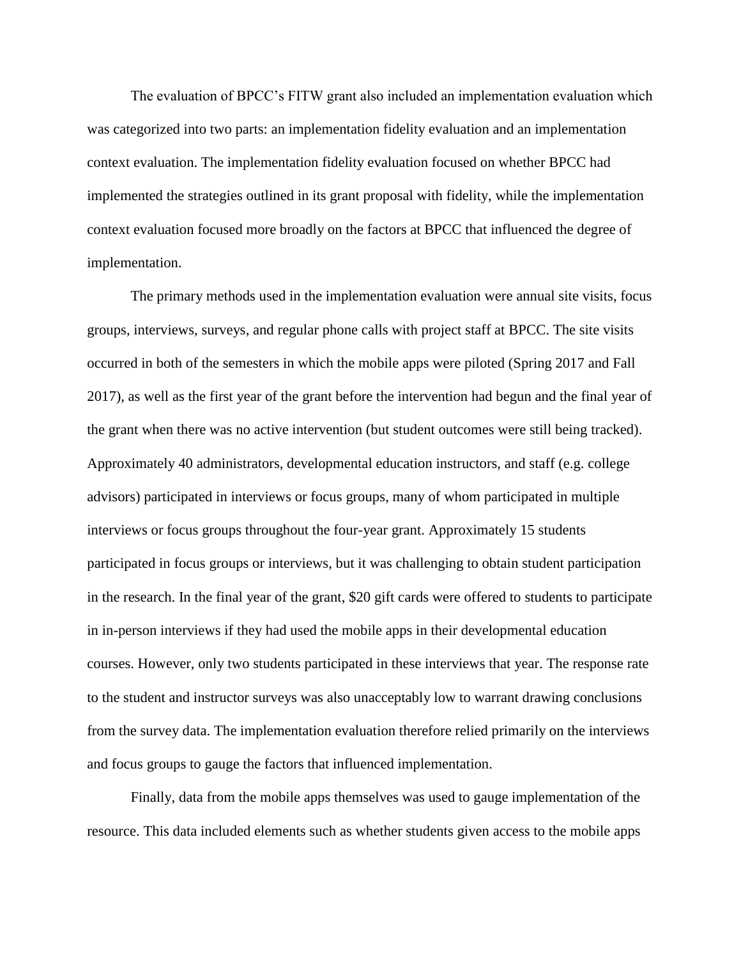The evaluation of BPCC's FITW grant also included an implementation evaluation which was categorized into two parts: an implementation fidelity evaluation and an implementation context evaluation. The implementation fidelity evaluation focused on whether BPCC had implemented the strategies outlined in its grant proposal with fidelity, while the implementation context evaluation focused more broadly on the factors at BPCC that influenced the degree of implementation.

The primary methods used in the implementation evaluation were annual site visits, focus groups, interviews, surveys, and regular phone calls with project staff at BPCC. The site visits occurred in both of the semesters in which the mobile apps were piloted (Spring 2017 and Fall 2017), as well as the first year of the grant before the intervention had begun and the final year of the grant when there was no active intervention (but student outcomes were still being tracked). Approximately 40 administrators, developmental education instructors, and staff (e.g. college advisors) participated in interviews or focus groups, many of whom participated in multiple interviews or focus groups throughout the four-year grant. Approximately 15 students participated in focus groups or interviews, but it was challenging to obtain student participation in the research. In the final year of the grant, \$20 gift cards were offered to students to participate in in-person interviews if they had used the mobile apps in their developmental education courses. However, only two students participated in these interviews that year. The response rate to the student and instructor surveys was also unacceptably low to warrant drawing conclusions from the survey data. The implementation evaluation therefore relied primarily on the interviews and focus groups to gauge the factors that influenced implementation.

Finally, data from the mobile apps themselves was used to gauge implementation of the resource. This data included elements such as whether students given access to the mobile apps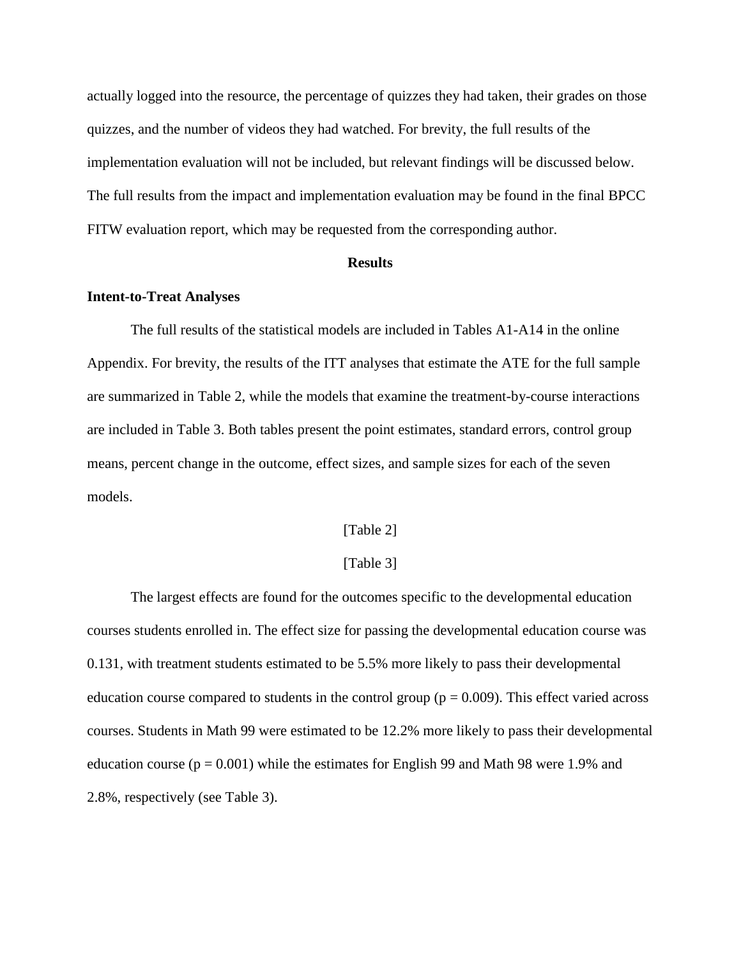actually logged into the resource, the percentage of quizzes they had taken, their grades on those quizzes, and the number of videos they had watched. For brevity, the full results of the implementation evaluation will not be included, but relevant findings will be discussed below. The full results from the impact and implementation evaluation may be found in the final BPCC FITW evaluation report, which may be requested from the corresponding author.

#### **Results**

# **Intent-to-Treat Analyses**

The full results of the statistical models are included in Tables A1-A14 in the online Appendix. For brevity, the results of the ITT analyses that estimate the ATE for the full sample are summarized in Table 2, while the models that examine the treatment-by-course interactions are included in Table 3. Both tables present the point estimates, standard errors, control group means, percent change in the outcome, effect sizes, and sample sizes for each of the seven models.

### [Table 2]

## [Table 3]

The largest effects are found for the outcomes specific to the developmental education courses students enrolled in. The effect size for passing the developmental education course was 0.131, with treatment students estimated to be 5.5% more likely to pass their developmental education course compared to students in the control group ( $p = 0.009$ ). This effect varied across courses. Students in Math 99 were estimated to be 12.2% more likely to pass their developmental education course ( $p = 0.001$ ) while the estimates for English 99 and Math 98 were 1.9% and 2.8%, respectively (see Table 3).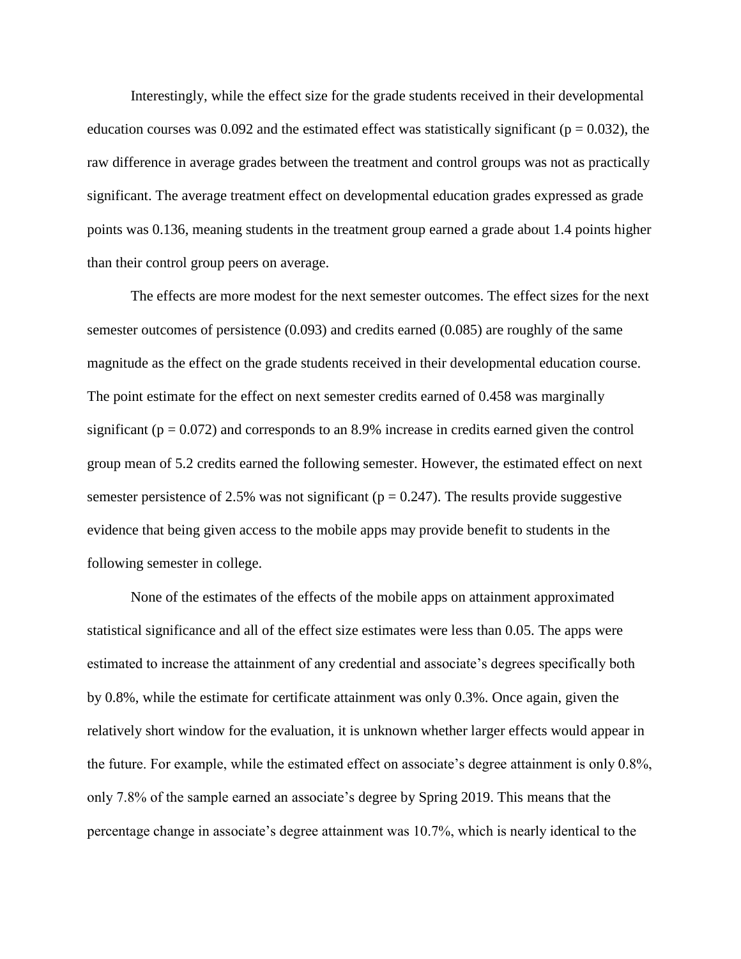Interestingly, while the effect size for the grade students received in their developmental education courses was 0.092 and the estimated effect was statistically significant ( $p = 0.032$ ), the raw difference in average grades between the treatment and control groups was not as practically significant. The average treatment effect on developmental education grades expressed as grade points was 0.136, meaning students in the treatment group earned a grade about 1.4 points higher than their control group peers on average.

The effects are more modest for the next semester outcomes. The effect sizes for the next semester outcomes of persistence (0.093) and credits earned (0.085) are roughly of the same magnitude as the effect on the grade students received in their developmental education course. The point estimate for the effect on next semester credits earned of 0.458 was marginally significant ( $p = 0.072$ ) and corresponds to an 8.9% increase in credits earned given the control group mean of 5.2 credits earned the following semester. However, the estimated effect on next semester persistence of 2.5% was not significant ( $p = 0.247$ ). The results provide suggestive evidence that being given access to the mobile apps may provide benefit to students in the following semester in college.

None of the estimates of the effects of the mobile apps on attainment approximated statistical significance and all of the effect size estimates were less than 0.05. The apps were estimated to increase the attainment of any credential and associate's degrees specifically both by 0.8%, while the estimate for certificate attainment was only 0.3%. Once again, given the relatively short window for the evaluation, it is unknown whether larger effects would appear in the future. For example, while the estimated effect on associate's degree attainment is only 0.8%, only 7.8% of the sample earned an associate's degree by Spring 2019. This means that the percentage change in associate's degree attainment was 10.7%, which is nearly identical to the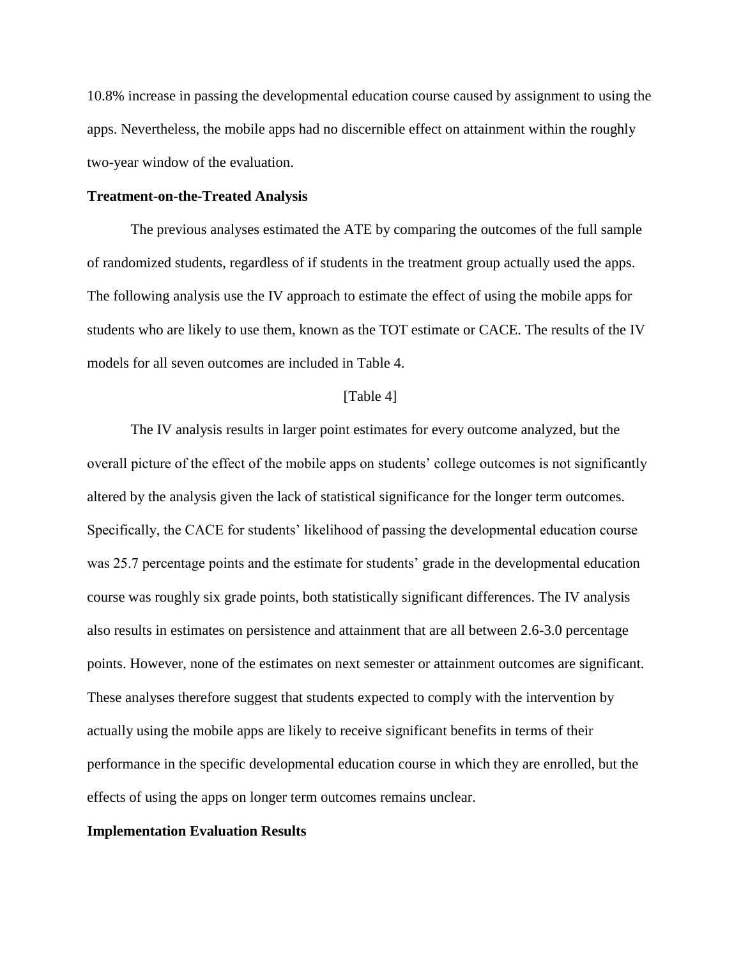10.8% increase in passing the developmental education course caused by assignment to using the apps. Nevertheless, the mobile apps had no discernible effect on attainment within the roughly two-year window of the evaluation.

# **Treatment-on-the-Treated Analysis**

The previous analyses estimated the ATE by comparing the outcomes of the full sample of randomized students, regardless of if students in the treatment group actually used the apps. The following analysis use the IV approach to estimate the effect of using the mobile apps for students who are likely to use them, known as the TOT estimate or CACE. The results of the IV models for all seven outcomes are included in Table 4.

#### [Table 4]

The IV analysis results in larger point estimates for every outcome analyzed, but the overall picture of the effect of the mobile apps on students' college outcomes is not significantly altered by the analysis given the lack of statistical significance for the longer term outcomes. Specifically, the CACE for students' likelihood of passing the developmental education course was 25.7 percentage points and the estimate for students' grade in the developmental education course was roughly six grade points, both statistically significant differences. The IV analysis also results in estimates on persistence and attainment that are all between 2.6-3.0 percentage points. However, none of the estimates on next semester or attainment outcomes are significant. These analyses therefore suggest that students expected to comply with the intervention by actually using the mobile apps are likely to receive significant benefits in terms of their performance in the specific developmental education course in which they are enrolled, but the effects of using the apps on longer term outcomes remains unclear.

### **Implementation Evaluation Results**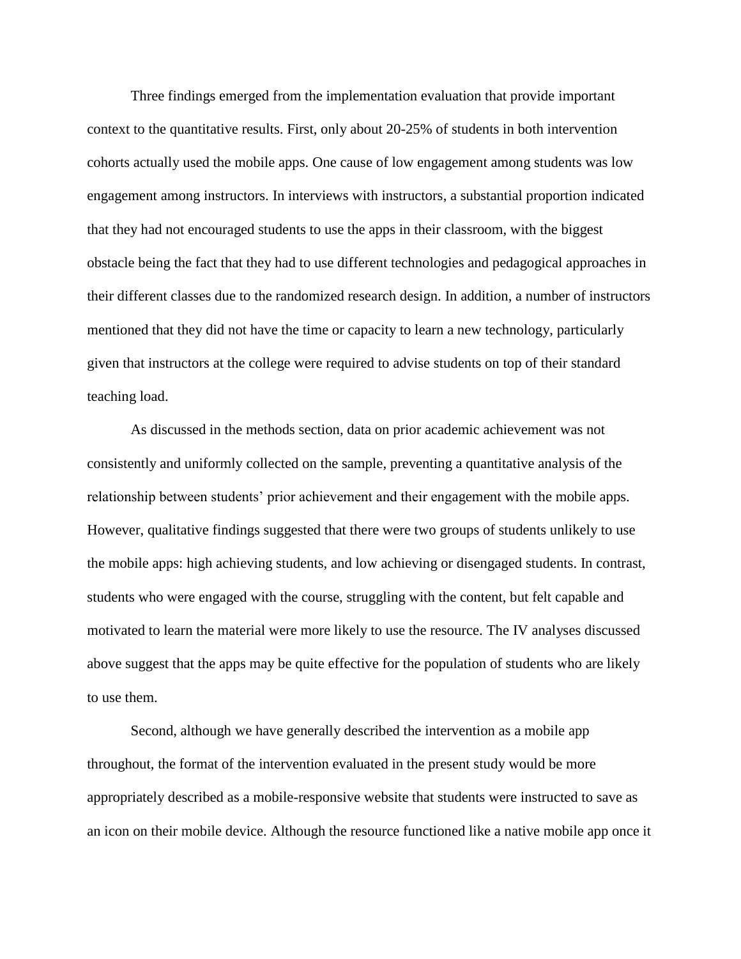Three findings emerged from the implementation evaluation that provide important context to the quantitative results. First, only about 20-25% of students in both intervention cohorts actually used the mobile apps. One cause of low engagement among students was low engagement among instructors. In interviews with instructors, a substantial proportion indicated that they had not encouraged students to use the apps in their classroom, with the biggest obstacle being the fact that they had to use different technologies and pedagogical approaches in their different classes due to the randomized research design. In addition, a number of instructors mentioned that they did not have the time or capacity to learn a new technology, particularly given that instructors at the college were required to advise students on top of their standard teaching load.

As discussed in the methods section, data on prior academic achievement was not consistently and uniformly collected on the sample, preventing a quantitative analysis of the relationship between students' prior achievement and their engagement with the mobile apps. However, qualitative findings suggested that there were two groups of students unlikely to use the mobile apps: high achieving students, and low achieving or disengaged students. In contrast, students who were engaged with the course, struggling with the content, but felt capable and motivated to learn the material were more likely to use the resource. The IV analyses discussed above suggest that the apps may be quite effective for the population of students who are likely to use them.

Second, although we have generally described the intervention as a mobile app throughout, the format of the intervention evaluated in the present study would be more appropriately described as a mobile-responsive website that students were instructed to save as an icon on their mobile device. Although the resource functioned like a native mobile app once it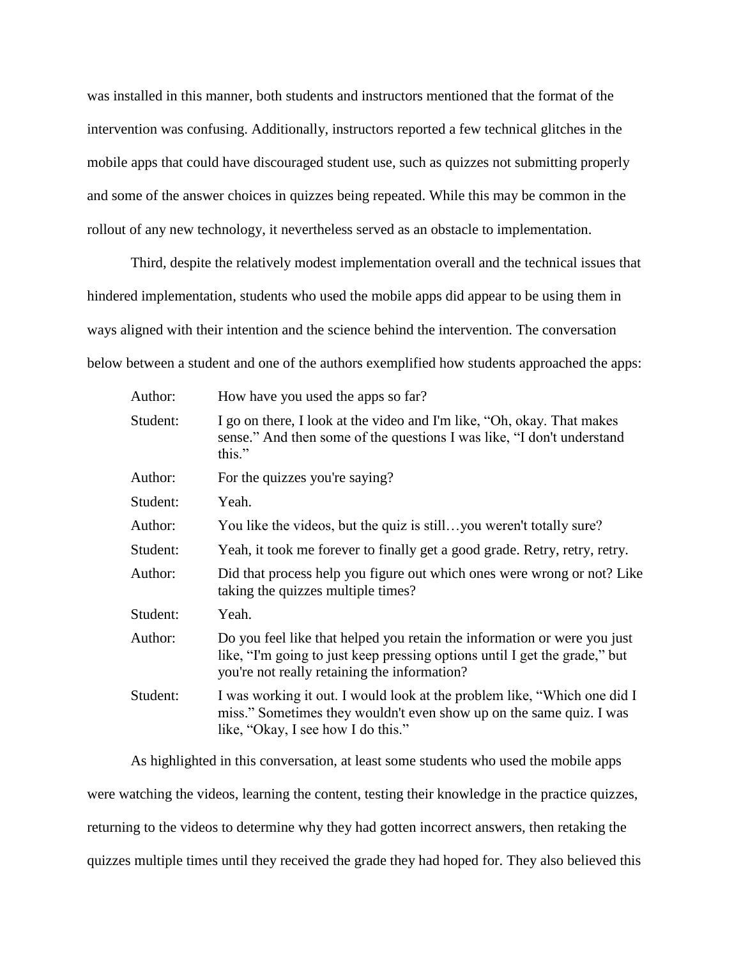was installed in this manner, both students and instructors mentioned that the format of the intervention was confusing. Additionally, instructors reported a few technical glitches in the mobile apps that could have discouraged student use, such as quizzes not submitting properly and some of the answer choices in quizzes being repeated. While this may be common in the rollout of any new technology, it nevertheless served as an obstacle to implementation.

Third, despite the relatively modest implementation overall and the technical issues that hindered implementation, students who used the mobile apps did appear to be using them in ways aligned with their intention and the science behind the intervention. The conversation below between a student and one of the authors exemplified how students approached the apps:

| How have you used the apps so far?                                                                                                                                                                     |
|--------------------------------------------------------------------------------------------------------------------------------------------------------------------------------------------------------|
| I go on there, I look at the video and I'm like, "Oh, okay. That makes<br>sense." And then some of the questions I was like, "I don't understand<br>this."                                             |
| For the quizzes you're saying?                                                                                                                                                                         |
| Yeah.                                                                                                                                                                                                  |
| You like the videos, but the quiz is stillyou weren't totally sure?                                                                                                                                    |
| Yeah, it took me forever to finally get a good grade. Retry, retry, retry.                                                                                                                             |
| Did that process help you figure out which ones were wrong or not? Like<br>taking the quizzes multiple times?                                                                                          |
| Yeah.                                                                                                                                                                                                  |
| Do you feel like that helped you retain the information or were you just<br>like, "I'm going to just keep pressing options until I get the grade," but<br>you're not really retaining the information? |
| I was working it out. I would look at the problem like, "Which one did I<br>miss." Sometimes they wouldn't even show up on the same quiz. I was<br>like, "Okay, I see how I do this."                  |
|                                                                                                                                                                                                        |

As highlighted in this conversation, at least some students who used the mobile apps were watching the videos, learning the content, testing their knowledge in the practice quizzes, returning to the videos to determine why they had gotten incorrect answers, then retaking the quizzes multiple times until they received the grade they had hoped for. They also believed this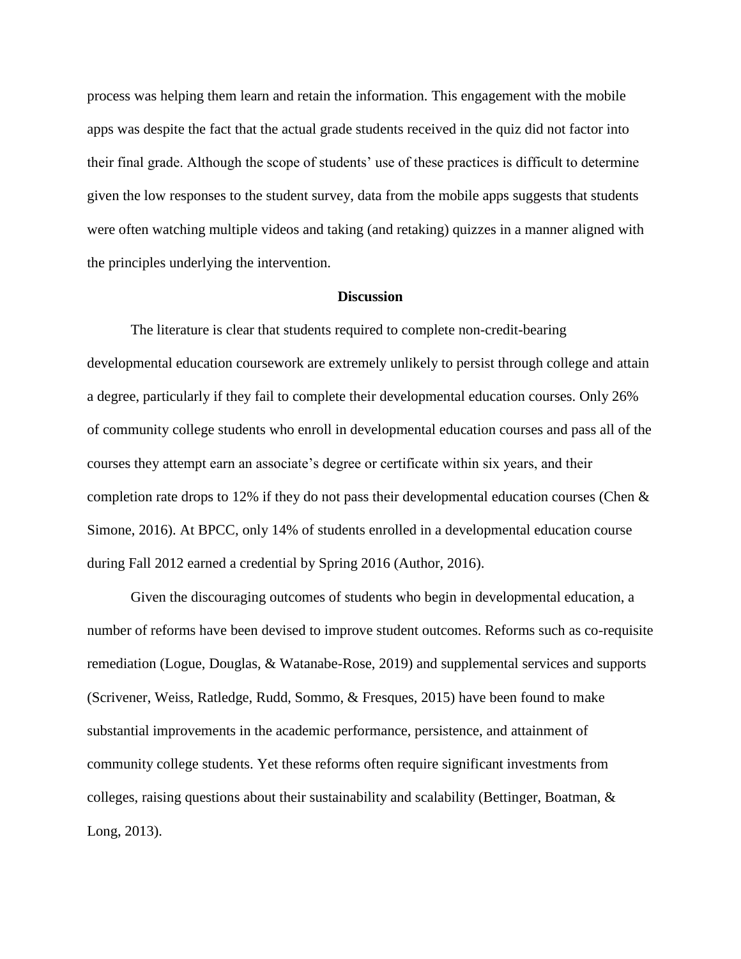process was helping them learn and retain the information. This engagement with the mobile apps was despite the fact that the actual grade students received in the quiz did not factor into their final grade. Although the scope of students' use of these practices is difficult to determine given the low responses to the student survey, data from the mobile apps suggests that students were often watching multiple videos and taking (and retaking) quizzes in a manner aligned with the principles underlying the intervention.

# **Discussion**

The literature is clear that students required to complete non-credit-bearing developmental education coursework are extremely unlikely to persist through college and attain a degree, particularly if they fail to complete their developmental education courses. Only 26% of community college students who enroll in developmental education courses and pass all of the courses they attempt earn an associate's degree or certificate within six years, and their completion rate drops to 12% if they do not pass their developmental education courses (Chen & Simone, 2016). At BPCC, only 14% of students enrolled in a developmental education course during Fall 2012 earned a credential by Spring 2016 (Author, 2016).

Given the discouraging outcomes of students who begin in developmental education, a number of reforms have been devised to improve student outcomes. Reforms such as co-requisite remediation (Logue, Douglas, & Watanabe-Rose, 2019) and supplemental services and supports (Scrivener, Weiss, Ratledge, Rudd, Sommo, & Fresques, 2015) have been found to make substantial improvements in the academic performance, persistence, and attainment of community college students. Yet these reforms often require significant investments from colleges, raising questions about their sustainability and scalability (Bettinger, Boatman,  $\&$ Long, 2013).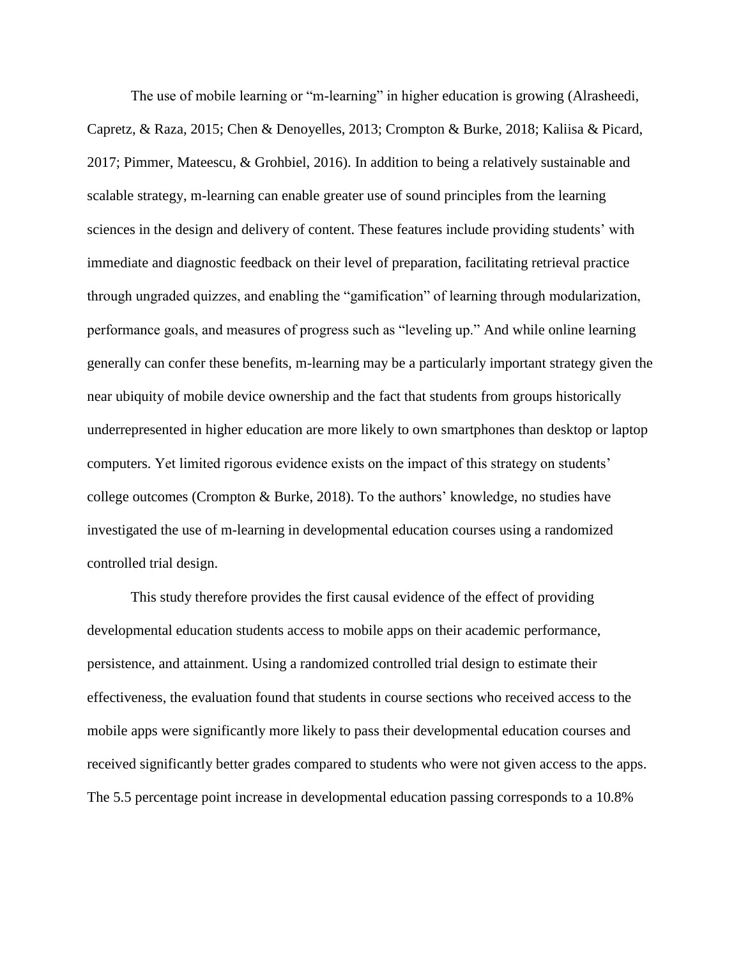The use of mobile learning or "m-learning" in higher education is growing (Alrasheedi, Capretz, & Raza, 2015; Chen & Denoyelles, 2013; Crompton & Burke, 2018; Kaliisa & Picard, 2017; Pimmer, Mateescu, & Grohbiel, 2016). In addition to being a relatively sustainable and scalable strategy, m-learning can enable greater use of sound principles from the learning sciences in the design and delivery of content. These features include providing students' with immediate and diagnostic feedback on their level of preparation, facilitating retrieval practice through ungraded quizzes, and enabling the "gamification" of learning through modularization, performance goals, and measures of progress such as "leveling up." And while online learning generally can confer these benefits, m-learning may be a particularly important strategy given the near ubiquity of mobile device ownership and the fact that students from groups historically underrepresented in higher education are more likely to own smartphones than desktop or laptop computers. Yet limited rigorous evidence exists on the impact of this strategy on students' college outcomes (Crompton & Burke, 2018). To the authors' knowledge, no studies have investigated the use of m-learning in developmental education courses using a randomized controlled trial design.

This study therefore provides the first causal evidence of the effect of providing developmental education students access to mobile apps on their academic performance, persistence, and attainment. Using a randomized controlled trial design to estimate their effectiveness, the evaluation found that students in course sections who received access to the mobile apps were significantly more likely to pass their developmental education courses and received significantly better grades compared to students who were not given access to the apps. The 5.5 percentage point increase in developmental education passing corresponds to a 10.8%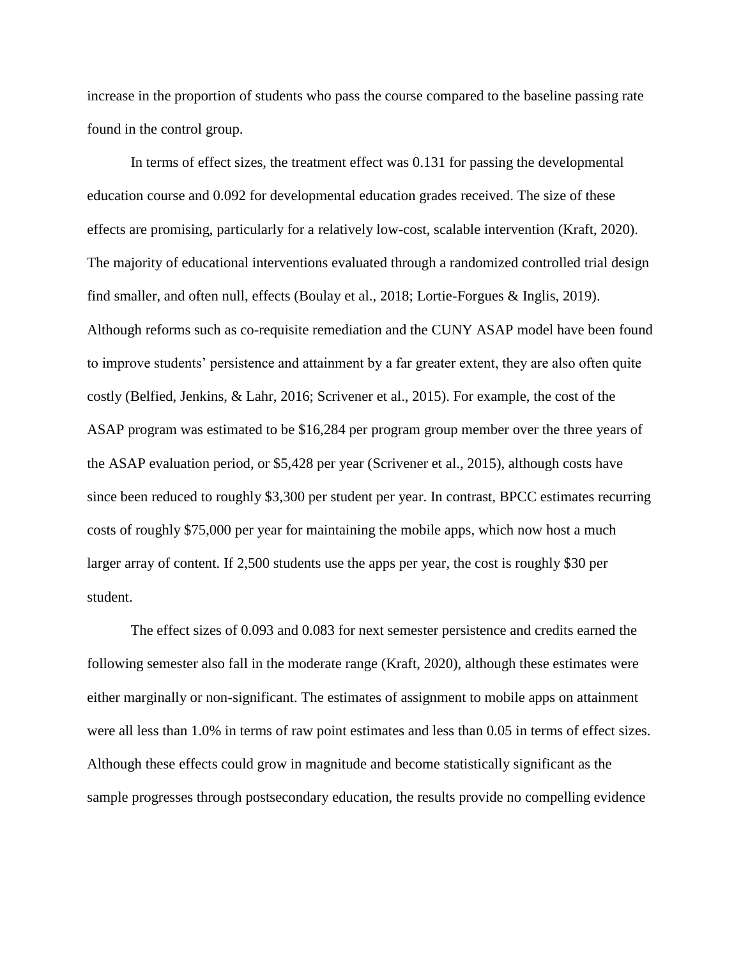increase in the proportion of students who pass the course compared to the baseline passing rate found in the control group.

In terms of effect sizes, the treatment effect was 0.131 for passing the developmental education course and 0.092 for developmental education grades received. The size of these effects are promising, particularly for a relatively low-cost, scalable intervention (Kraft, 2020). The majority of educational interventions evaluated through a randomized controlled trial design find smaller, and often null, effects (Boulay et al., 2018; Lortie-Forgues & Inglis, 2019). Although reforms such as co-requisite remediation and the CUNY ASAP model have been found to improve students' persistence and attainment by a far greater extent, they are also often quite costly (Belfied, Jenkins, & Lahr, 2016; Scrivener et al., 2015). For example, the cost of the ASAP program was estimated to be \$16,284 per program group member over the three years of the ASAP evaluation period, or \$5,428 per year (Scrivener et al., 2015), although costs have since been reduced to roughly \$3,300 per student per year. In contrast, BPCC estimates recurring costs of roughly \$75,000 per year for maintaining the mobile apps, which now host a much larger array of content. If 2,500 students use the apps per year, the cost is roughly \$30 per student.

The effect sizes of 0.093 and 0.083 for next semester persistence and credits earned the following semester also fall in the moderate range (Kraft, 2020), although these estimates were either marginally or non-significant. The estimates of assignment to mobile apps on attainment were all less than 1.0% in terms of raw point estimates and less than 0.05 in terms of effect sizes. Although these effects could grow in magnitude and become statistically significant as the sample progresses through postsecondary education, the results provide no compelling evidence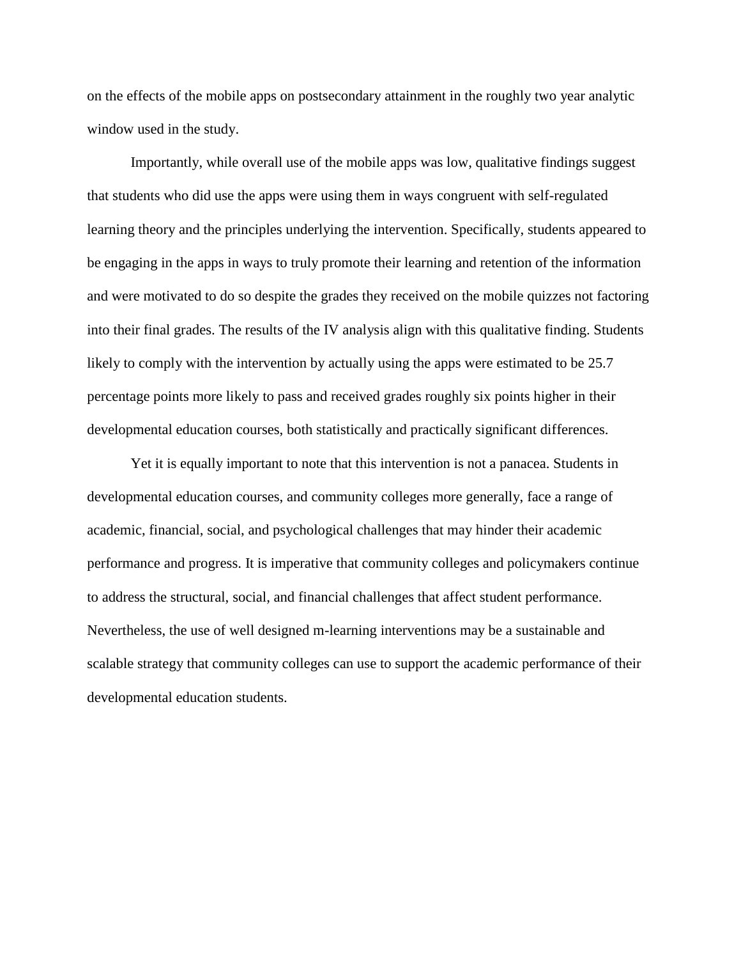on the effects of the mobile apps on postsecondary attainment in the roughly two year analytic window used in the study.

Importantly, while overall use of the mobile apps was low, qualitative findings suggest that students who did use the apps were using them in ways congruent with self-regulated learning theory and the principles underlying the intervention. Specifically, students appeared to be engaging in the apps in ways to truly promote their learning and retention of the information and were motivated to do so despite the grades they received on the mobile quizzes not factoring into their final grades. The results of the IV analysis align with this qualitative finding. Students likely to comply with the intervention by actually using the apps were estimated to be 25.7 percentage points more likely to pass and received grades roughly six points higher in their developmental education courses, both statistically and practically significant differences.

Yet it is equally important to note that this intervention is not a panacea. Students in developmental education courses, and community colleges more generally, face a range of academic, financial, social, and psychological challenges that may hinder their academic performance and progress. It is imperative that community colleges and policymakers continue to address the structural, social, and financial challenges that affect student performance. Nevertheless, the use of well designed m-learning interventions may be a sustainable and scalable strategy that community colleges can use to support the academic performance of their developmental education students.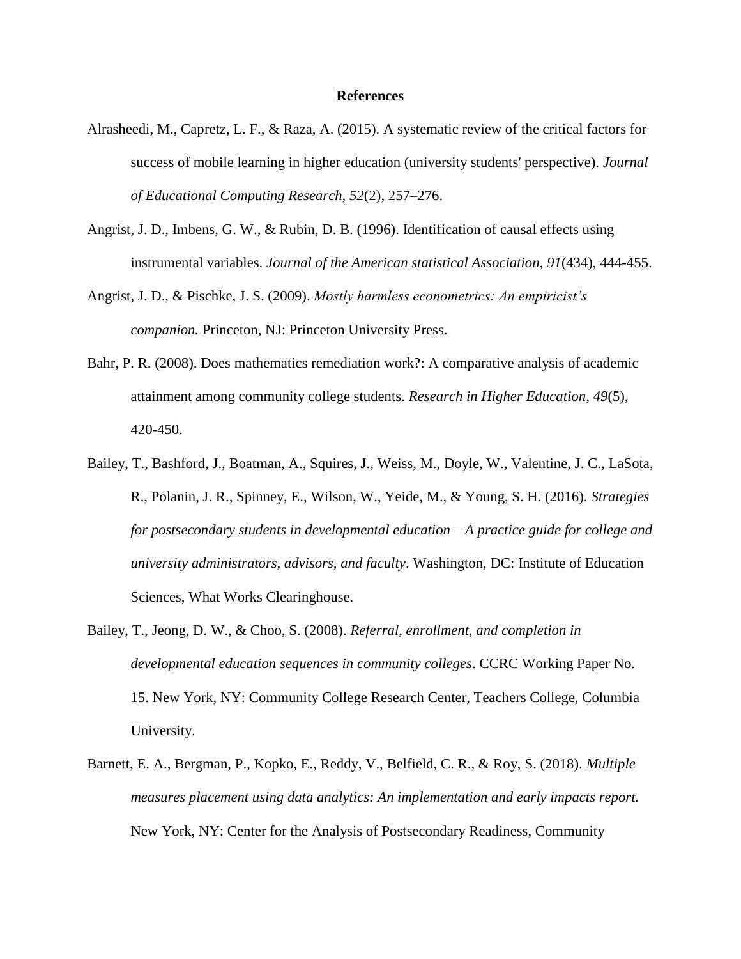#### **References**

- Alrasheedi, M., Capretz, L. F., & Raza, A. (2015). A systematic review of the critical factors for success of mobile learning in higher education (university students' perspective). *Journal of Educational Computing Research, 52*(2), 257–276.
- Angrist, J. D., Imbens, G. W., & Rubin, D. B. (1996). Identification of causal effects using instrumental variables. *Journal of the American statistical Association*, *91*(434), 444-455.
- Angrist, J. D., & Pischke, J. S. (2009). *Mostly harmless econometrics: An empiricist's companion.* Princeton, NJ: Princeton University Press.
- Bahr, P. R. (2008). Does mathematics remediation work?: A comparative analysis of academic attainment among community college students. *Research in Higher Education, 49*(5), 420-450.
- Bailey, T., Bashford, J., Boatman, A., Squires, J., Weiss, M., Doyle, W., Valentine, J. C., LaSota, R., Polanin, J. R., Spinney, E., Wilson, W., Yeide, M., & Young, S. H. (2016). *Strategies for postsecondary students in developmental education – A practice guide for college and university administrators, advisors, and faculty*. Washington, DC: Institute of Education Sciences, What Works Clearinghouse.
- Bailey, T., Jeong, D. W., & Choo, S. (2008). *Referral, enrollment, and completion in developmental education sequences in community colleges*. CCRC Working Paper No. 15. New York, NY: Community College Research Center, Teachers College, Columbia University.
- Barnett, E. A., Bergman, P., Kopko, E., Reddy, V., Belfield, C. R., & Roy, S. (2018). *Multiple measures placement using data analytics: An implementation and early impacts report.*  New York, NY: Center for the Analysis of Postsecondary Readiness, Community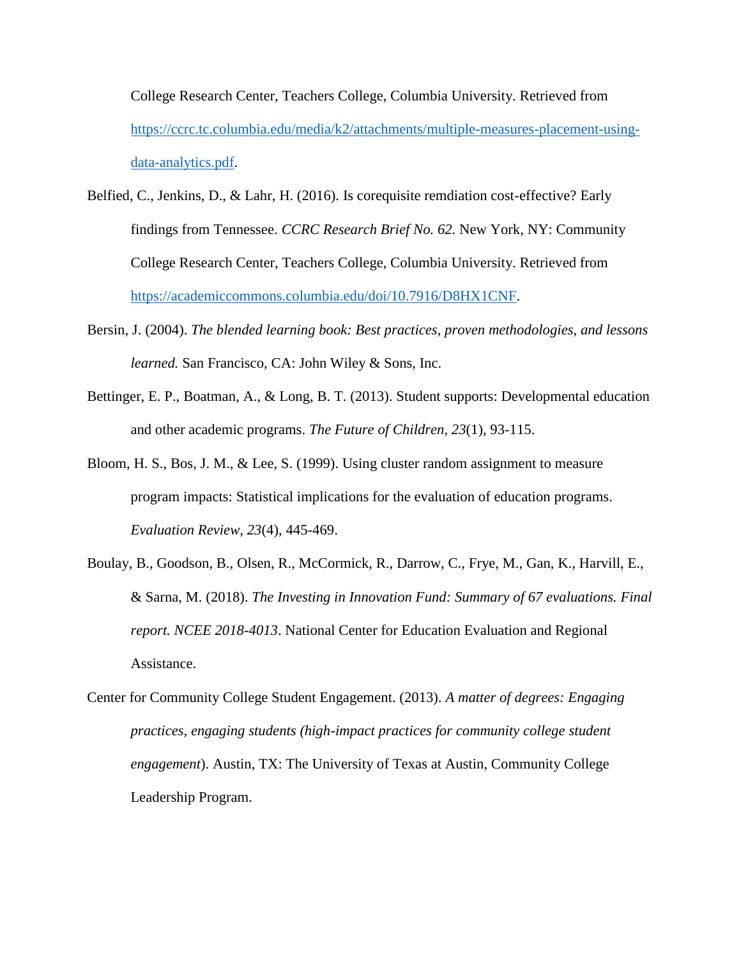College Research Center, Teachers College, Columbia University. Retrieved from [https://ccrc.tc.columbia.edu/media/k2/attachments/multiple-measures-placement-using](https://ccrc.tc.columbia.edu/media/k2/attachments/multiple-measures-placement-using-data-analytics.pdf)[data-analytics.pdf.](https://ccrc.tc.columbia.edu/media/k2/attachments/multiple-measures-placement-using-data-analytics.pdf)

- Belfied, C., Jenkins, D., & Lahr, H. (2016). Is corequisite remdiation cost-effective? Early findings from Tennessee. *CCRC Research Brief No. 62.* New York, NY: Community College Research Center, Teachers College, Columbia University. Retrieved from [https://academiccommons.columbia.edu/doi/10.7916/D8HX1CNF.](https://academiccommons.columbia.edu/doi/10.7916/D8HX1CNF)
- Bersin, J. (2004). *The blended learning book: Best practices, proven methodologies, and lessons learned.* San Francisco, CA: John Wiley & Sons, Inc.
- Bettinger, E. P., Boatman, A., & Long, B. T. (2013). Student supports: Developmental education and other academic programs. *The Future of Children, 23*(1), 93-115.
- Bloom, H. S., Bos, J. M., & Lee, S. (1999). Using cluster random assignment to measure program impacts: Statistical implications for the evaluation of education programs. *Evaluation Review, 23*(4), 445-469.
- Boulay, B., Goodson, B., Olsen, R., McCormick, R., Darrow, C., Frye, M., Gan, K., Harvill, E., & Sarna, M. (2018). *The Investing in Innovation Fund: Summary of 67 evaluations. Final report. NCEE 2018-4013*. National Center for Education Evaluation and Regional Assistance.
- Center for Community College Student Engagement. (2013). *A matter of degrees: Engaging practices, engaging students (high-impact practices for community college student engagement*). Austin, TX: The University of Texas at Austin, Community College Leadership Program.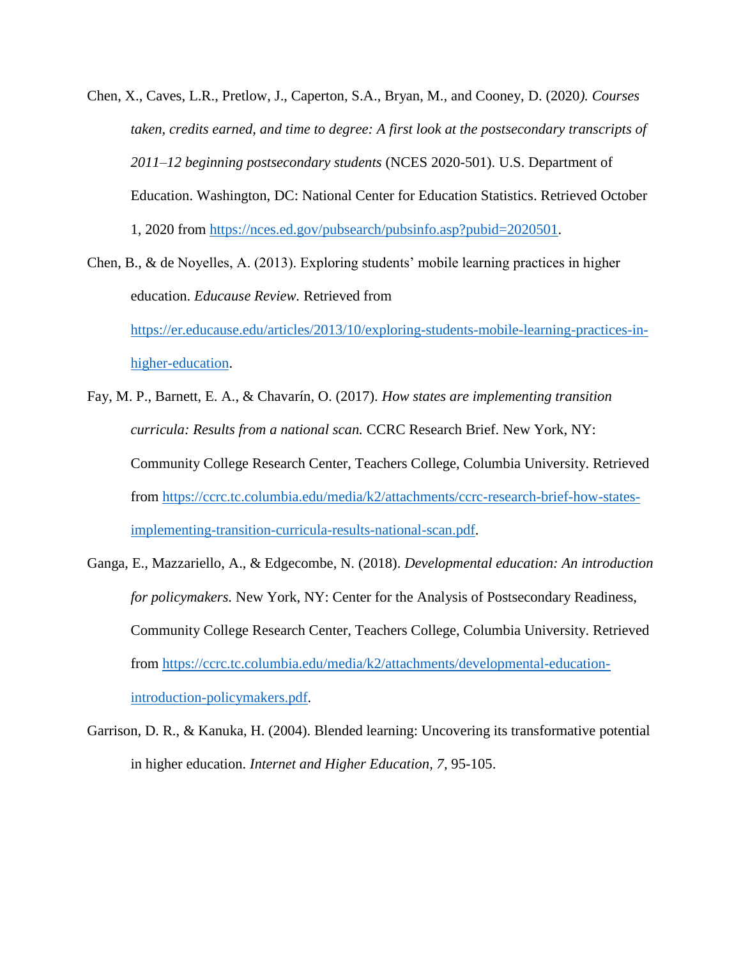Chen, X., Caves, L.R., Pretlow, J., Caperton, S.A., Bryan, M., and Cooney, D. (2020*). Courses taken, credits earned, and time to degree: A first look at the postsecondary transcripts of 2011–12 beginning postsecondary students* (NCES 2020-501). U.S. Department of Education. Washington, DC: National Center for Education Statistics. Retrieved October 1, 2020 from [https://nces.ed.gov/pubsearch/pubsinfo.asp?pubid=2020501.](https://nces.ed.gov/pubsearch/pubsinfo.asp?pubid=2020501)

Chen, B., & de Noyelles, A. (2013). Exploring students' mobile learning practices in higher education. *Educause Review.* Retrieved from [https://er.educause.edu/articles/2013/10/exploring-students-mobile-learning-practices-in](https://er.educause.edu/articles/2013/10/exploring-students-mobile-learning-practices-in-higher-education)[higher-education.](https://er.educause.edu/articles/2013/10/exploring-students-mobile-learning-practices-in-higher-education)

- Fay, M. P., Barnett, E. A., & Chavarín, O. (2017). *How states are implementing transition curricula: Results from a national scan.* CCRC Research Brief. New York, NY: Community College Research Center, Teachers College, Columbia University. Retrieved from [https://ccrc.tc.columbia.edu/media/k2/attachments/ccrc-research-brief-how-states](https://ccrc.tc.columbia.edu/media/k2/attachments/ccrc-research-brief-how-states-implementing-transition-curricula-results-national-scan.pdf)[implementing-transition-curricula-results-national-scan.pdf.](https://ccrc.tc.columbia.edu/media/k2/attachments/ccrc-research-brief-how-states-implementing-transition-curricula-results-national-scan.pdf)
- Ganga, E., Mazzariello, A., & Edgecombe, N. (2018). *Developmental education: An introduction for policymakers.* New York, NY: Center for the Analysis of Postsecondary Readiness, Community College Research Center, Teachers College, Columbia University. Retrieved from [https://ccrc.tc.columbia.edu/media/k2/attachments/developmental-education](https://ccrc.tc.columbia.edu/media/k2/attachments/developmental-education-introduction-policymakers.pdf)[introduction-policymakers.pdf.](https://ccrc.tc.columbia.edu/media/k2/attachments/developmental-education-introduction-policymakers.pdf)
- Garrison, D. R., & Kanuka, H. (2004). Blended learning: Uncovering its transformative potential in higher education. *Internet and Higher Education, 7,* 95-105.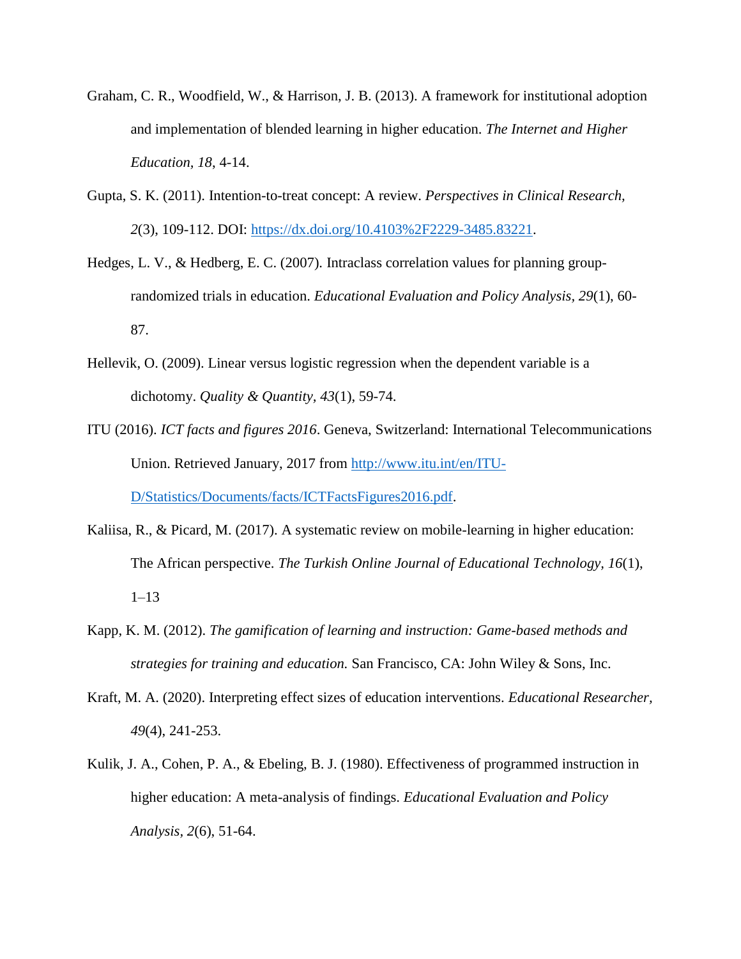- Graham, C. R., Woodfield, W., & Harrison, J. B. (2013). A framework for institutional adoption and implementation of blended learning in higher education. *The Internet and Higher Education, 18*, 4-14.
- Gupta, S. K. (2011). Intention-to-treat concept: A review. *Perspectives in Clinical Research, 2*(3), 109-112. DOI: [https://dx.doi.org/10.4103%2F2229-3485.83221.](https://dx.doi.org/10.4103%2F2229-3485.83221)
- Hedges, L. V., & Hedberg, E. C. (2007). Intraclass correlation values for planning grouprandomized trials in education. *Educational Evaluation and Policy Analysis, 29*(1), 60- 87.
- Hellevik, O. (2009). Linear versus logistic regression when the dependent variable is a dichotomy. *Quality & Quantity, 43*(1), 59-74.
- ITU (2016). *ICT facts and figures 2016*. Geneva, Switzerland: International Telecommunications Union. Retrieved January, 2017 from [http://www.itu.int/en/ITU-](http://www.itu.int/en/ITU-D/Statistics/Documents/facts/ICTFactsFigures2016.pdf)[D/Statistics/Documents/facts/ICTFactsFigures2016.pdf.](http://www.itu.int/en/ITU-D/Statistics/Documents/facts/ICTFactsFigures2016.pdf)
- Kaliisa, R., & Picard, M. (2017). A systematic review on mobile-learning in higher education: The African perspective. *The Turkish Online Journal of Educational Technology, 16*(1), 1–13
- Kapp, K. M. (2012). *The gamification of learning and instruction: Game-based methods and strategies for training and education.* San Francisco, CA: John Wiley & Sons, Inc.
- Kraft, M. A. (2020). Interpreting effect sizes of education interventions. *Educational Researcher, 49*(4), 241-253.
- Kulik, J. A., Cohen, P. A., & Ebeling, B. J. (1980). Effectiveness of programmed instruction in higher education: A meta-analysis of findings. *Educational Evaluation and Policy Analysis, 2*(6), 51-64.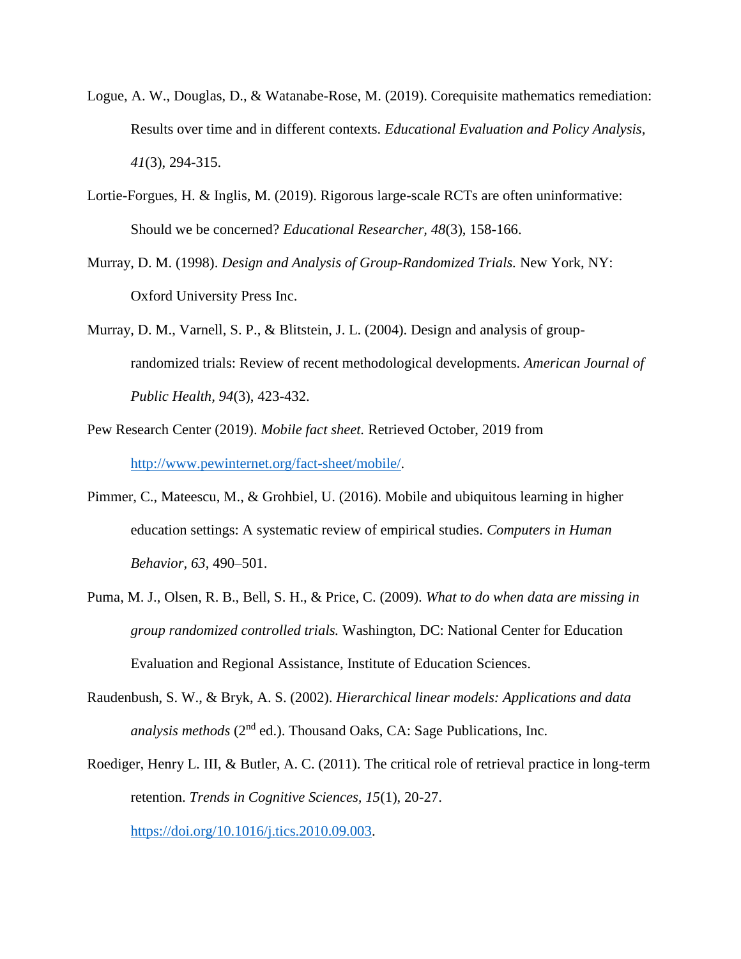- Logue, A. W., Douglas, D., & Watanabe-Rose, M. (2019). Corequisite mathematics remediation: Results over time and in different contexts. *Educational Evaluation and Policy Analysis, 41*(3), 294-315.
- Lortie-Forgues, H. & Inglis, M. (2019). Rigorous large-scale RCTs are often uninformative: Should we be concerned? *Educational Researcher, 48*(3), 158-166.
- Murray, D. M. (1998). *Design and Analysis of Group-Randomized Trials.* New York, NY: Oxford University Press Inc.
- Murray, D. M., Varnell, S. P., & Blitstein, J. L. (2004). Design and analysis of grouprandomized trials: Review of recent methodological developments. *American Journal of Public Health, 94*(3), 423-432.
- Pew Research Center (2019). *Mobile fact sheet.* Retrieved October, 2019 from [http://www.pewinternet.org/fact-sheet/mobile/.](http://www.pewinternet.org/fact-sheet/mobile/)
- Pimmer, C., Mateescu, M., & Grohbiel, U. (2016). Mobile and ubiquitous learning in higher education settings: A systematic review of empirical studies. *Computers in Human Behavior, 63*, 490–501.
- Puma, M. J., Olsen, R. B., Bell, S. H., & Price, C. (2009). *What to do when data are missing in group randomized controlled trials.* Washington, DC: National Center for Education Evaluation and Regional Assistance, Institute of Education Sciences.
- Raudenbush, S. W., & Bryk, A. S. (2002). *Hierarchical linear models: Applications and data analysis methods* ( $2<sup>nd</sup>$  ed.). Thousand Oaks, CA: Sage Publications, Inc.
- Roediger, Henry L. III, & Butler, A. C. (2011). The critical role of retrieval practice in long-term retention. *Trends in Cognitive Sciences, 15*(1), 20-27.

[https://doi.org/10.1016/j.tics.2010.09.003.](https://doi.org/10.1016/j.tics.2010.09.003)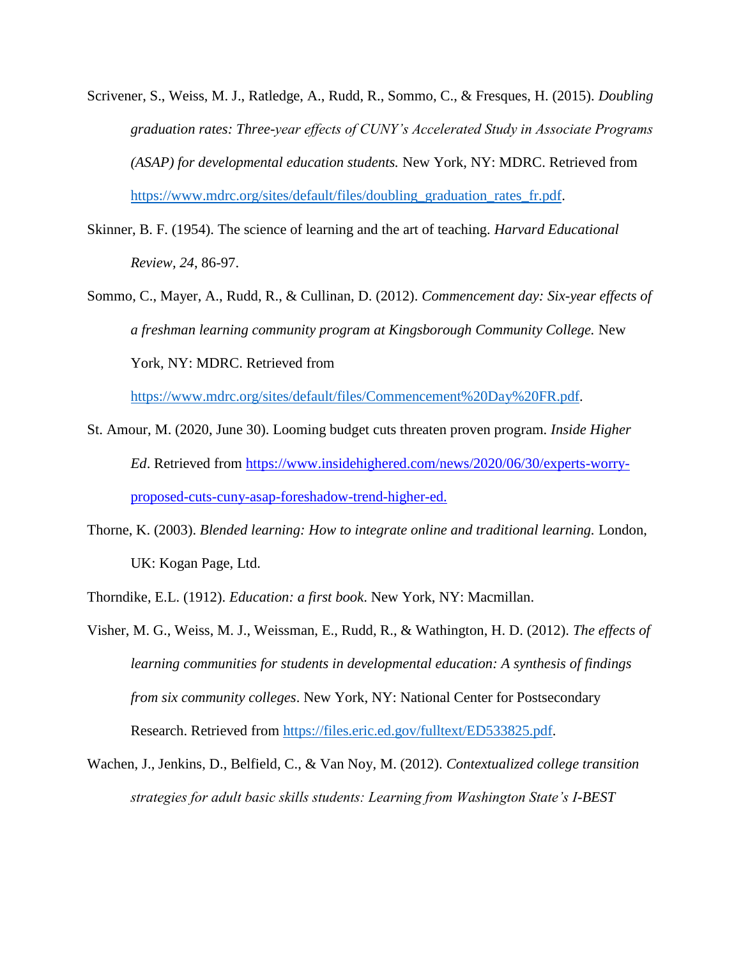- Scrivener, S., Weiss, M. J., Ratledge, A., Rudd, R., Sommo, C., & Fresques, H. (2015). *Doubling graduation rates: Three-year effects of CUNY's Accelerated Study in Associate Programs (ASAP) for developmental education students.* New York, NY: MDRC. Retrieved from [https://www.mdrc.org/sites/default/files/doubling\\_graduation\\_rates\\_fr.pdf.](https://www.mdrc.org/sites/default/files/doubling_graduation_rates_fr.pdf)
- Skinner, B. F. (1954). The science of learning and the art of teaching. *Harvard Educational Review, 24*, 86-97.
- Sommo, C., Mayer, A., Rudd, R., & Cullinan, D. (2012). *Commencement day: Six-year effects of a freshman learning community program at Kingsborough Community College.* New York, NY: MDRC. Retrieved from

[https://www.mdrc.org/sites/default/files/Commencement%20Day%20FR.pdf.](https://www.mdrc.org/sites/default/files/Commencement%20Day%20FR.pdf)

- St. Amour, M. (2020, June 30). Looming budget cuts threaten proven program. *Inside Higher Ed*. Retrieved from [https://www.insidehighered.com/news/2020/06/30/experts-worry](https://www.insidehighered.com/news/2020/06/30/experts-worry-proposed-cuts-cuny-asap-foreshadow-trend-higher-ed)[proposed-cuts-cuny-asap-foreshadow-trend-higher-ed.](https://www.insidehighered.com/news/2020/06/30/experts-worry-proposed-cuts-cuny-asap-foreshadow-trend-higher-ed)
- Thorne, K. (2003). *Blended learning: How to integrate online and traditional learning.* London, UK: Kogan Page, Ltd.

Thorndike, E.L. (1912). *Education: a first book*. New York, NY: Macmillan.

- Visher, M. G., Weiss, M. J., Weissman, E., Rudd, R., & Wathington, H. D. (2012). *The effects of learning communities for students in developmental education: A synthesis of findings from six community colleges*. New York, NY: National Center for Postsecondary Research. Retrieved from [https://files.eric.ed.gov/fulltext/ED533825.pdf.](https://files.eric.ed.gov/fulltext/ED533825.pdf)
- Wachen, J., Jenkins, D., Belfield, C., & Van Noy, M. (2012). *Contextualized college transition strategies for adult basic skills students: Learning from Washington State's I-BEST*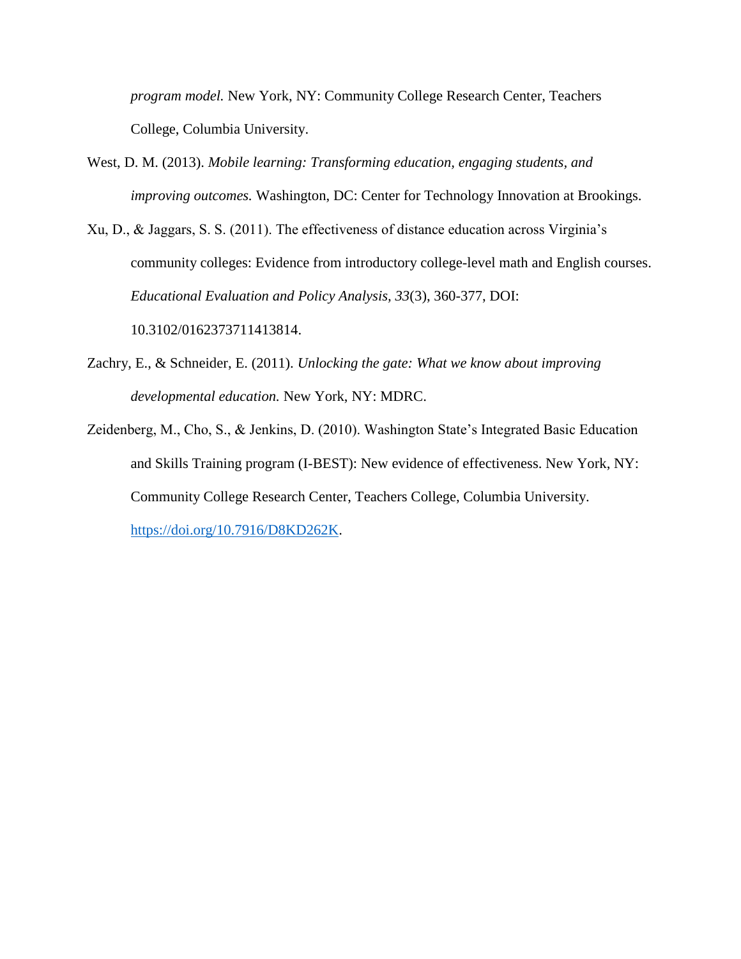*program model.* New York, NY: Community College Research Center, Teachers College, Columbia University.

- West, D. M. (2013). *Mobile learning: Transforming education, engaging students, and improving outcomes.* Washington, DC: Center for Technology Innovation at Brookings.
- Xu, D., & Jaggars, S. S. (2011). The effectiveness of distance education across Virginia's community colleges: Evidence from introductory college-level math and English courses. *Educational Evaluation and Policy Analysis, 33*(3), 360-377, DOI: 10.3102/0162373711413814.
- Zachry, E., & Schneider, E. (2011). *Unlocking the gate: What we know about improving developmental education.* New York, NY: MDRC.
- Zeidenberg, M., Cho, S., & Jenkins, D. (2010). Washington State's Integrated Basic Education and Skills Training program (I-BEST): New evidence of effectiveness. New York, NY: Community College Research Center, Teachers College, Columbia University. [https://doi.org/10.7916/D8KD262K.](https://doi.org/10.7916/D8KD262K)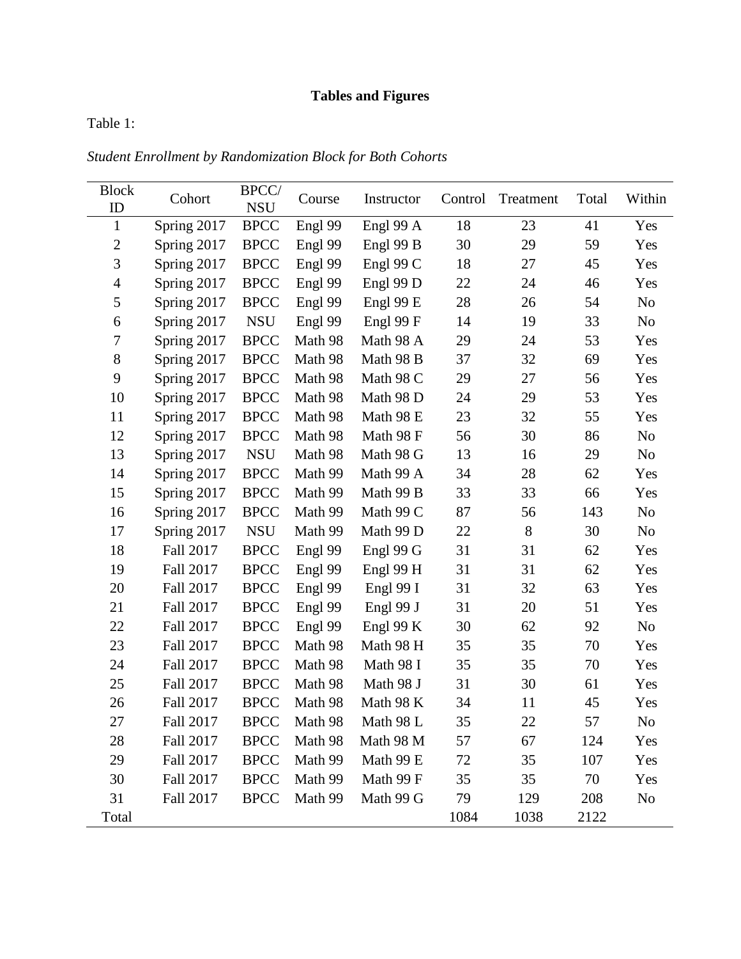# **Tables and Figures**

Table 1:

*Student Enrollment by Randomization Block for Both Cohorts*

| <b>Block</b>       | Cohort      | BPCC/                     | Course  | Instructor  | Control | Treatment | Total | Within         |
|--------------------|-------------|---------------------------|---------|-------------|---------|-----------|-------|----------------|
| ID<br>$\mathbf{1}$ | Spring 2017 | <b>NSU</b><br><b>BPCC</b> | Engl 99 | Engl 99 A   | 18      | 23        | 41    | Yes            |
| $\mathbf{2}$       | Spring 2017 | <b>BPCC</b>               | Engl 99 | Engl 99 B   | 30      | 29        | 59    | Yes            |
| 3                  | Spring 2017 | <b>BPCC</b>               | Engl 99 | Engl 99 C   | 18      | 27        | 45    | Yes            |
| $\overline{4}$     | Spring 2017 | <b>BPCC</b>               | Engl 99 | Engl 99 D   | 22      | 24        | 46    | Yes            |
| 5                  | Spring 2017 | <b>BPCC</b>               | Engl 99 | Engl 99 E   | 28      | 26        | 54    | No             |
| 6                  | Spring 2017 | <b>NSU</b>                | Engl 99 | Engl 99 F   | 14      | 19        | 33    | No             |
| $\tau$             | Spring 2017 | <b>BPCC</b>               | Math 98 | Math 98 A   | 29      | 24        | 53    | Yes            |
| $8\,$              | Spring 2017 | <b>BPCC</b>               | Math 98 | Math 98 B   | 37      | 32        | 69    | Yes            |
| 9                  | Spring 2017 | <b>BPCC</b>               | Math 98 | Math 98 C   | 29      | 27        | 56    | Yes            |
| 10                 | Spring 2017 | <b>BPCC</b>               | Math 98 | Math 98 D   | 24      | 29        | 53    | Yes            |
| 11                 | Spring 2017 | <b>BPCC</b>               | Math 98 | Math 98 E   | 23      | 32        | 55    | Yes            |
| 12                 | Spring 2017 | <b>BPCC</b>               | Math 98 | Math 98 F   | 56      | 30        | 86    | No             |
| 13                 | Spring 2017 | <b>NSU</b>                | Math 98 | Math 98 G   | 13      | 16        | 29    | No             |
| 14                 | Spring 2017 | <b>BPCC</b>               | Math 99 | Math 99 A   | 34      | 28        | 62    | Yes            |
| 15                 | Spring 2017 | <b>BPCC</b>               | Math 99 | Math 99 B   | 33      | 33        | 66    | Yes            |
| 16                 | Spring 2017 | <b>BPCC</b>               | Math 99 | Math 99 C   | 87      | 56        | 143   | N <sub>o</sub> |
| 17                 | Spring 2017 | <b>NSU</b>                | Math 99 | Math 99 D   | 22      | 8         | 30    | No             |
| 18                 | Fall 2017   | <b>BPCC</b>               | Engl 99 | Engl 99 $G$ | 31      | 31        | 62    | Yes            |
| 19                 | Fall 2017   | <b>BPCC</b>               | Engl 99 | Engl 99 H   | 31      | 31        | 62    | Yes            |
| 20                 | Fall 2017   | <b>BPCC</b>               | Engl 99 | Engl 99 $I$ | 31      | 32        | 63    | Yes            |
| 21                 | Fall 2017   | <b>BPCC</b>               | Engl 99 | Engl 99 J   | 31      | 20        | 51    | Yes            |
| 22                 | Fall 2017   | <b>BPCC</b>               | Engl 99 | Engl 99 K   | 30      | 62        | 92    | No             |
| 23                 | Fall 2017   | <b>BPCC</b>               | Math 98 | Math 98 H   | 35      | 35        | 70    | Yes            |
| 24                 | Fall 2017   | <b>BPCC</b>               | Math 98 | Math 98 I   | 35      | 35        | 70    | Yes            |
| 25                 | Fall 2017   | <b>BPCC</b>               | Math 98 | Math 98 J   | 31      | 30        | 61    | Yes            |
| 26                 | Fall 2017   | <b>BPCC</b>               | Math 98 | Math 98 K   | 34      | 11        | 45    | Yes            |
| 27                 | Fall 2017   | <b>BPCC</b>               | Math 98 | Math 98 L   | 35      | 22        | 57    | No             |
| 28                 | Fall 2017   | <b>BPCC</b>               | Math 98 | Math 98 M   | 57      | 67        | 124   | Yes            |
| 29                 | Fall 2017   | <b>BPCC</b>               | Math 99 | Math 99 E   | 72      | 35        | 107   | Yes            |
| 30                 | Fall 2017   | <b>BPCC</b>               | Math 99 | Math 99 F   | 35      | 35        | 70    | Yes            |
| 31                 | Fall 2017   | <b>BPCC</b>               | Math 99 | Math 99 G   | 79      | 129       | 208   | N <sub>0</sub> |
| Total              |             |                           |         |             | 1084    | 1038      | 2122  |                |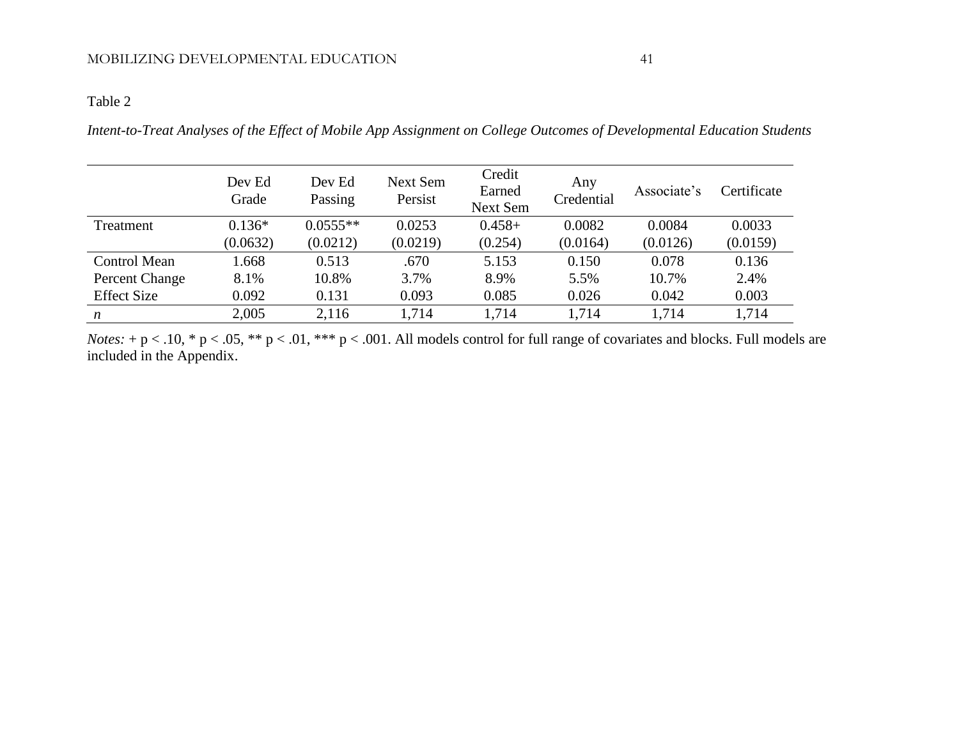# Table 2

*Intent-to-Treat Analyses of the Effect of Mobile App Assignment on College Outcomes of Developmental Education Students*

|                     | Dev Ed<br>Grade | Dev Ed<br>Passing | Next Sem<br>Persist | Credit<br>Earned<br><b>Next Sem</b> | Any<br>Credential | Associate's | Certificate |
|---------------------|-----------------|-------------------|---------------------|-------------------------------------|-------------------|-------------|-------------|
| Treatment           | $0.136*$        | $0.0555**$        | 0.0253              | $0.458+$                            | 0.0082            | 0.0084      | 0.0033      |
|                     | (0.0632)        | (0.0212)          | (0.0219)            | (0.254)                             | (0.0164)          | (0.0126)    | (0.0159)    |
| <b>Control Mean</b> | 1.668           | 0.513             | .670                | 5.153                               | 0.150             | 0.078       | 0.136       |
| Percent Change      | 8.1%            | 10.8%             | 3.7%                | 8.9%                                | 5.5%              | 10.7%       | 2.4%        |
| <b>Effect Size</b>  | 0.092           | 0.131             | 0.093               | 0.085                               | 0.026             | 0.042       | 0.003       |
| $\boldsymbol{n}$    | 2,005           | 2,116             | 1,714               | 1,714                               | 1,714             | 1,714       | 1,714       |

*Notes:* + p < .10, \* p < .05, \*\* p < .01, \*\*\* p < .001. All models control for full range of covariates and blocks. Full models are included in the Appendix.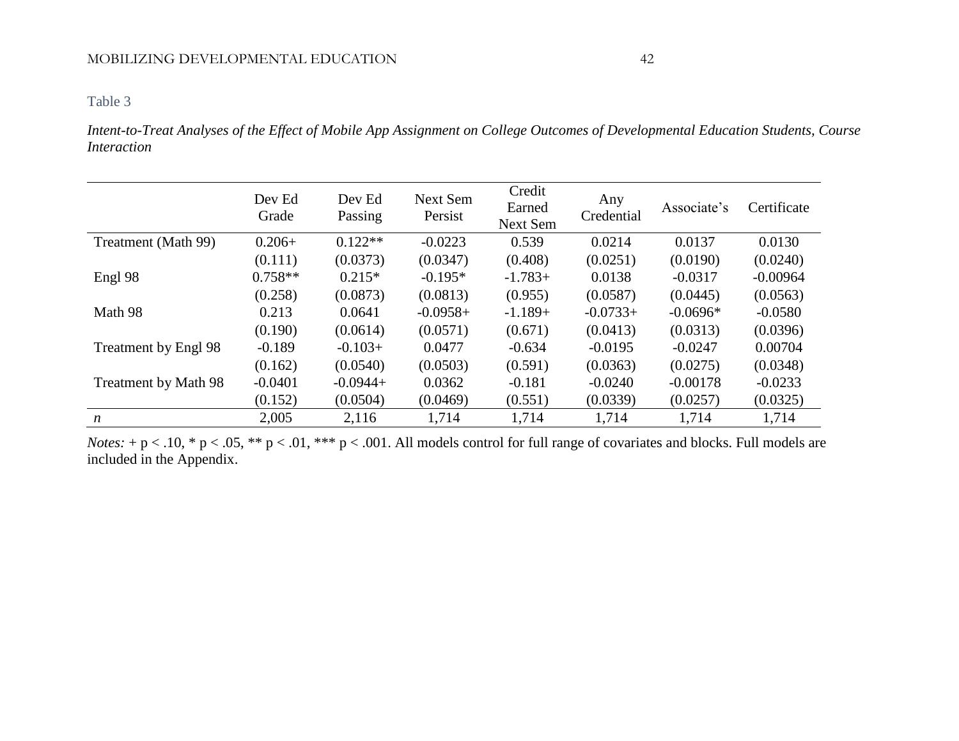#### Table 3

*Intent-to-Treat Analyses of the Effect of Mobile App Assignment on College Outcomes of Developmental Education Students, Course Interaction*

|                      | Dev Ed<br>Grade | Dev Ed<br>Passing | Next Sem<br>Persist | Credit<br>Earned<br>Next Sem | Any<br>Credential | Associate's | Certificate |
|----------------------|-----------------|-------------------|---------------------|------------------------------|-------------------|-------------|-------------|
| Treatment (Math 99)  | $0.206+$        | $0.122**$         | $-0.0223$           | 0.539                        | 0.0214            | 0.0137      | 0.0130      |
|                      | (0.111)         | (0.0373)          | (0.0347)            | (0.408)                      | (0.0251)          | (0.0190)    | (0.0240)    |
| Engl 98              | $0.758**$       | $0.215*$          | $-0.195*$           | $-1.783+$                    | 0.0138            | $-0.0317$   | $-0.00964$  |
|                      | (0.258)         | (0.0873)          | (0.0813)            | (0.955)                      | (0.0587)          | (0.0445)    | (0.0563)    |
| Math 98              | 0.213           | 0.0641            | $-0.0958+$          | $-1.189+$                    | $-0.0733+$        | $-0.0696*$  | $-0.0580$   |
|                      | (0.190)         | (0.0614)          | (0.0571)            | (0.671)                      | (0.0413)          | (0.0313)    | (0.0396)    |
| Treatment by Engl 98 | $-0.189$        | $-0.103+$         | 0.0477              | $-0.634$                     | $-0.0195$         | $-0.0247$   | 0.00704     |
|                      | (0.162)         | (0.0540)          | (0.0503)            | (0.591)                      | (0.0363)          | (0.0275)    | (0.0348)    |
| Treatment by Math 98 | $-0.0401$       | $-0.0944+$        | 0.0362              | $-0.181$                     | $-0.0240$         | $-0.00178$  | $-0.0233$   |
|                      | (0.152)         | (0.0504)          | (0.0469)            | (0.551)                      | (0.0339)          | (0.0257)    | (0.0325)    |
| $\boldsymbol{n}$     | 2,005           | 2,116             | 1,714               | 1,714                        | 1,714             | 1,714       | 1,714       |

*Notes:* + p < .10, \* p < .05, \*\* p < .01, \*\*\* p < .001. All models control for full range of covariates and blocks. Full models are included in the Appendix.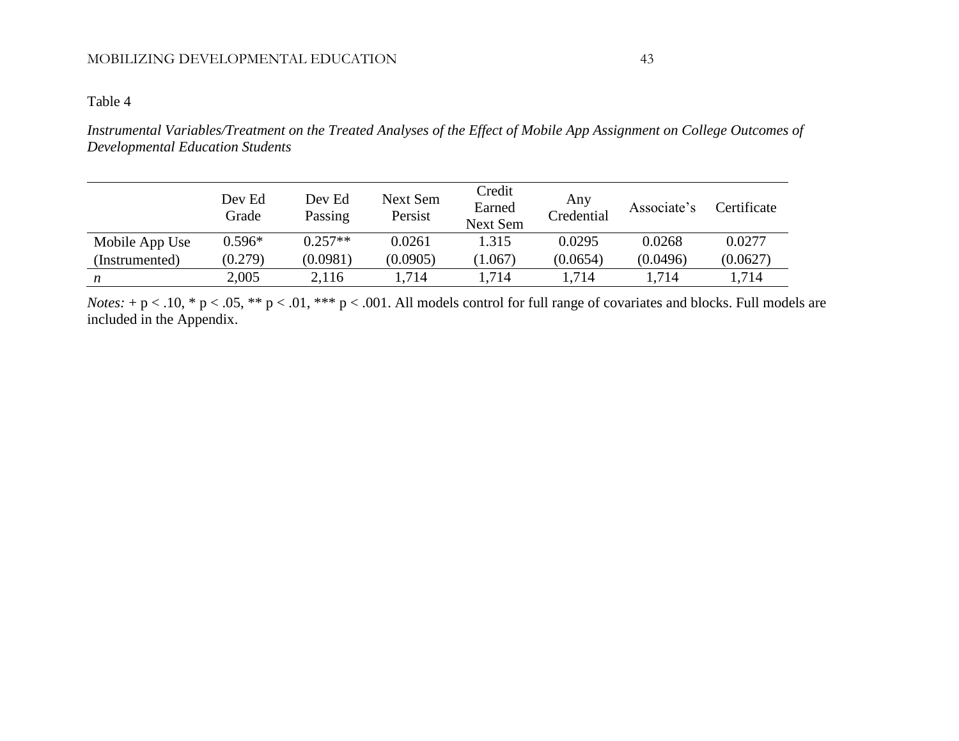#### Table 4

*Instrumental Variables/Treatment on the Treated Analyses of the Effect of Mobile App Assignment on College Outcomes of Developmental Education Students*

|                | Dev Ed<br>Grade | Dev Ed<br>Passing | Next Sem<br>Persist | Credit<br>Earned<br><b>Next Sem</b> | Any<br>Credential | Associate's | Certificate |
|----------------|-----------------|-------------------|---------------------|-------------------------------------|-------------------|-------------|-------------|
| Mobile App Use | $0.596*$        | $0.257**$         | 0.0261              | 1.315                               | 0.0295            | 0.0268      | 0.0277      |
| (Instrumented) | (0.279)         | (0.0981)          | (0.0905)            | (1.067)                             | (0.0654)          | (0.0496)    | (0.0627)    |
| n              | 2,005           | 2,116             | 1,714               | 1,714                               | 1,714             | 1,714       | 1,714       |

*Notes:* + p < .10, \* p < .05, \*\* p < .01, \*\*\* p < .001. All models control for full range of covariates and blocks. Full models are included in the Appendix.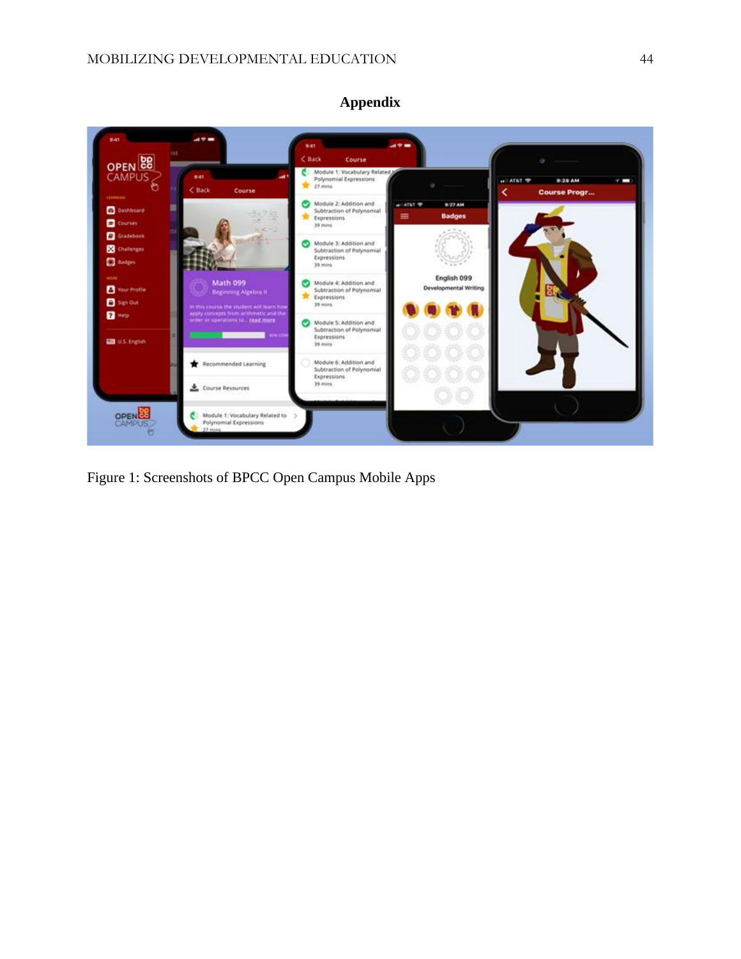

Figure 1: Screenshots of BPCC Open Campus Mobile Apps

#### **Appendix**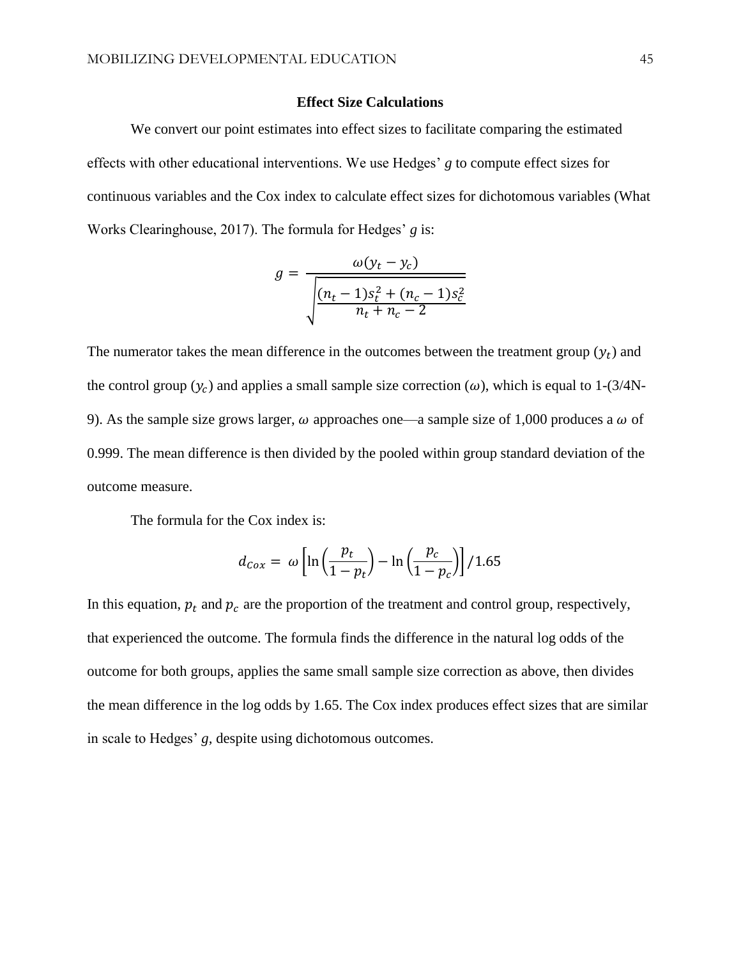#### **Effect Size Calculations**

We convert our point estimates into effect sizes to facilitate comparing the estimated effects with other educational interventions. We use Hedges' *g* to compute effect sizes for continuous variables and the Cox index to calculate effect sizes for dichotomous variables (What Works Clearinghouse, 2017). The formula for Hedges' *g* is:

$$
g = \frac{\omega(y_t - y_c)}{\sqrt{\frac{(n_t - 1)s_t^2 + (n_c - 1)s_c^2}{n_t + n_c - 2}}}
$$

The numerator takes the mean difference in the outcomes between the treatment group  $(y_t)$  and the control group  $(y_c)$  and applies a small sample size correction  $(\omega)$ , which is equal to 1-(3/4N-9). As the sample size grows larger,  $\omega$  approaches one—a sample size of 1,000 produces a  $\omega$  of 0.999. The mean difference is then divided by the pooled within group standard deviation of the outcome measure.

The formula for the Cox index is:

$$
d_{\text{Cox}} = \omega \left[ \ln \left( \frac{p_t}{1 - p_t} \right) - \ln \left( \frac{p_c}{1 - p_c} \right) \right] / 1.65
$$

In this equation,  $p_t$  and  $p_c$  are the proportion of the treatment and control group, respectively, that experienced the outcome. The formula finds the difference in the natural log odds of the outcome for both groups, applies the same small sample size correction as above, then divides the mean difference in the log odds by 1.65. The Cox index produces effect sizes that are similar in scale to Hedges' *g,* despite using dichotomous outcomes.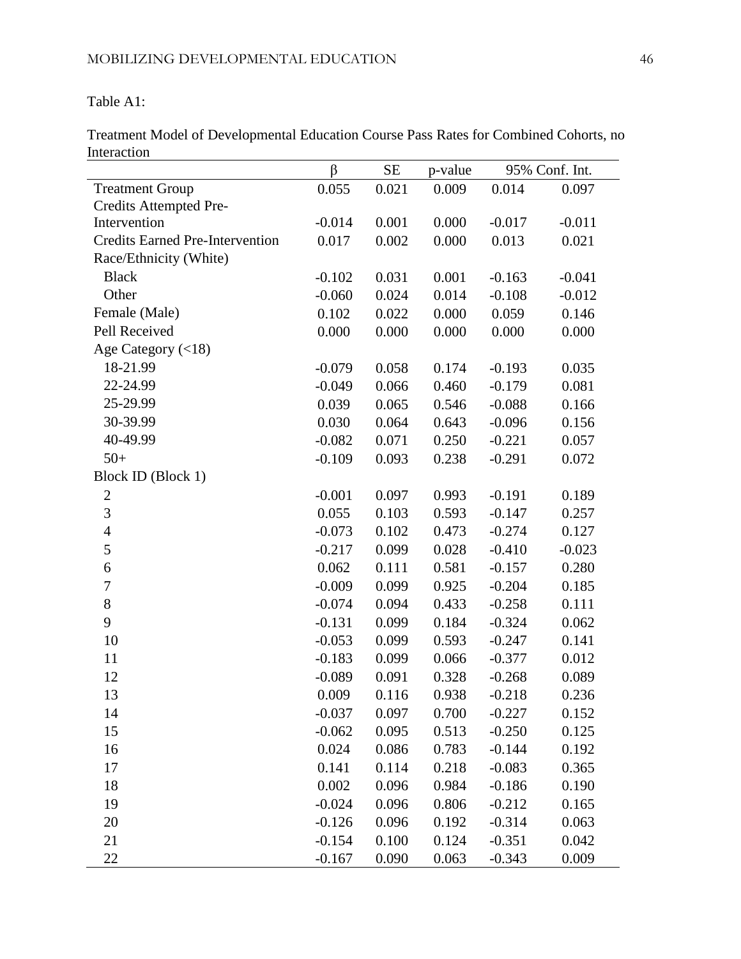Table A1:

Treatment Model of Developmental Education Course Pass Rates for Combined Cohorts, no Interaction

|                                        | β        | <b>SE</b> | p-value |          | 95% Conf. Int. |
|----------------------------------------|----------|-----------|---------|----------|----------------|
| <b>Treatment Group</b>                 | 0.055    | 0.021     | 0.009   | 0.014    | 0.097          |
| Credits Attempted Pre-                 |          |           |         |          |                |
| Intervention                           | $-0.014$ | 0.001     | 0.000   | $-0.017$ | $-0.011$       |
| <b>Credits Earned Pre-Intervention</b> | 0.017    | 0.002     | 0.000   | 0.013    | 0.021          |
| Race/Ethnicity (White)                 |          |           |         |          |                |
| <b>Black</b>                           | $-0.102$ | 0.031     | 0.001   | $-0.163$ | $-0.041$       |
| Other                                  | $-0.060$ | 0.024     | 0.014   | $-0.108$ | $-0.012$       |
| Female (Male)                          | 0.102    | 0.022     | 0.000   | 0.059    | 0.146          |
| Pell Received                          | 0.000    | 0.000     | 0.000   | 0.000    | 0.000          |
| Age Category $(<18)$                   |          |           |         |          |                |
| 18-21.99                               | $-0.079$ | 0.058     | 0.174   | $-0.193$ | 0.035          |
| 22-24.99                               | $-0.049$ | 0.066     | 0.460   | $-0.179$ | 0.081          |
| 25-29.99                               | 0.039    | 0.065     | 0.546   | $-0.088$ | 0.166          |
| 30-39.99                               | 0.030    | 0.064     | 0.643   | $-0.096$ | 0.156          |
| 40-49.99                               | $-0.082$ | 0.071     | 0.250   | $-0.221$ | 0.057          |
| $50+$                                  | $-0.109$ | 0.093     | 0.238   | $-0.291$ | 0.072          |
| Block ID (Block 1)                     |          |           |         |          |                |
| $\boldsymbol{2}$                       | $-0.001$ | 0.097     | 0.993   | $-0.191$ | 0.189          |
| 3                                      | 0.055    | 0.103     | 0.593   | $-0.147$ | 0.257          |
| $\overline{4}$                         | $-0.073$ | 0.102     | 0.473   | $-0.274$ | 0.127          |
| 5                                      | $-0.217$ | 0.099     | 0.028   | $-0.410$ | $-0.023$       |
| 6                                      | 0.062    | 0.111     | 0.581   | $-0.157$ | 0.280          |
| 7                                      | $-0.009$ | 0.099     | 0.925   | $-0.204$ | 0.185          |
| $8\,$                                  | $-0.074$ | 0.094     | 0.433   | $-0.258$ | 0.111          |
| 9                                      | $-0.131$ | 0.099     | 0.184   | $-0.324$ | 0.062          |
| 10                                     | $-0.053$ | 0.099     | 0.593   | $-0.247$ | 0.141          |
| 11                                     | $-0.183$ | 0.099     | 0.066   | $-0.377$ | 0.012          |
| 12                                     | $-0.089$ | 0.091     | 0.328   | $-0.268$ | 0.089          |
| 13                                     | 0.009    | 0.116     | 0.938   | $-0.218$ | 0.236          |
| 14                                     | $-0.037$ | 0.097     | 0.700   | $-0.227$ | 0.152          |
| 15                                     | $-0.062$ | 0.095     | 0.513   | $-0.250$ | 0.125          |
| 16                                     | 0.024    | 0.086     | 0.783   | $-0.144$ | 0.192          |
| 17                                     | 0.141    | 0.114     | 0.218   | $-0.083$ | 0.365          |
| 18                                     | 0.002    | 0.096     | 0.984   | $-0.186$ | 0.190          |
| 19                                     | $-0.024$ | 0.096     | 0.806   | $-0.212$ | 0.165          |
| 20                                     | $-0.126$ | 0.096     | 0.192   | $-0.314$ | 0.063          |
| 21                                     | $-0.154$ | 0.100     | 0.124   | $-0.351$ | 0.042          |
| 22                                     | $-0.167$ | 0.090     | 0.063   | $-0.343$ | 0.009          |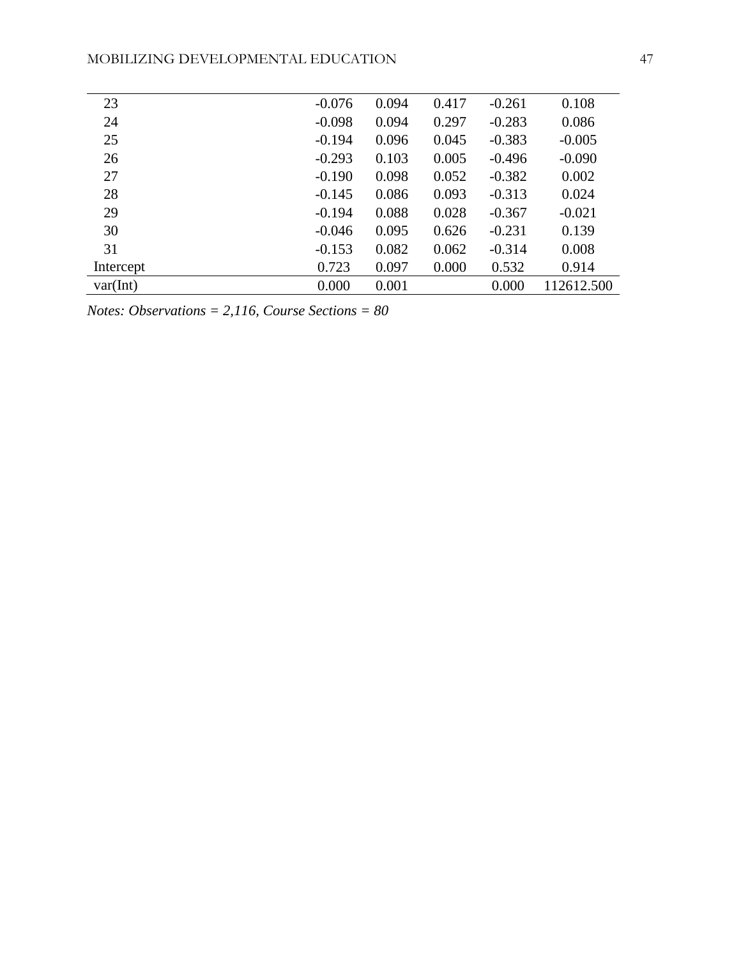| 23        | $-0.076$ | 0.094 | 0.417 | $-0.261$ | 0.108      |
|-----------|----------|-------|-------|----------|------------|
| 24        | $-0.098$ | 0.094 | 0.297 | $-0.283$ | 0.086      |
| 25        | $-0.194$ | 0.096 | 0.045 | $-0.383$ | $-0.005$   |
| 26        | $-0.293$ | 0.103 | 0.005 | $-0.496$ | $-0.090$   |
| 27        | $-0.190$ | 0.098 | 0.052 | $-0.382$ | 0.002      |
| 28        | $-0.145$ | 0.086 | 0.093 | $-0.313$ | 0.024      |
| 29        | $-0.194$ | 0.088 | 0.028 | $-0.367$ | $-0.021$   |
| 30        | $-0.046$ | 0.095 | 0.626 | $-0.231$ | 0.139      |
| 31        | $-0.153$ | 0.082 | 0.062 | $-0.314$ | 0.008      |
| Intercept | 0.723    | 0.097 | 0.000 | 0.532    | 0.914      |
| var(int)  | 0.000    | 0.001 |       | 0.000    | 112612.500 |
|           |          |       |       |          |            |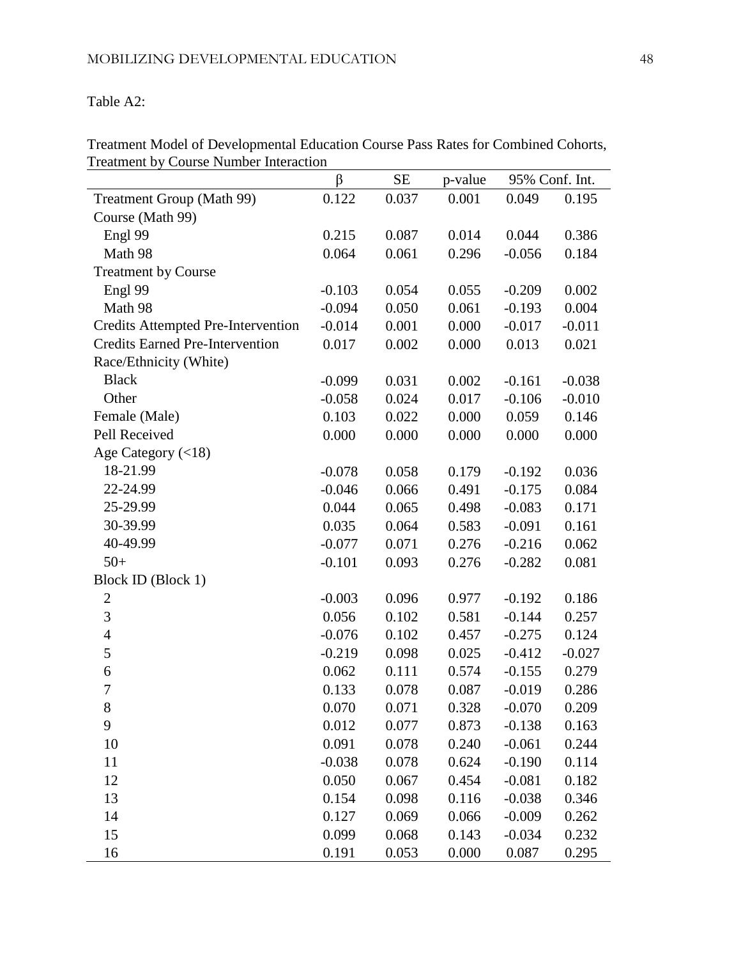# Table A2:

|                                           | $\beta$  | SE    | p-value | 95% Conf. Int. |          |
|-------------------------------------------|----------|-------|---------|----------------|----------|
| <b>Treatment Group (Math 99)</b>          | 0.122    | 0.037 | 0.001   | 0.049          | 0.195    |
| Course (Math 99)                          |          |       |         |                |          |
| Engl 99                                   | 0.215    | 0.087 | 0.014   | 0.044          | 0.386    |
| Math 98                                   | 0.064    | 0.061 | 0.296   | $-0.056$       | 0.184    |
| <b>Treatment by Course</b>                |          |       |         |                |          |
| Engl 99                                   | $-0.103$ | 0.054 | 0.055   | $-0.209$       | 0.002    |
| Math 98                                   | $-0.094$ | 0.050 | 0.061   | $-0.193$       | 0.004    |
| <b>Credits Attempted Pre-Intervention</b> | $-0.014$ | 0.001 | 0.000   | $-0.017$       | $-0.011$ |
| <b>Credits Earned Pre-Intervention</b>    | 0.017    | 0.002 | 0.000   | 0.013          | 0.021    |
| Race/Ethnicity (White)                    |          |       |         |                |          |
| <b>Black</b>                              | $-0.099$ | 0.031 | 0.002   | $-0.161$       | $-0.038$ |
| Other                                     | $-0.058$ | 0.024 | 0.017   | $-0.106$       | $-0.010$ |
| Female (Male)                             | 0.103    | 0.022 | 0.000   | 0.059          | 0.146    |
| Pell Received                             | 0.000    | 0.000 | 0.000   | 0.000          | 0.000    |
| Age Category (<18)                        |          |       |         |                |          |
| 18-21.99                                  | $-0.078$ | 0.058 | 0.179   | $-0.192$       | 0.036    |
| 22-24.99                                  | $-0.046$ | 0.066 | 0.491   | $-0.175$       | 0.084    |
| 25-29.99                                  | 0.044    | 0.065 | 0.498   | $-0.083$       | 0.171    |
| 30-39.99                                  | 0.035    | 0.064 | 0.583   | $-0.091$       | 0.161    |
| 40-49.99                                  | $-0.077$ | 0.071 | 0.276   | $-0.216$       | 0.062    |
| $50+$                                     | $-0.101$ | 0.093 | 0.276   | $-0.282$       | 0.081    |
| Block ID (Block 1)                        |          |       |         |                |          |
| $\overline{c}$                            | $-0.003$ | 0.096 | 0.977   | $-0.192$       | 0.186    |
| 3                                         | 0.056    | 0.102 | 0.581   | $-0.144$       | 0.257    |
| $\overline{4}$                            | $-0.076$ | 0.102 | 0.457   | $-0.275$       | 0.124    |
| 5                                         | $-0.219$ | 0.098 | 0.025   | $-0.412$       | $-0.027$ |
| 6                                         | 0.062    | 0.111 | 0.574   | $-0.155$       | 0.279    |
| $\overline{7}$                            | 0.133    | 0.078 | 0.087   | $-0.019$       | 0.286    |
| 8                                         | 0.070    | 0.071 | 0.328   | $-0.070$       | 0.209    |
| 9                                         | 0.012    | 0.077 | 0.873   | $-0.138$       | 0.163    |
| 10                                        | 0.091    | 0.078 | 0.240   | $-0.061$       | 0.244    |
| 11                                        | $-0.038$ | 0.078 | 0.624   | $-0.190$       | 0.114    |
| 12                                        | 0.050    | 0.067 | 0.454   | $-0.081$       | 0.182    |
| 13                                        | 0.154    | 0.098 | 0.116   | $-0.038$       | 0.346    |
| 14                                        | 0.127    | 0.069 | 0.066   | $-0.009$       | 0.262    |
| 15                                        | 0.099    | 0.068 | 0.143   | $-0.034$       | 0.232    |
| 16                                        | 0.191    | 0.053 | 0.000   | 0.087          | 0.295    |

Treatment Model of Developmental Education Course Pass Rates for Combined Cohorts, Treatment by Course Number Interaction  $\overline{\phantom{0}}$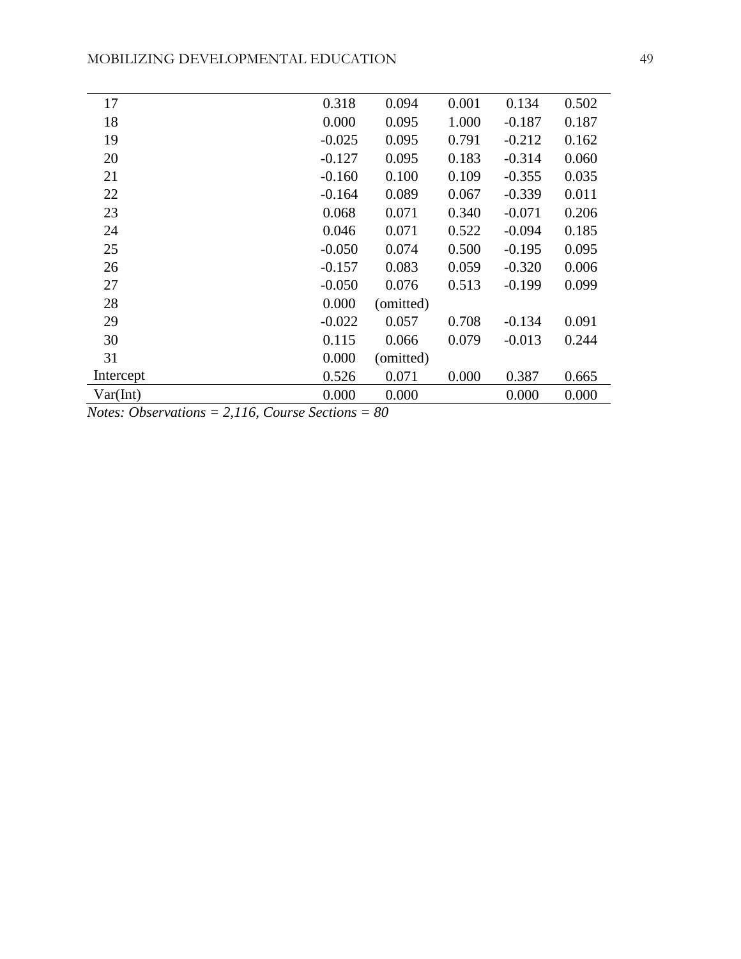| 17        | 0.318    | 0.094     | 0.001 | 0.134    | 0.502 |
|-----------|----------|-----------|-------|----------|-------|
| 18        | 0.000    | 0.095     | 1.000 | $-0.187$ | 0.187 |
| 19        | $-0.025$ | 0.095     | 0.791 | $-0.212$ | 0.162 |
| 20        | $-0.127$ | 0.095     | 0.183 | $-0.314$ | 0.060 |
| 21        | $-0.160$ | 0.100     | 0.109 | $-0.355$ | 0.035 |
| 22        | $-0.164$ | 0.089     | 0.067 | $-0.339$ | 0.011 |
| 23        | 0.068    | 0.071     | 0.340 | $-0.071$ | 0.206 |
| 24        | 0.046    | 0.071     | 0.522 | $-0.094$ | 0.185 |
| 25        | $-0.050$ | 0.074     | 0.500 | $-0.195$ | 0.095 |
| 26        | $-0.157$ | 0.083     | 0.059 | $-0.320$ | 0.006 |
| 27        | $-0.050$ | 0.076     | 0.513 | $-0.199$ | 0.099 |
| 28        | 0.000    | (omitted) |       |          |       |
| 29        | $-0.022$ | 0.057     | 0.708 | $-0.134$ | 0.091 |
| 30        | 0.115    | 0.066     | 0.079 | $-0.013$ | 0.244 |
| 31        | 0.000    | (omitted) |       |          |       |
| Intercept | 0.526    | 0.071     | 0.000 | 0.387    | 0.665 |
| Var(Int)  | 0.000    | 0.000     |       | 0.000    | 0.000 |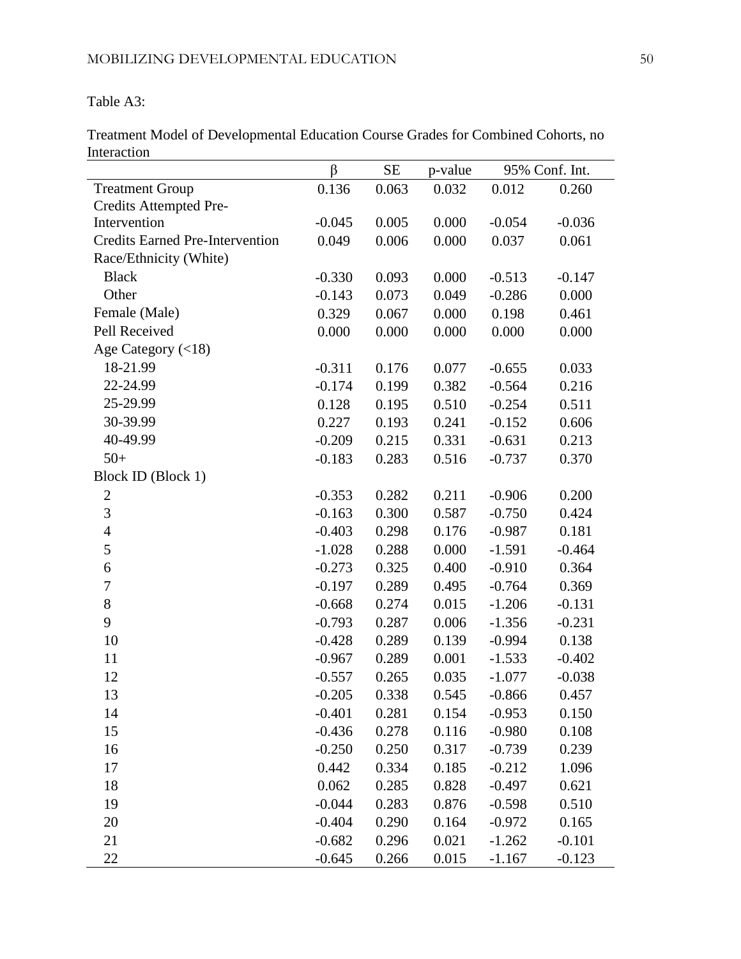Table A3:

Treatment Model of Developmental Education Course Grades for Combined Cohorts, no Interaction

| munavuon                               | $\beta$  | <b>SE</b> | p-value |          | 95% Conf. Int. |
|----------------------------------------|----------|-----------|---------|----------|----------------|
|                                        |          |           |         |          |                |
| <b>Treatment Group</b>                 | 0.136    | 0.063     | 0.032   | 0.012    | 0.260          |
| Credits Attempted Pre-<br>Intervention | $-0.045$ | 0.005     | 0.000   | $-0.054$ | $-0.036$       |
| <b>Credits Earned Pre-Intervention</b> | 0.049    | 0.006     | 0.000   | 0.037    | 0.061          |
| Race/Ethnicity (White)                 |          |           |         |          |                |
| <b>Black</b>                           | $-0.330$ | 0.093     | 0.000   | $-0.513$ | $-0.147$       |
| Other                                  | $-0.143$ | 0.073     | 0.049   | $-0.286$ | 0.000          |
| Female (Male)                          | 0.329    | 0.067     | 0.000   | 0.198    | 0.461          |
| Pell Received                          | 0.000    | 0.000     | 0.000   |          | 0.000          |
|                                        |          |           |         | 0.000    |                |
| Age Category $(<18)$<br>18-21.99       |          |           |         |          |                |
|                                        | $-0.311$ | 0.176     | 0.077   | $-0.655$ | 0.033          |
| 22-24.99                               | $-0.174$ | 0.199     | 0.382   | $-0.564$ | 0.216          |
| 25-29.99                               | 0.128    | 0.195     | 0.510   | $-0.254$ | 0.511          |
| 30-39.99                               | 0.227    | 0.193     | 0.241   | $-0.152$ | 0.606          |
| 40-49.99                               | $-0.209$ | 0.215     | 0.331   | $-0.631$ | 0.213          |
| $50+$                                  | $-0.183$ | 0.283     | 0.516   | $-0.737$ | 0.370          |
| Block ID (Block 1)                     |          |           |         |          |                |
| $\mathbf{2}$                           | $-0.353$ | 0.282     | 0.211   | $-0.906$ | 0.200          |
| $\mathfrak{Z}$                         | $-0.163$ | 0.300     | 0.587   | $-0.750$ | 0.424          |
| $\overline{4}$                         | $-0.403$ | 0.298     | 0.176   | $-0.987$ | 0.181          |
| 5                                      | $-1.028$ | 0.288     | 0.000   | $-1.591$ | $-0.464$       |
| 6                                      | $-0.273$ | 0.325     | 0.400   | $-0.910$ | 0.364          |
| $\boldsymbol{7}$                       | $-0.197$ | 0.289     | 0.495   | $-0.764$ | 0.369          |
| $8\,$                                  | $-0.668$ | 0.274     | 0.015   | $-1.206$ | $-0.131$       |
| 9                                      | $-0.793$ | 0.287     | 0.006   | $-1.356$ | $-0.231$       |
| 10                                     | $-0.428$ | 0.289     | 0.139   | $-0.994$ | 0.138          |
| 11                                     | $-0.967$ | 0.289     | 0.001   | $-1.533$ | $-0.402$       |
| 12                                     | $-0.557$ | 0.265     | 0.035   | $-1.077$ | $-0.038$       |
| 13                                     | $-0.205$ | 0.338     | 0.545   | $-0.866$ | 0.457          |
| 14                                     | $-0.401$ | 0.281     | 0.154   | $-0.953$ | 0.150          |
| 15                                     | $-0.436$ | 0.278     | 0.116   | $-0.980$ | 0.108          |
| 16                                     | $-0.250$ | 0.250     | 0.317   | $-0.739$ | 0.239          |
| 17                                     | 0.442    | 0.334     | 0.185   | $-0.212$ | 1.096          |
| 18                                     | 0.062    | 0.285     | 0.828   | $-0.497$ | 0.621          |
| 19                                     | $-0.044$ | 0.283     | 0.876   | $-0.598$ | 0.510          |
| 20                                     | $-0.404$ | 0.290     | 0.164   | $-0.972$ | 0.165          |
| 21                                     | $-0.682$ | 0.296     | 0.021   | $-1.262$ | $-0.101$       |
| 22                                     | $-0.645$ | 0.266     | 0.015   | $-1.167$ | $-0.123$       |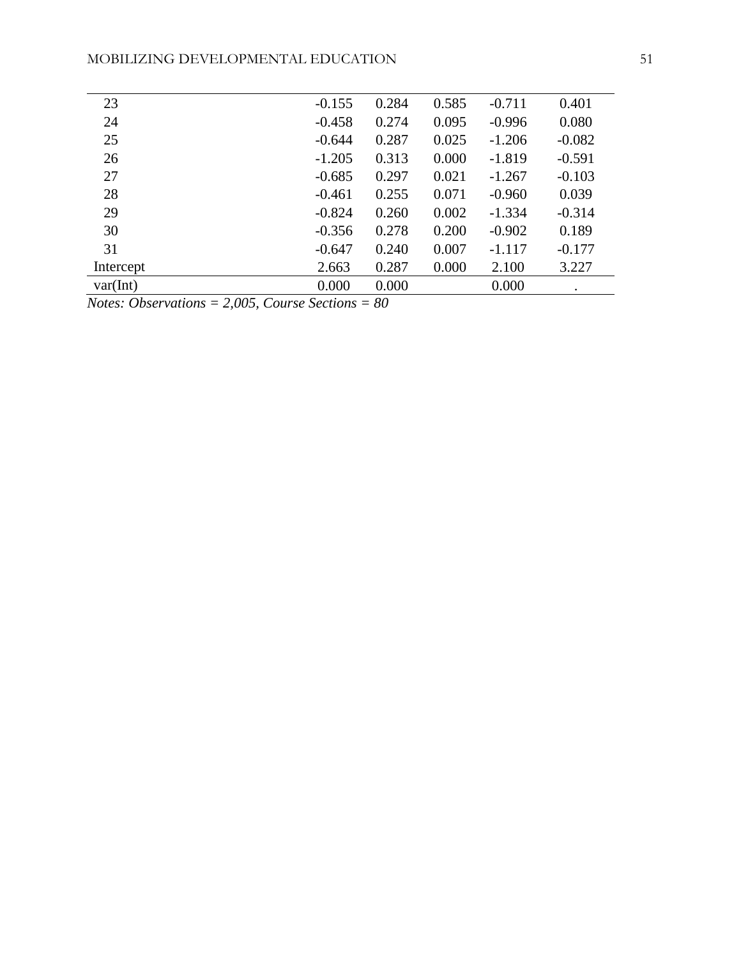| 23        | $-0.155$ | 0.284 | 0.585 | $-0.711$ | 0.401     |
|-----------|----------|-------|-------|----------|-----------|
| 24        | $-0.458$ | 0.274 | 0.095 | $-0.996$ | 0.080     |
| 25        | $-0.644$ | 0.287 | 0.025 | $-1.206$ | $-0.082$  |
| 26        | $-1.205$ | 0.313 | 0.000 | $-1.819$ | $-0.591$  |
| 27        | $-0.685$ | 0.297 | 0.021 | $-1.267$ | $-0.103$  |
| 28        | $-0.461$ | 0.255 | 0.071 | $-0.960$ | 0.039     |
| 29        | $-0.824$ | 0.260 | 0.002 | $-1.334$ | $-0.314$  |
| 30        | $-0.356$ | 0.278 | 0.200 | $-0.902$ | 0.189     |
| 31        | $-0.647$ | 0.240 | 0.007 | $-1.117$ | $-0.177$  |
| Intercept | 2.663    | 0.287 | 0.000 | 2.100    | 3.227     |
| var(int)  | 0.000    | 0.000 |       | 0.000    | $\bullet$ |
|           |          |       |       |          |           |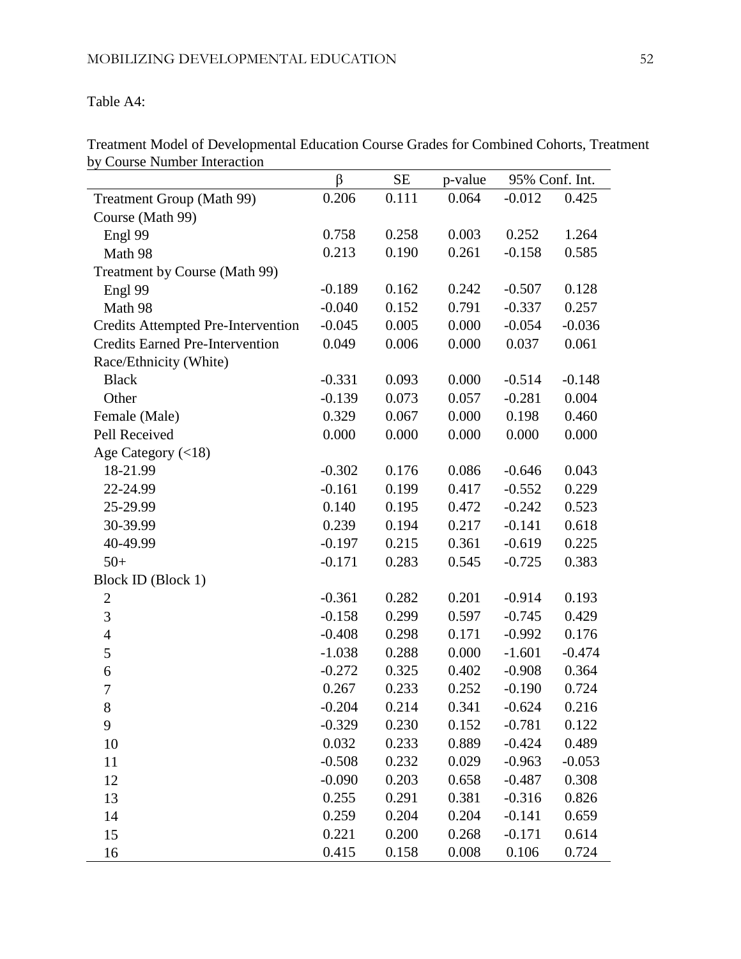Table A4:

|                                           | β        | <b>SE</b> | p-value | 95% Conf. Int. |          |
|-------------------------------------------|----------|-----------|---------|----------------|----------|
| Treatment Group (Math 99)                 | 0.206    | 0.111     | 0.064   | $-0.012$       | 0.425    |
| Course (Math 99)                          |          |           |         |                |          |
| Engl 99                                   | 0.758    | 0.258     | 0.003   | 0.252          | 1.264    |
| Math 98                                   | 0.213    | 0.190     | 0.261   | $-0.158$       | 0.585    |
| Treatment by Course (Math 99)             |          |           |         |                |          |
| Engl 99                                   | $-0.189$ | 0.162     | 0.242   | $-0.507$       | 0.128    |
| Math 98                                   | $-0.040$ | 0.152     | 0.791   | $-0.337$       | 0.257    |
| <b>Credits Attempted Pre-Intervention</b> | $-0.045$ | 0.005     | 0.000   | $-0.054$       | $-0.036$ |
| <b>Credits Earned Pre-Intervention</b>    | 0.049    | 0.006     | 0.000   | 0.037          | 0.061    |
| Race/Ethnicity (White)                    |          |           |         |                |          |
| <b>Black</b>                              | $-0.331$ | 0.093     | 0.000   | $-0.514$       | $-0.148$ |
| Other                                     | $-0.139$ | 0.073     | 0.057   | $-0.281$       | 0.004    |
| Female (Male)                             | 0.329    | 0.067     | 0.000   | 0.198          | 0.460    |
| Pell Received                             | 0.000    | 0.000     | 0.000   | 0.000          | 0.000    |
| Age Category $(<18)$                      |          |           |         |                |          |
| 18-21.99                                  | $-0.302$ | 0.176     | 0.086   | $-0.646$       | 0.043    |
| 22-24.99                                  | $-0.161$ | 0.199     | 0.417   | $-0.552$       | 0.229    |
| 25-29.99                                  | 0.140    | 0.195     | 0.472   | $-0.242$       | 0.523    |
| 30-39.99                                  | 0.239    | 0.194     | 0.217   | $-0.141$       | 0.618    |
| 40-49.99                                  | $-0.197$ | 0.215     | 0.361   | $-0.619$       | 0.225    |
| $50+$                                     | $-0.171$ | 0.283     | 0.545   | $-0.725$       | 0.383    |
| Block ID (Block 1)                        |          |           |         |                |          |
| $\overline{2}$                            | $-0.361$ | 0.282     | 0.201   | $-0.914$       | 0.193    |
| 3                                         | $-0.158$ | 0.299     | 0.597   | $-0.745$       | 0.429    |
| $\overline{4}$                            | $-0.408$ | 0.298     | 0.171   | $-0.992$       | 0.176    |
| 5                                         | $-1.038$ | 0.288     | 0.000   | $-1.601$       | $-0.474$ |
| 6                                         | $-0.272$ | 0.325     | 0.402   | $-0.908$       | 0.364    |
| $\boldsymbol{7}$                          | 0.267    | 0.233     | 0.252   | $-0.190$       | 0.724    |
| 8                                         | $-0.204$ | 0.214     | 0.341   | $-0.624$       | 0.216    |
| 9                                         | $-0.329$ | 0.230     | 0.152   | $-0.781$       | 0.122    |
| 10                                        | 0.032    | 0.233     | 0.889   | $-0.424$       | 0.489    |
| 11                                        | $-0.508$ | 0.232     | 0.029   | $-0.963$       | $-0.053$ |
| 12                                        | $-0.090$ | 0.203     | 0.658   | $-0.487$       | 0.308    |
| 13                                        | 0.255    | 0.291     | 0.381   | $-0.316$       | 0.826    |
| 14                                        | 0.259    | 0.204     | 0.204   | $-0.141$       | 0.659    |
| 15                                        | 0.221    | 0.200     | 0.268   | $-0.171$       | 0.614    |
| 16                                        | 0.415    | 0.158     | 0.008   | 0.106          | 0.724    |

Treatment Model of Developmental Education Course Grades for Combined Cohorts, Treatment by Course Number Interaction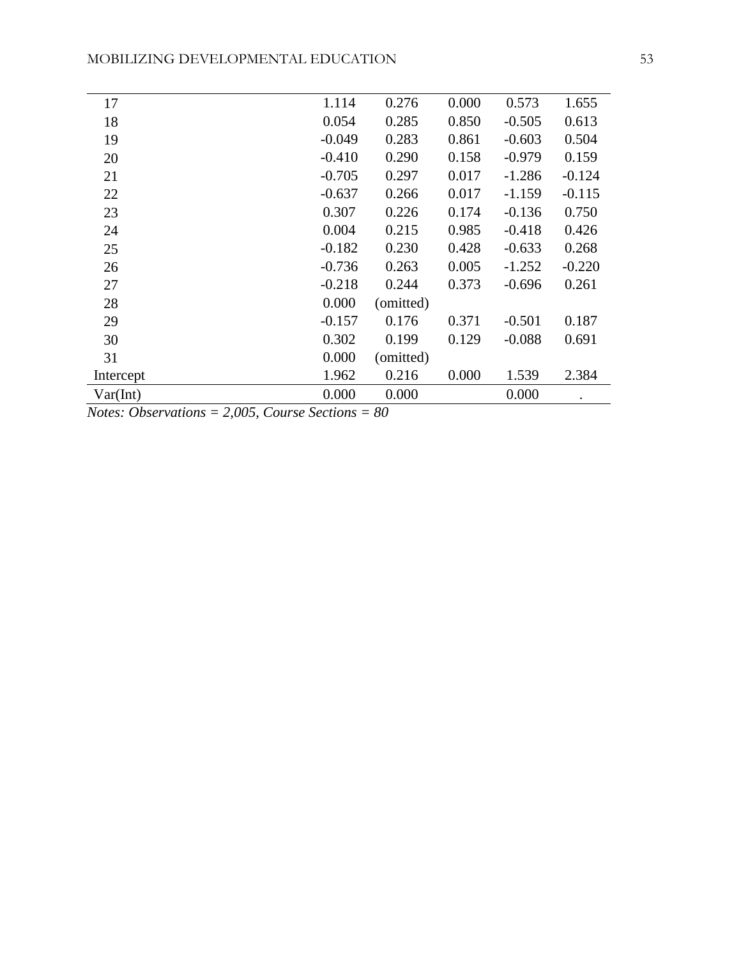| 17        | 1.114    | 0.276     | 0.000 | 0.573    | 1.655    |
|-----------|----------|-----------|-------|----------|----------|
| 18        | 0.054    | 0.285     | 0.850 | $-0.505$ | 0.613    |
| 19        | $-0.049$ | 0.283     | 0.861 | $-0.603$ | 0.504    |
| 20        | $-0.410$ | 0.290     | 0.158 | $-0.979$ | 0.159    |
| 21        | $-0.705$ | 0.297     | 0.017 | $-1.286$ | $-0.124$ |
| 22        | $-0.637$ | 0.266     | 0.017 | $-1.159$ | $-0.115$ |
| 23        | 0.307    | 0.226     | 0.174 | $-0.136$ | 0.750    |
| 24        | 0.004    | 0.215     | 0.985 | $-0.418$ | 0.426    |
| 25        | $-0.182$ | 0.230     | 0.428 | $-0.633$ | 0.268    |
| 26        | $-0.736$ | 0.263     | 0.005 | $-1.252$ | $-0.220$ |
| 27        | $-0.218$ | 0.244     | 0.373 | $-0.696$ | 0.261    |
| 28        | 0.000    | (omitted) |       |          |          |
| 29        | $-0.157$ | 0.176     | 0.371 | $-0.501$ | 0.187    |
| 30        | 0.302    | 0.199     | 0.129 | $-0.088$ | 0.691    |
| 31        | 0.000    | (omitted) |       |          |          |
| Intercept | 1.962    | 0.216     | 0.000 | 1.539    | 2.384    |
| Var(int)  | 0.000    | 0.000     |       | 0.000    |          |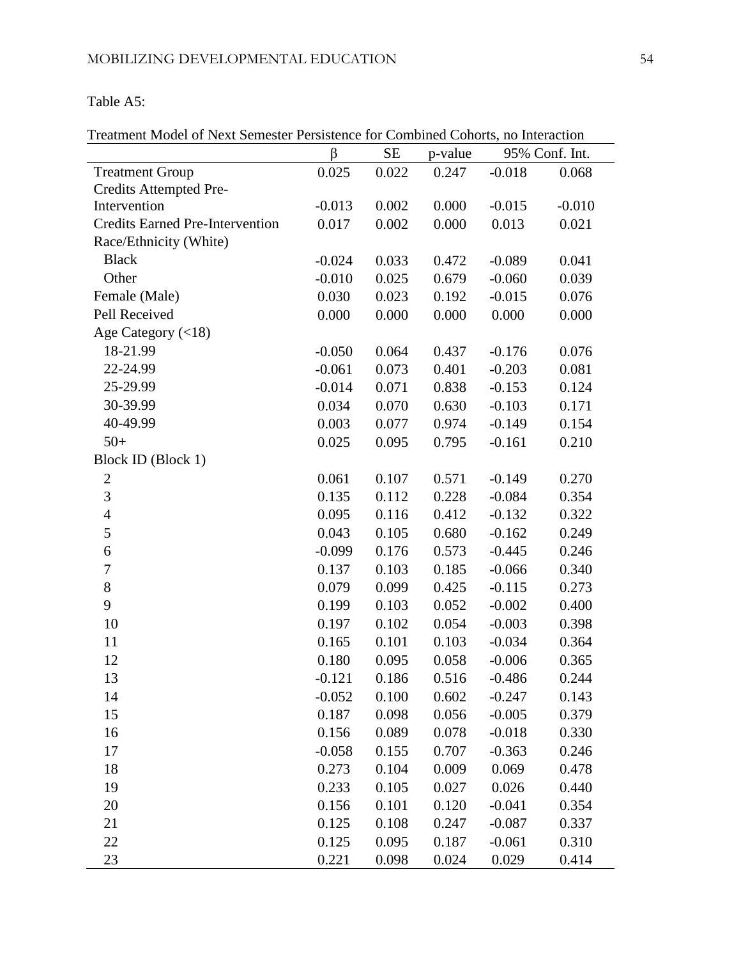# Table A5:

#### Treatment Model of Next Semester Persistence for Combined Cohorts, no Interaction

|                                        | $\beta$  | SE    | p-value |          | 95% Conf. Int. |
|----------------------------------------|----------|-------|---------|----------|----------------|
| <b>Treatment Group</b>                 | 0.025    | 0.022 | 0.247   | $-0.018$ | 0.068          |
| Credits Attempted Pre-                 |          |       |         |          |                |
| Intervention                           | $-0.013$ | 0.002 | 0.000   | $-0.015$ | $-0.010$       |
| <b>Credits Earned Pre-Intervention</b> | 0.017    | 0.002 | 0.000   | 0.013    | 0.021          |
| Race/Ethnicity (White)                 |          |       |         |          |                |
| <b>Black</b>                           | $-0.024$ | 0.033 | 0.472   | $-0.089$ | 0.041          |
| Other                                  | $-0.010$ | 0.025 | 0.679   | $-0.060$ | 0.039          |
| Female (Male)                          | 0.030    | 0.023 | 0.192   | $-0.015$ | 0.076          |
| Pell Received                          | 0.000    | 0.000 | 0.000   | 0.000    | 0.000          |
| Age Category (<18)                     |          |       |         |          |                |
| 18-21.99                               | $-0.050$ | 0.064 | 0.437   | $-0.176$ | 0.076          |
| 22-24.99                               | $-0.061$ | 0.073 | 0.401   | $-0.203$ | 0.081          |
| 25-29.99                               | $-0.014$ | 0.071 | 0.838   | $-0.153$ | 0.124          |
| 30-39.99                               | 0.034    | 0.070 | 0.630   | $-0.103$ | 0.171          |
| 40-49.99                               | 0.003    | 0.077 | 0.974   | $-0.149$ | 0.154          |
| $50+$                                  | 0.025    | 0.095 | 0.795   | $-0.161$ | 0.210          |
| <b>Block ID (Block 1)</b>              |          |       |         |          |                |
| $\mathbf{2}$                           | 0.061    | 0.107 | 0.571   | $-0.149$ | 0.270          |
| 3                                      | 0.135    | 0.112 | 0.228   | $-0.084$ | 0.354          |
| 4                                      | 0.095    | 0.116 | 0.412   | $-0.132$ | 0.322          |
| 5                                      | 0.043    | 0.105 | 0.680   | $-0.162$ | 0.249          |
| 6                                      | $-0.099$ | 0.176 | 0.573   | $-0.445$ | 0.246          |
| 7                                      | 0.137    | 0.103 | 0.185   | $-0.066$ | 0.340          |
| 8                                      | 0.079    | 0.099 | 0.425   | $-0.115$ | 0.273          |
| 9                                      | 0.199    | 0.103 | 0.052   | $-0.002$ | 0.400          |
| 10                                     | 0.197    | 0.102 | 0.054   | $-0.003$ | 0.398          |
| 11                                     | 0.165    | 0.101 | 0.103   | $-0.034$ | 0.364          |
| 12                                     | 0.180    | 0.095 | 0.058   | $-0.006$ | 0.365          |
| 13                                     | $-0.121$ | 0.186 | 0.516   | $-0.486$ | 0.244          |
| 14                                     | $-0.052$ | 0.100 | 0.602   | $-0.247$ | 0.143          |
| 15                                     | 0.187    | 0.098 | 0.056   | $-0.005$ | 0.379          |
| 16                                     | 0.156    | 0.089 | 0.078   | $-0.018$ | 0.330          |
| 17                                     | $-0.058$ | 0.155 | 0.707   | $-0.363$ | 0.246          |
| 18                                     | 0.273    | 0.104 | 0.009   | 0.069    | 0.478          |
| 19                                     | 0.233    | 0.105 | 0.027   | 0.026    | 0.440          |
| 20                                     | 0.156    | 0.101 | 0.120   | $-0.041$ | 0.354          |
| 21                                     | 0.125    | 0.108 | 0.247   | $-0.087$ | 0.337          |
| 22                                     | 0.125    | 0.095 | 0.187   | $-0.061$ | 0.310          |
| 23                                     | 0.221    | 0.098 | 0.024   | 0.029    | 0.414          |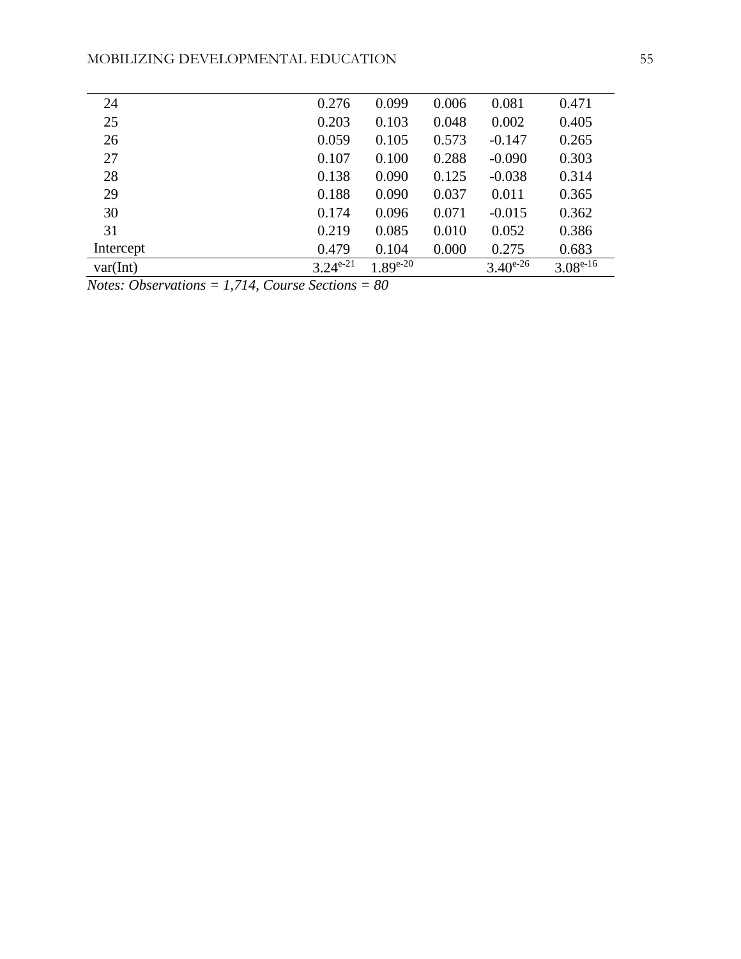| 24        | 0.276         | 0.099         | 0.006 | 0.081         | 0.471         |
|-----------|---------------|---------------|-------|---------------|---------------|
| 25        | 0.203         | 0.103         | 0.048 | 0.002         | 0.405         |
| 26        | 0.059         | 0.105         | 0.573 | $-0.147$      | 0.265         |
| 27        | 0.107         | 0.100         | 0.288 | $-0.090$      | 0.303         |
| 28        | 0.138         | 0.090         | 0.125 | $-0.038$      | 0.314         |
| 29        | 0.188         | 0.090         | 0.037 | 0.011         | 0.365         |
| 30        | 0.174         | 0.096         | 0.071 | $-0.015$      | 0.362         |
| 31        | 0.219         | 0.085         | 0.010 | 0.052         | 0.386         |
| Intercept | 0.479         | 0.104         | 0.000 | 0.275         | 0.683         |
| var(int)  | $3.24^{e-21}$ | $1.89^{e-20}$ |       | $3.40^{e-26}$ | $3.08^{e-16}$ |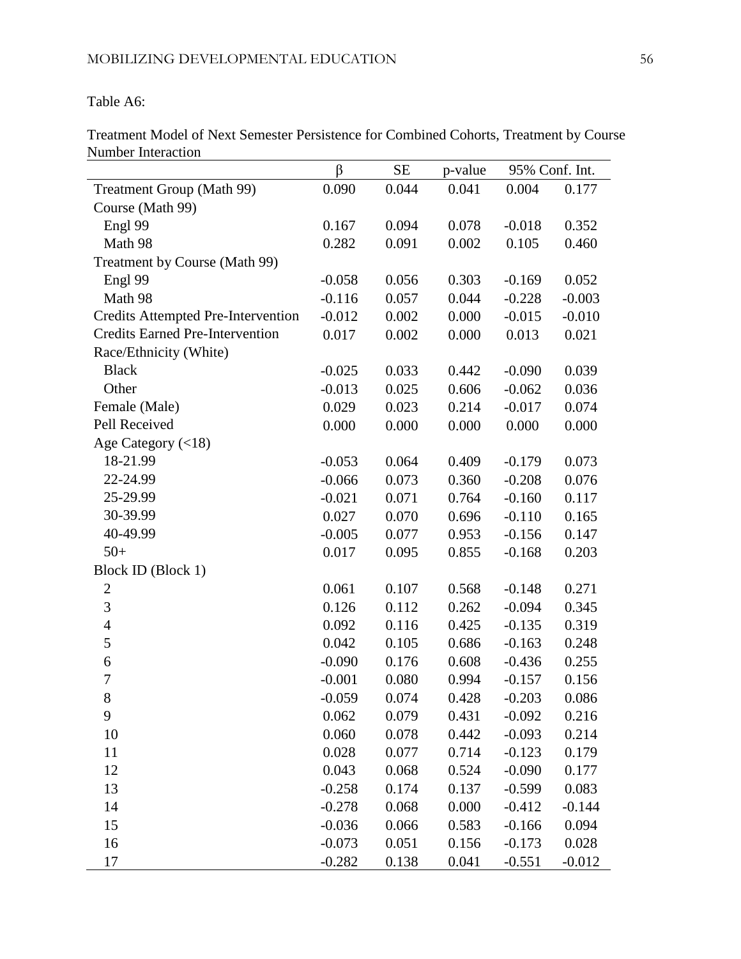Table A6:

Treatment Model of Next Semester Persistence for Combined Cohorts, Treatment by Course Number Interaction

|                                           | β        | <b>SE</b> | p-value | 95% Conf. Int. |          |
|-------------------------------------------|----------|-----------|---------|----------------|----------|
| Treatment Group (Math 99)                 | 0.090    | 0.044     | 0.041   | 0.004          | 0.177    |
| Course (Math 99)                          |          |           |         |                |          |
| Engl 99                                   | 0.167    | 0.094     | 0.078   | $-0.018$       | 0.352    |
| Math 98                                   | 0.282    | 0.091     | 0.002   | 0.105          | 0.460    |
| Treatment by Course (Math 99)             |          |           |         |                |          |
| Engl 99                                   | $-0.058$ | 0.056     | 0.303   | $-0.169$       | 0.052    |
| Math 98                                   | $-0.116$ | 0.057     | 0.044   | $-0.228$       | $-0.003$ |
| <b>Credits Attempted Pre-Intervention</b> | $-0.012$ | 0.002     | 0.000   | $-0.015$       | $-0.010$ |
| <b>Credits Earned Pre-Intervention</b>    | 0.017    | 0.002     | 0.000   | 0.013          | 0.021    |
| Race/Ethnicity (White)                    |          |           |         |                |          |
| <b>Black</b>                              | $-0.025$ | 0.033     | 0.442   | $-0.090$       | 0.039    |
| Other                                     | $-0.013$ | 0.025     | 0.606   | $-0.062$       | 0.036    |
| Female (Male)                             | 0.029    | 0.023     | 0.214   | $-0.017$       | 0.074    |
| Pell Received                             | 0.000    | 0.000     | 0.000   | 0.000          | 0.000    |
| Age Category $(<18)$                      |          |           |         |                |          |
| 18-21.99                                  | $-0.053$ | 0.064     | 0.409   | $-0.179$       | 0.073    |
| 22-24.99                                  | $-0.066$ | 0.073     | 0.360   | $-0.208$       | 0.076    |
| 25-29.99                                  | $-0.021$ | 0.071     | 0.764   | $-0.160$       | 0.117    |
| 30-39.99                                  | 0.027    | 0.070     | 0.696   | $-0.110$       | 0.165    |
| 40-49.99                                  | $-0.005$ | 0.077     | 0.953   | $-0.156$       | 0.147    |
| $50+$                                     | 0.017    | 0.095     | 0.855   | $-0.168$       | 0.203    |
| Block ID (Block 1)                        |          |           |         |                |          |
| $\mathbf{2}$                              | 0.061    | 0.107     | 0.568   | $-0.148$       | 0.271    |
| 3                                         | 0.126    | 0.112     | 0.262   | $-0.094$       | 0.345    |
| $\overline{\mathcal{A}}$                  | 0.092    | 0.116     | 0.425   | $-0.135$       | 0.319    |
| 5                                         | 0.042    | 0.105     | 0.686   | $-0.163$       | 0.248    |
| 6                                         | $-0.090$ | 0.176     | 0.608   | $-0.436$       | 0.255    |
| $\overline{7}$                            | $-0.001$ | 0.080     | 0.994   | $-0.157$       | 0.156    |
| 8                                         | $-0.059$ | 0.074     | 0.428   | $-0.203$       | 0.086    |
| 9                                         | 0.062    | 0.079     | 0.431   | $-0.092$       | 0.216    |
| 10                                        | 0.060    | 0.078     | 0.442   | $-0.093$       | 0.214    |
| 11                                        | 0.028    | 0.077     | 0.714   | $-0.123$       | 0.179    |
| 12                                        | 0.043    | 0.068     | 0.524   | $-0.090$       | 0.177    |
| 13                                        | $-0.258$ | 0.174     | 0.137   | $-0.599$       | 0.083    |
| 14                                        | $-0.278$ | 0.068     | 0.000   | $-0.412$       | $-0.144$ |
| 15                                        | $-0.036$ | 0.066     | 0.583   | $-0.166$       | 0.094    |
| 16                                        | $-0.073$ | 0.051     | 0.156   | $-0.173$       | 0.028    |
| 17                                        | $-0.282$ | 0.138     | 0.041   | $-0.551$       | $-0.012$ |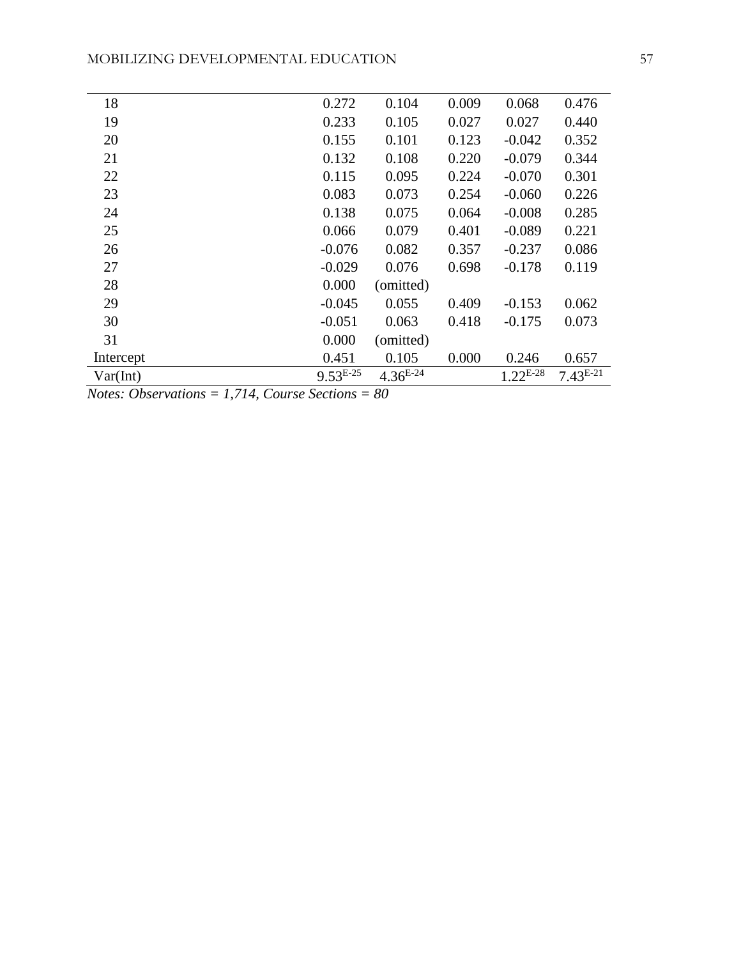| 18        | 0.272         | 0.104         | 0.009 | 0.068         | 0.476         |
|-----------|---------------|---------------|-------|---------------|---------------|
| 19        | 0.233         | 0.105         | 0.027 | 0.027         | 0.440         |
| 20        | 0.155         | 0.101         | 0.123 | $-0.042$      | 0.352         |
| 21        | 0.132         | 0.108         | 0.220 | $-0.079$      | 0.344         |
| 22        | 0.115         | 0.095         | 0.224 | $-0.070$      | 0.301         |
| 23        | 0.083         | 0.073         | 0.254 | $-0.060$      | 0.226         |
| 24        | 0.138         | 0.075         | 0.064 | $-0.008$      | 0.285         |
| 25        | 0.066         | 0.079         | 0.401 | $-0.089$      | 0.221         |
| 26        | $-0.076$      | 0.082         | 0.357 | $-0.237$      | 0.086         |
| 27        | $-0.029$      | 0.076         | 0.698 | $-0.178$      | 0.119         |
| 28        | 0.000         | (omitted)     |       |               |               |
| 29        | $-0.045$      | 0.055         | 0.409 | $-0.153$      | 0.062         |
| 30        | $-0.051$      | 0.063         | 0.418 | $-0.175$      | 0.073         |
| 31        | 0.000         | (omitted)     |       |               |               |
| Intercept | 0.451         | 0.105         | 0.000 | 0.246         | 0.657         |
| Var(Int)  | $9.53^{E-25}$ | $4.36^{E-24}$ |       | $1.22^{E-28}$ | $7.43^{E-21}$ |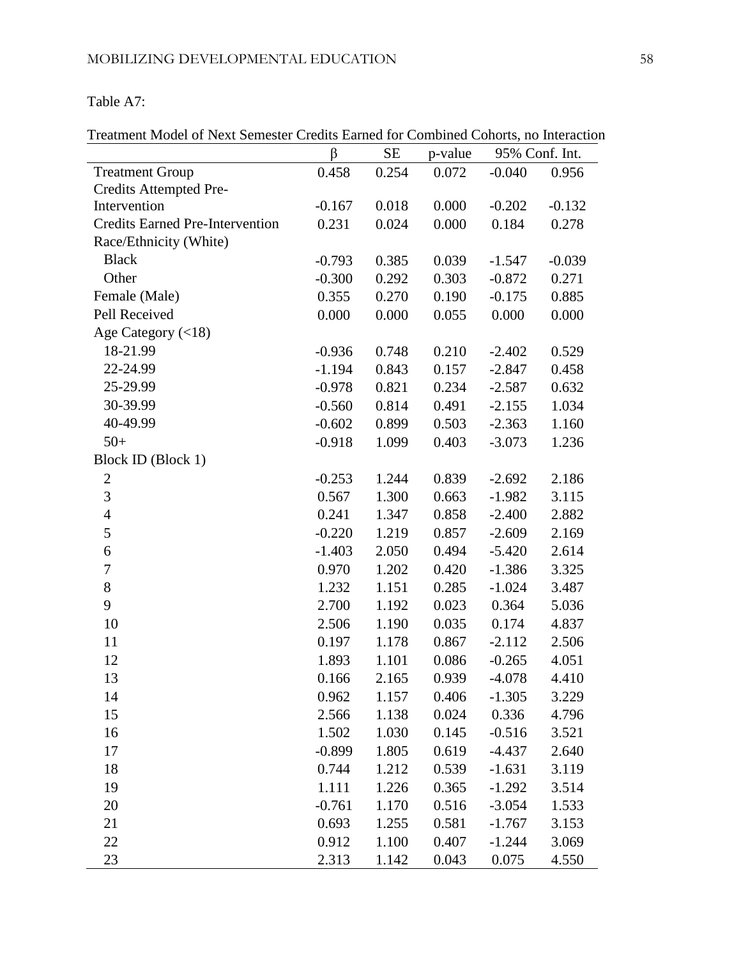# Table A7:

| Treatment Model of Next Semester Credits Earned for Combined Cohorts, no Interaction |  |  |  |  |  |  |  |  |  |  |  |  |
|--------------------------------------------------------------------------------------|--|--|--|--|--|--|--|--|--|--|--|--|
|--------------------------------------------------------------------------------------|--|--|--|--|--|--|--|--|--|--|--|--|

|                                        | $\beta$  | <b>SE</b> | p-value | 95% Conf. Int. |          |
|----------------------------------------|----------|-----------|---------|----------------|----------|
| <b>Treatment Group</b>                 | 0.458    | 0.254     | 0.072   | $-0.040$       | 0.956    |
| Credits Attempted Pre-                 |          |           |         |                |          |
| Intervention                           | $-0.167$ | 0.018     | 0.000   | $-0.202$       | $-0.132$ |
| <b>Credits Earned Pre-Intervention</b> | 0.231    | 0.024     | 0.000   | 0.184          | 0.278    |
| Race/Ethnicity (White)                 |          |           |         |                |          |
| <b>Black</b>                           | $-0.793$ | 0.385     | 0.039   | $-1.547$       | $-0.039$ |
| Other                                  | $-0.300$ | 0.292     | 0.303   | $-0.872$       | 0.271    |
| Female (Male)                          | 0.355    | 0.270     | 0.190   | $-0.175$       | 0.885    |
| Pell Received                          | 0.000    | 0.000     | 0.055   | 0.000          | 0.000    |
| Age Category $(<18)$                   |          |           |         |                |          |
| 18-21.99                               | $-0.936$ | 0.748     | 0.210   | $-2.402$       | 0.529    |
| 22-24.99                               | $-1.194$ | 0.843     | 0.157   | $-2.847$       | 0.458    |
| 25-29.99                               | $-0.978$ | 0.821     | 0.234   | $-2.587$       | 0.632    |
| 30-39.99                               | $-0.560$ | 0.814     | 0.491   | $-2.155$       | 1.034    |
| 40-49.99                               | $-0.602$ | 0.899     | 0.503   | $-2.363$       | 1.160    |
| $50+$                                  | $-0.918$ | 1.099     | 0.403   | $-3.073$       | 1.236    |
| Block ID (Block 1)                     |          |           |         |                |          |
| $\boldsymbol{2}$                       | $-0.253$ | 1.244     | 0.839   | $-2.692$       | 2.186    |
| 3                                      | 0.567    | 1.300     | 0.663   | $-1.982$       | 3.115    |
| $\overline{4}$                         | 0.241    | 1.347     | 0.858   | $-2.400$       | 2.882    |
| 5                                      | $-0.220$ | 1.219     | 0.857   | $-2.609$       | 2.169    |
| 6                                      | $-1.403$ | 2.050     | 0.494   | $-5.420$       | 2.614    |
| $\boldsymbol{7}$                       | 0.970    | 1.202     | 0.420   | $-1.386$       | 3.325    |
| 8                                      | 1.232    | 1.151     | 0.285   | $-1.024$       | 3.487    |
| 9                                      | 2.700    | 1.192     | 0.023   | 0.364          | 5.036    |
| 10                                     | 2.506    | 1.190     | 0.035   | 0.174          | 4.837    |
| 11                                     | 0.197    | 1.178     | 0.867   | $-2.112$       | 2.506    |
| 12                                     | 1.893    | 1.101     | 0.086   | $-0.265$       | 4.051    |
| 13                                     | 0.166    | 2.165     | 0.939   | $-4.078$       | 4.410    |
| 14                                     | 0.962    | 1.157     | 0.406   | $-1.305$       | 3.229    |
| 15                                     | 2.566    | 1.138     | 0.024   | 0.336          | 4.796    |
| 16                                     | 1.502    | 1.030     | 0.145   | $-0.516$       | 3.521    |
| 17                                     | $-0.899$ | 1.805     | 0.619   | $-4.437$       | 2.640    |
| 18                                     | 0.744    | 1.212     | 0.539   | $-1.631$       | 3.119    |
| 19                                     | 1.111    | 1.226     | 0.365   | $-1.292$       | 3.514    |
| 20                                     | $-0.761$ | 1.170     | 0.516   | $-3.054$       | 1.533    |
| 21                                     | 0.693    | 1.255     | 0.581   | $-1.767$       | 3.153    |
| 22                                     | 0.912    | 1.100     | 0.407   | $-1.244$       | 3.069    |
| 23                                     | 2.313    | 1.142     | 0.043   | 0.075          | 4.550    |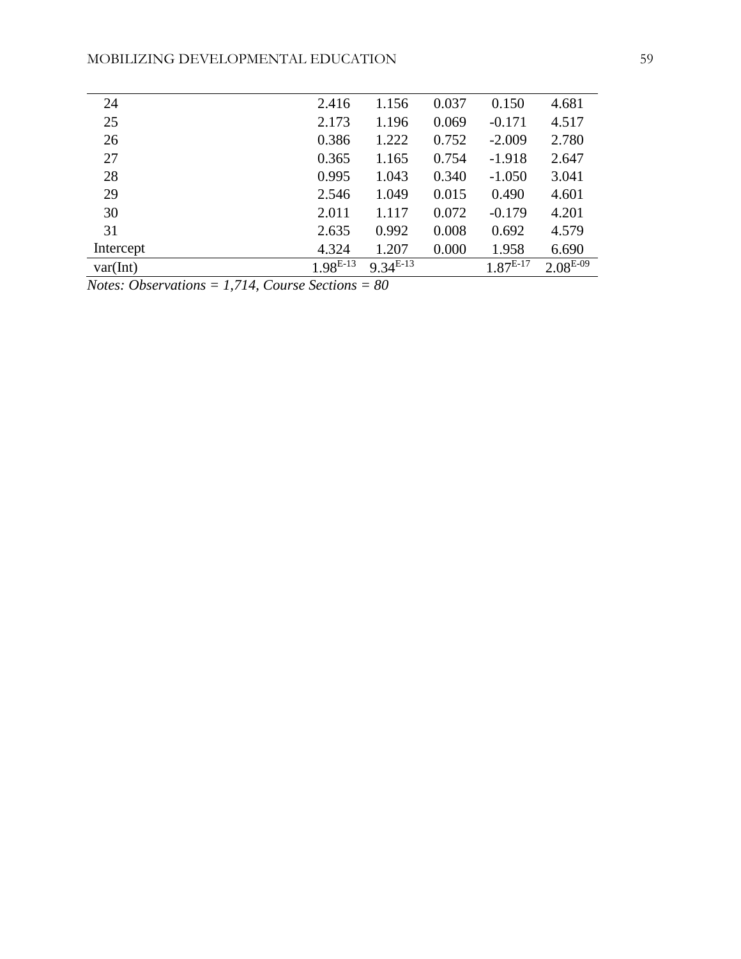| 24        | 2.416      | 1.156      | 0.037 | 0.150         | 4.681         |
|-----------|------------|------------|-------|---------------|---------------|
| 25        | 2.173      | 1.196      | 0.069 | $-0.171$      | 4.517         |
| 26        | 0.386      | 1.222      | 0.752 | $-2.009$      | 2.780         |
| 27        | 0.365      | 1.165      | 0.754 | $-1.918$      | 2.647         |
| 28        | 0.995      | 1.043      | 0.340 | $-1.050$      | 3.041         |
| 29        | 2.546      | 1.049      | 0.015 | 0.490         | 4.601         |
| 30        | 2.011      | 1.117      | 0.072 | $-0.179$      | 4.201         |
| 31        | 2.635      | 0.992      | 0.008 | 0.692         | 4.579         |
| Intercept | 4.324      | 1.207      | 0.000 | 1.958         | 6.690         |
| var(int)  | $1.98E-13$ | $9.34E-13$ |       | $1.87^{E-17}$ | $2.08^{E-09}$ |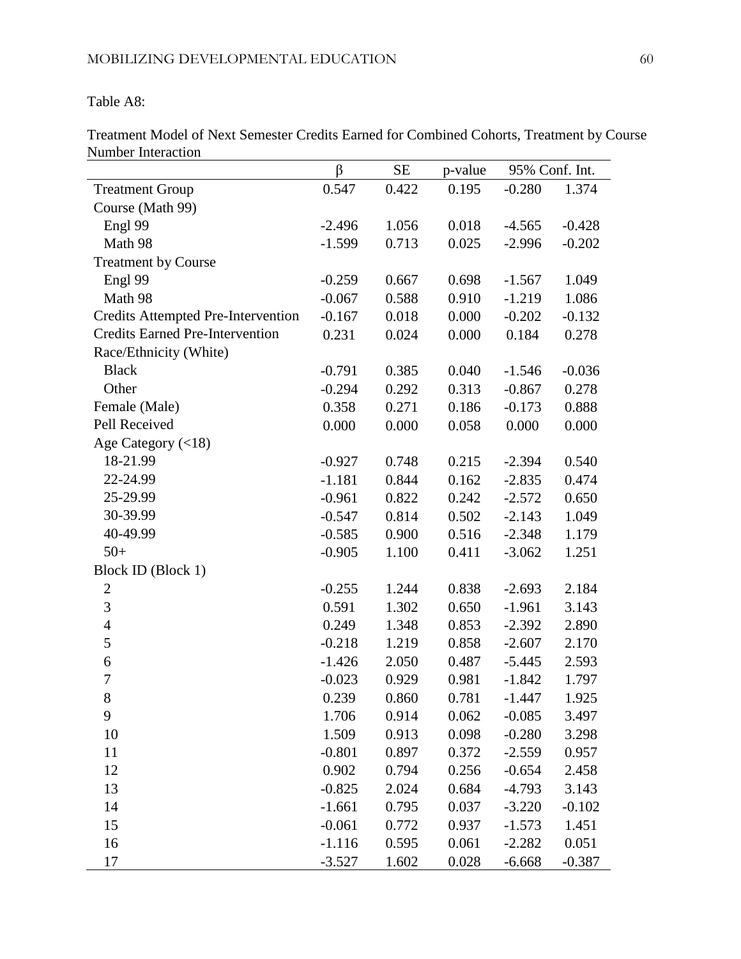Table A8:

Treatment Model of Next Semester Credits Earned for Combined Cohorts, Treatment by Course Number Interaction

|                                           | $\beta$  | <b>SE</b> | p-value | 95% Conf. Int. |          |
|-------------------------------------------|----------|-----------|---------|----------------|----------|
| <b>Treatment Group</b>                    | 0.547    | 0.422     | 0.195   | $-0.280$       | 1.374    |
| Course (Math 99)                          |          |           |         |                |          |
| Engl 99                                   | $-2.496$ | 1.056     | 0.018   | $-4.565$       | $-0.428$ |
| Math 98                                   | $-1.599$ | 0.713     | 0.025   | $-2.996$       | $-0.202$ |
| <b>Treatment by Course</b>                |          |           |         |                |          |
| Engl 99                                   | $-0.259$ | 0.667     | 0.698   | $-1.567$       | 1.049    |
| Math 98                                   | $-0.067$ | 0.588     | 0.910   | $-1.219$       | 1.086    |
| <b>Credits Attempted Pre-Intervention</b> | $-0.167$ | 0.018     | 0.000   | $-0.202$       | $-0.132$ |
| <b>Credits Earned Pre-Intervention</b>    | 0.231    | 0.024     | 0.000   | 0.184          | 0.278    |
| Race/Ethnicity (White)                    |          |           |         |                |          |
| <b>Black</b>                              | $-0.791$ | 0.385     | 0.040   | $-1.546$       | $-0.036$ |
| Other                                     | $-0.294$ | 0.292     | 0.313   | $-0.867$       | 0.278    |
| Female (Male)                             | 0.358    | 0.271     | 0.186   | $-0.173$       | 0.888    |
| Pell Received                             | 0.000    | 0.000     | 0.058   | 0.000          | 0.000    |
| Age Category $(<18)$                      |          |           |         |                |          |
| 18-21.99                                  | $-0.927$ | 0.748     | 0.215   | $-2.394$       | 0.540    |
| 22-24.99                                  | $-1.181$ | 0.844     | 0.162   | $-2.835$       | 0.474    |
| 25-29.99                                  | $-0.961$ | 0.822     | 0.242   | $-2.572$       | 0.650    |
| 30-39.99                                  | $-0.547$ | 0.814     | 0.502   | $-2.143$       | 1.049    |
| 40-49.99                                  | $-0.585$ | 0.900     | 0.516   | $-2.348$       | 1.179    |
| $50+$                                     | $-0.905$ | 1.100     | 0.411   | $-3.062$       | 1.251    |
| Block ID (Block 1)                        |          |           |         |                |          |
| $\mathbf{2}$                              | $-0.255$ | 1.244     | 0.838   | $-2.693$       | 2.184    |
| $\mathfrak{Z}$                            | 0.591    | 1.302     | 0.650   | $-1.961$       | 3.143    |
| $\overline{4}$                            | 0.249    | 1.348     | 0.853   | $-2.392$       | 2.890    |
| 5                                         | $-0.218$ | 1.219     | 0.858   | $-2.607$       | 2.170    |
| 6                                         | $-1.426$ | 2.050     | 0.487   | $-5.445$       | 2.593    |
| $\boldsymbol{7}$                          | $-0.023$ | 0.929     | 0.981   | $-1.842$       | 1.797    |
| 8                                         | 0.239    | 0.860     | 0.781   | $-1.447$       | 1.925    |
| 9                                         | 1.706    | 0.914     | 0.062   | $-0.085$       | 3.497    |
| 10                                        | 1.509    | 0.913     | 0.098   | $-0.280$       | 3.298    |
| 11                                        | $-0.801$ | 0.897     | 0.372   | $-2.559$       | 0.957    |
| 12                                        | 0.902    | 0.794     | 0.256   | $-0.654$       | 2.458    |
| 13                                        | $-0.825$ | 2.024     | 0.684   | $-4.793$       | 3.143    |
| 14                                        | $-1.661$ | 0.795     | 0.037   | $-3.220$       | $-0.102$ |
| 15                                        | $-0.061$ | 0.772     | 0.937   | $-1.573$       | 1.451    |
| 16                                        | $-1.116$ | 0.595     | 0.061   | $-2.282$       | 0.051    |
| 17                                        | $-3.527$ | 1.602     | 0.028   | $-6.668$       | $-0.387$ |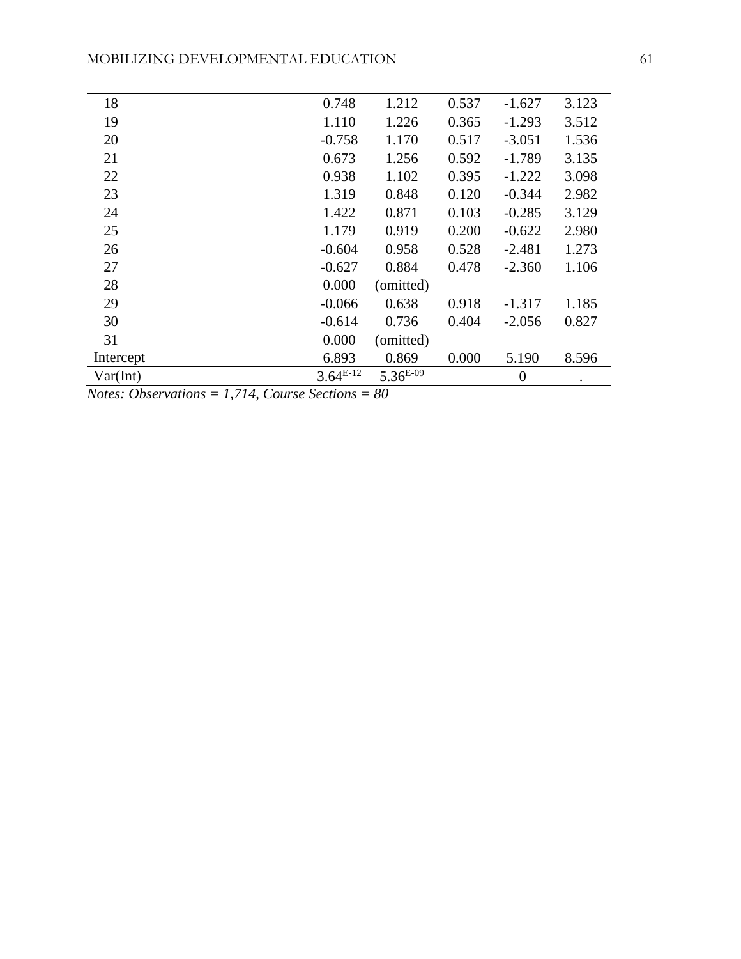| 18        | 0.748         | 1.212         | 0.537 | $-1.627$       | 3.123 |
|-----------|---------------|---------------|-------|----------------|-------|
| 19        | 1.110         | 1.226         | 0.365 | $-1.293$       | 3.512 |
| 20        | $-0.758$      | 1.170         | 0.517 | $-3.051$       | 1.536 |
| 21        | 0.673         | 1.256         | 0.592 | $-1.789$       | 3.135 |
| 22        | 0.938         | 1.102         | 0.395 | $-1.222$       | 3.098 |
| 23        | 1.319         | 0.848         | 0.120 | $-0.344$       | 2.982 |
| 24        | 1.422         | 0.871         | 0.103 | $-0.285$       | 3.129 |
| 25        | 1.179         | 0.919         | 0.200 | $-0.622$       | 2.980 |
| 26        | $-0.604$      | 0.958         | 0.528 | $-2.481$       | 1.273 |
| 27        | $-0.627$      | 0.884         | 0.478 | $-2.360$       | 1.106 |
| 28        | 0.000         | (omitted)     |       |                |       |
| 29        | $-0.066$      | 0.638         | 0.918 | $-1.317$       | 1.185 |
| 30        | $-0.614$      | 0.736         | 0.404 | $-2.056$       | 0.827 |
| 31        | 0.000         | (omitted)     |       |                |       |
| Intercept | 6.893         | 0.869         | 0.000 | 5.190          | 8.596 |
| Var(int)  | $3.64^{E-12}$ | $5.36^{E-09}$ |       | $\overline{0}$ |       |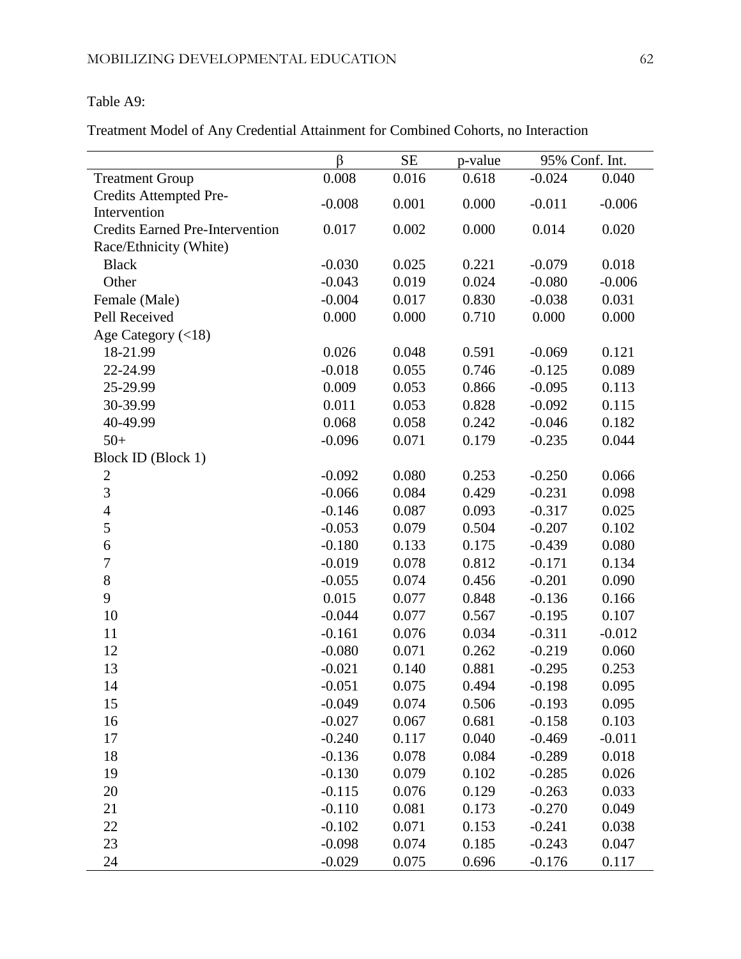#### Table A9:

Treatment Model of Any Credential Attainment for Combined Cohorts, no Interaction

|                                        | $\beta$  | $\rm SE$ | p-value | 95% Conf. Int. |          |
|----------------------------------------|----------|----------|---------|----------------|----------|
| <b>Treatment Group</b>                 | 0.008    | 0.016    | 0.618   | $-0.024$       | 0.040    |
| Credits Attempted Pre-                 | $-0.008$ | 0.001    | 0.000   | $-0.011$       | $-0.006$ |
| Intervention                           |          |          |         |                |          |
| <b>Credits Earned Pre-Intervention</b> | 0.017    | 0.002    | 0.000   | 0.014          | 0.020    |
| Race/Ethnicity (White)                 |          |          |         |                |          |
| <b>Black</b>                           | $-0.030$ | 0.025    | 0.221   | $-0.079$       | 0.018    |
| Other                                  | $-0.043$ | 0.019    | 0.024   | $-0.080$       | $-0.006$ |
| Female (Male)                          | $-0.004$ | 0.017    | 0.830   | $-0.038$       | 0.031    |
| Pell Received                          | 0.000    | 0.000    | 0.710   | 0.000          | 0.000    |
| Age Category $(<18)$                   |          |          |         |                |          |
| 18-21.99                               | 0.026    | 0.048    | 0.591   | $-0.069$       | 0.121    |
| 22-24.99                               | $-0.018$ | 0.055    | 0.746   | $-0.125$       | 0.089    |
| 25-29.99                               | 0.009    | 0.053    | 0.866   | $-0.095$       | 0.113    |
| 30-39.99                               | 0.011    | 0.053    | 0.828   | $-0.092$       | 0.115    |
| 40-49.99                               | 0.068    | 0.058    | 0.242   | $-0.046$       | 0.182    |
| $50+$                                  | $-0.096$ | 0.071    | 0.179   | $-0.235$       | 0.044    |
| Block ID (Block 1)                     |          |          |         |                |          |
| $\sqrt{2}$                             | $-0.092$ | 0.080    | 0.253   | $-0.250$       | 0.066    |
| 3                                      | $-0.066$ | 0.084    | 0.429   | $-0.231$       | 0.098    |
| $\overline{4}$                         | $-0.146$ | 0.087    | 0.093   | $-0.317$       | 0.025    |
| 5                                      | $-0.053$ | 0.079    | 0.504   | $-0.207$       | 0.102    |
| 6                                      | $-0.180$ | 0.133    | 0.175   | $-0.439$       | 0.080    |
| $\overline{7}$                         | $-0.019$ | 0.078    | 0.812   | $-0.171$       | 0.134    |
| 8                                      | $-0.055$ | 0.074    | 0.456   | $-0.201$       | 0.090    |
| 9                                      | 0.015    | 0.077    | 0.848   | $-0.136$       | 0.166    |
| 10                                     | $-0.044$ | 0.077    | 0.567   | $-0.195$       | 0.107    |
| 11                                     | $-0.161$ | 0.076    | 0.034   | $-0.311$       | $-0.012$ |
| 12                                     | $-0.080$ | 0.071    | 0.262   | $-0.219$       | 0.060    |
| 13                                     | $-0.021$ | 0.140    | 0.881   | $-0.295$       | 0.253    |
| 14                                     | $-0.051$ | 0.075    | 0.494   | $-0.198$       | 0.095    |
| 15                                     | $-0.049$ | 0.074    | 0.506   | $-0.193$       | 0.095    |
| 16                                     | $-0.027$ | 0.067    | 0.681   | $-0.158$       | 0.103    |
| 17                                     | $-0.240$ | 0.117    | 0.040   | $-0.469$       | $-0.011$ |
| 18                                     | $-0.136$ | 0.078    | 0.084   | $-0.289$       | 0.018    |
| 19                                     | $-0.130$ | 0.079    | 0.102   | $-0.285$       | 0.026    |
| 20                                     | $-0.115$ | 0.076    | 0.129   | $-0.263$       | 0.033    |
| 21                                     | $-0.110$ | 0.081    | 0.173   | $-0.270$       | 0.049    |
| 22                                     | $-0.102$ | 0.071    | 0.153   | $-0.241$       | 0.038    |
| 23                                     | $-0.098$ | 0.074    | 0.185   | $-0.243$       | 0.047    |
| 24                                     | $-0.029$ | 0.075    | 0.696   | $-0.176$       | 0.117    |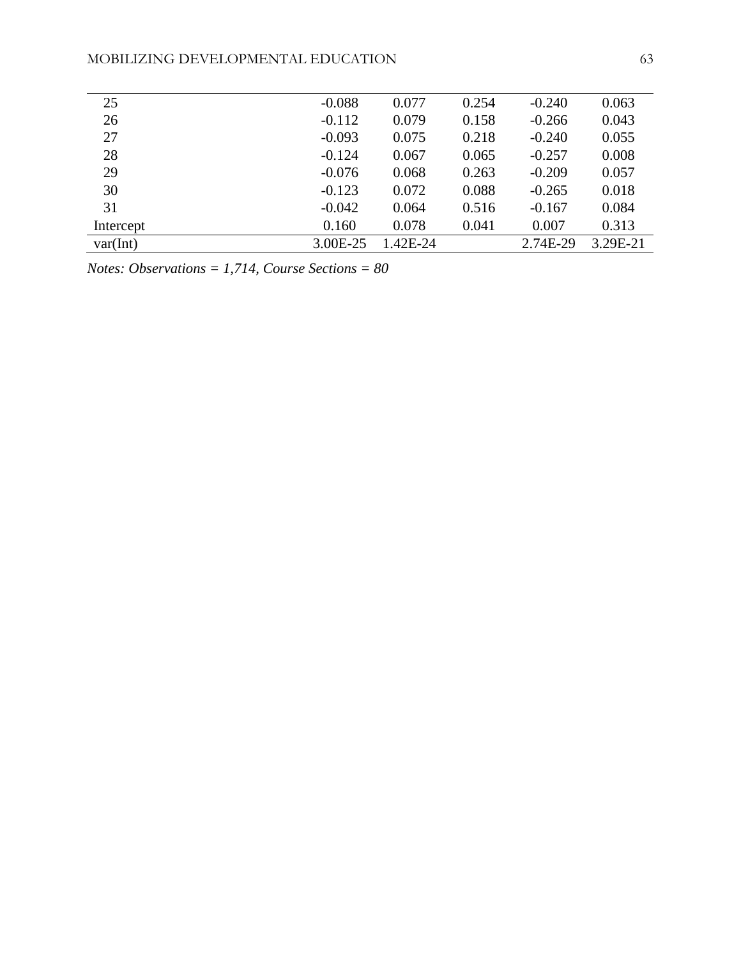| 25        | $-0.088$ | 0.077    | 0.254 | $-0.240$ | 0.063    |
|-----------|----------|----------|-------|----------|----------|
| 26        | $-0.112$ | 0.079    | 0.158 | $-0.266$ | 0.043    |
| 27        | $-0.093$ | 0.075    | 0.218 | $-0.240$ | 0.055    |
| 28        | $-0.124$ | 0.067    | 0.065 | $-0.257$ | 0.008    |
| 29        | $-0.076$ | 0.068    | 0.263 | $-0.209$ | 0.057    |
| 30        | $-0.123$ | 0.072    | 0.088 | $-0.265$ | 0.018    |
| 31        | $-0.042$ | 0.064    | 0.516 | $-0.167$ | 0.084    |
| Intercept | 0.160    | 0.078    | 0.041 | 0.007    | 0.313    |
| var(int)  | 3.00E-25 | 1.42E-24 |       | 2.74E-29 | 3.29E-21 |
|           |          |          |       |          |          |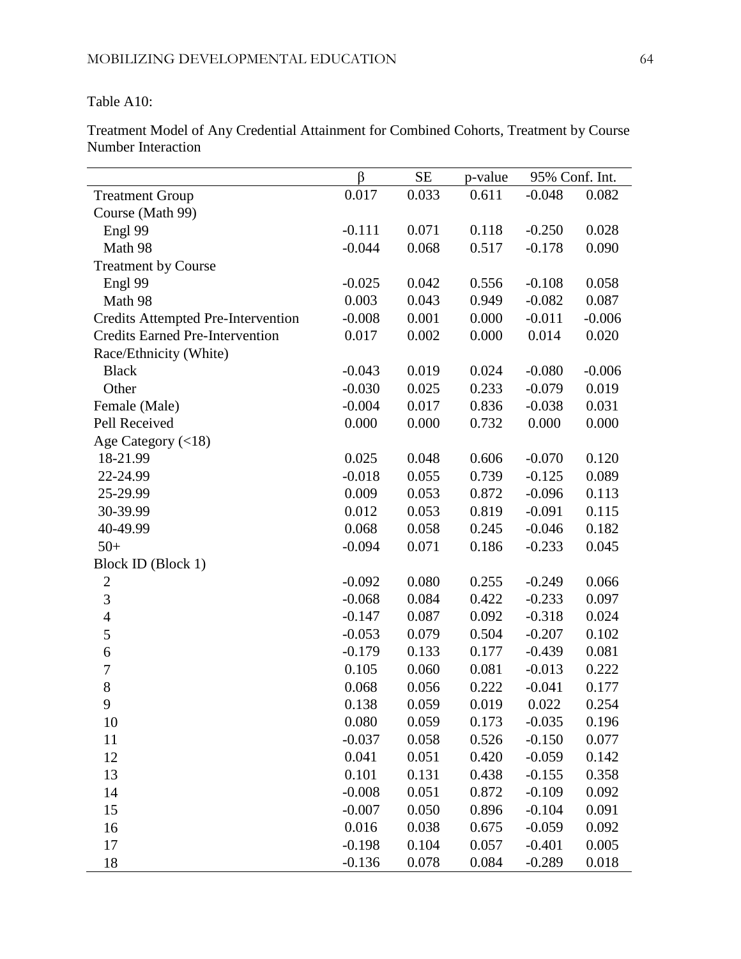Table A10:

Treatment Model of Any Credential Attainment for Combined Cohorts, Treatment by Course Number Interaction

|                                           | β        | <b>SE</b> | p-value | 95% Conf. Int. |          |
|-------------------------------------------|----------|-----------|---------|----------------|----------|
| <b>Treatment Group</b>                    | 0.017    | 0.033     | 0.611   | $-0.048$       | 0.082    |
| Course (Math 99)                          |          |           |         |                |          |
| Engl 99                                   | $-0.111$ | 0.071     | 0.118   | $-0.250$       | 0.028    |
| Math 98                                   | $-0.044$ | 0.068     | 0.517   | $-0.178$       | 0.090    |
| <b>Treatment by Course</b>                |          |           |         |                |          |
| Engl 99                                   | $-0.025$ | 0.042     | 0.556   | $-0.108$       | 0.058    |
| Math 98                                   | 0.003    | 0.043     | 0.949   | $-0.082$       | 0.087    |
| <b>Credits Attempted Pre-Intervention</b> | $-0.008$ | 0.001     | 0.000   | $-0.011$       | $-0.006$ |
| <b>Credits Earned Pre-Intervention</b>    | 0.017    | 0.002     | 0.000   | 0.014          | 0.020    |
| Race/Ethnicity (White)                    |          |           |         |                |          |
| <b>Black</b>                              | $-0.043$ | 0.019     | 0.024   | $-0.080$       | $-0.006$ |
| Other                                     | $-0.030$ | 0.025     | 0.233   | $-0.079$       | 0.019    |
| Female (Male)                             | $-0.004$ | 0.017     | 0.836   | $-0.038$       | 0.031    |
| Pell Received                             | 0.000    | 0.000     | 0.732   | 0.000          | 0.000    |
| Age Category $(<18)$                      |          |           |         |                |          |
| 18-21.99                                  | 0.025    | 0.048     | 0.606   | $-0.070$       | 0.120    |
| 22-24.99                                  | $-0.018$ | 0.055     | 0.739   | $-0.125$       | 0.089    |
| 25-29.99                                  | 0.009    | 0.053     | 0.872   | $-0.096$       | 0.113    |
| 30-39.99                                  | 0.012    | 0.053     | 0.819   | $-0.091$       | 0.115    |
| 40-49.99                                  | 0.068    | 0.058     | 0.245   | $-0.046$       | 0.182    |
| $50+$                                     | $-0.094$ | 0.071     | 0.186   | $-0.233$       | 0.045    |
| Block ID (Block 1)                        |          |           |         |                |          |
| $\boldsymbol{2}$                          | $-0.092$ | 0.080     | 0.255   | $-0.249$       | 0.066    |
| 3                                         | $-0.068$ | 0.084     | 0.422   | $-0.233$       | 0.097    |
| $\overline{4}$                            | $-0.147$ | 0.087     | 0.092   | $-0.318$       | 0.024    |
| 5                                         | $-0.053$ | 0.079     | 0.504   | $-0.207$       | 0.102    |
| 6                                         | $-0.179$ | 0.133     | 0.177   | $-0.439$       | 0.081    |
| $\overline{7}$                            | 0.105    | 0.060     | 0.081   | $-0.013$       | 0.222    |
| 8                                         | 0.068    | 0.056     | 0.222   | $-0.041$       | 0.177    |
| 9                                         | 0.138    | 0.059     | 0.019   | 0.022          | 0.254    |
| 10                                        | 0.080    | 0.059     | 0.173   | $-0.035$       | 0.196    |
| 11                                        | $-0.037$ | 0.058     | 0.526   | $-0.150$       | 0.077    |
| 12                                        | 0.041    | 0.051     | 0.420   | $-0.059$       | 0.142    |
| 13                                        | 0.101    | 0.131     | 0.438   | $-0.155$       | 0.358    |
| 14                                        | $-0.008$ | 0.051     | 0.872   | $-0.109$       | 0.092    |
| 15                                        | $-0.007$ | 0.050     | 0.896   | $-0.104$       | 0.091    |
| 16                                        | 0.016    | 0.038     | 0.675   | $-0.059$       | 0.092    |
| 17                                        | $-0.198$ | 0.104     | 0.057   | $-0.401$       | 0.005    |
| 18                                        | $-0.136$ | 0.078     | 0.084   | $-0.289$       | 0.018    |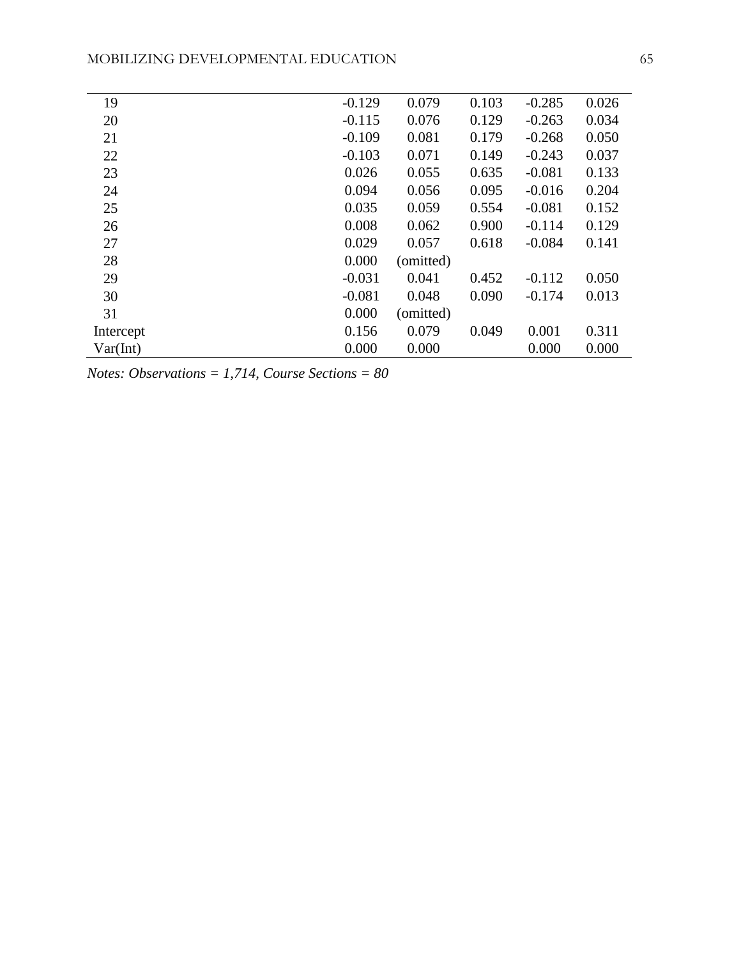| 19        | $-0.129$ | 0.079     | 0.103 | $-0.285$ | 0.026 |
|-----------|----------|-----------|-------|----------|-------|
| 20        | $-0.115$ | 0.076     | 0.129 | $-0.263$ | 0.034 |
| 21        | $-0.109$ | 0.081     | 0.179 | $-0.268$ | 0.050 |
| 22        | $-0.103$ | 0.071     | 0.149 | $-0.243$ | 0.037 |
| 23        | 0.026    | 0.055     | 0.635 | $-0.081$ | 0.133 |
| 24        | 0.094    | 0.056     | 0.095 | $-0.016$ | 0.204 |
| 25        | 0.035    | 0.059     | 0.554 | $-0.081$ | 0.152 |
| 26        | 0.008    | 0.062     | 0.900 | $-0.114$ | 0.129 |
| 27        | 0.029    | 0.057     | 0.618 | $-0.084$ | 0.141 |
| 28        | 0.000    | (omitted) |       |          |       |
| 29        | $-0.031$ | 0.041     | 0.452 | $-0.112$ | 0.050 |
| 30        | $-0.081$ | 0.048     | 0.090 | $-0.174$ | 0.013 |
| 31        | 0.000    | (omitted) |       |          |       |
| Intercept | 0.156    | 0.079     | 0.049 | 0.001    | 0.311 |
| Var(int)  | 0.000    | 0.000     |       | 0.000    | 0.000 |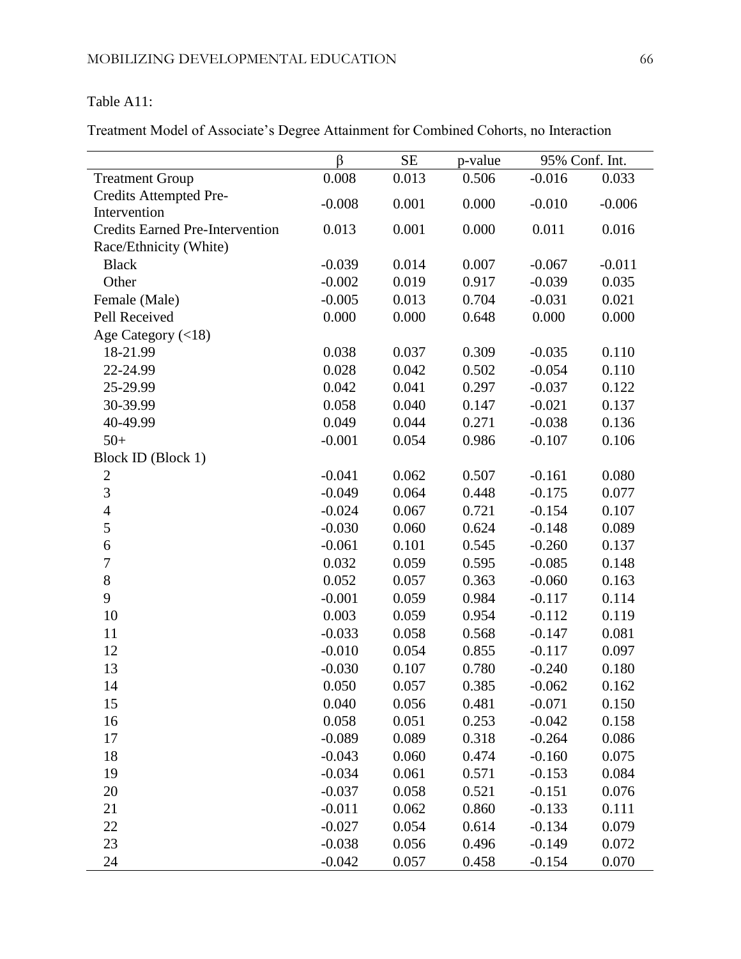#### Table A11:

Treatment Model of Associate's Degree Attainment for Combined Cohorts, no Interaction

|                                        | $\beta$  | SE    | p-value | 95% Conf. Int. |          |
|----------------------------------------|----------|-------|---------|----------------|----------|
| <b>Treatment Group</b>                 | 0.008    | 0.013 | 0.506   | $-0.016$       | 0.033    |
| Credits Attempted Pre-                 | $-0.008$ | 0.001 | 0.000   | $-0.010$       | $-0.006$ |
| Intervention                           |          |       |         |                |          |
| <b>Credits Earned Pre-Intervention</b> | 0.013    | 0.001 | 0.000   | 0.011          | 0.016    |
| Race/Ethnicity (White)                 |          |       |         |                |          |
| <b>Black</b>                           | $-0.039$ | 0.014 | 0.007   | $-0.067$       | $-0.011$ |
| Other                                  | $-0.002$ | 0.019 | 0.917   | $-0.039$       | 0.035    |
| Female (Male)                          | $-0.005$ | 0.013 | 0.704   | $-0.031$       | 0.021    |
| Pell Received                          | 0.000    | 0.000 | 0.648   | 0.000          | 0.000    |
| Age Category $(<18)$                   |          |       |         |                |          |
| 18-21.99                               | 0.038    | 0.037 | 0.309   | $-0.035$       | 0.110    |
| 22-24.99                               | 0.028    | 0.042 | 0.502   | $-0.054$       | 0.110    |
| 25-29.99                               | 0.042    | 0.041 | 0.297   | $-0.037$       | 0.122    |
| 30-39.99                               | 0.058    | 0.040 | 0.147   | $-0.021$       | 0.137    |
| 40-49.99                               | 0.049    | 0.044 | 0.271   | $-0.038$       | 0.136    |
| $50+$                                  | $-0.001$ | 0.054 | 0.986   | $-0.107$       | 0.106    |
| Block ID (Block 1)                     |          |       |         |                |          |
| $\mathbf{2}$                           | $-0.041$ | 0.062 | 0.507   | $-0.161$       | 0.080    |
| $\overline{3}$                         | $-0.049$ | 0.064 | 0.448   | $-0.175$       | 0.077    |
| $\overline{4}$                         | $-0.024$ | 0.067 | 0.721   | $-0.154$       | 0.107    |
| 5                                      | $-0.030$ | 0.060 | 0.624   | $-0.148$       | 0.089    |
| 6                                      | $-0.061$ | 0.101 | 0.545   | $-0.260$       | 0.137    |
| $\boldsymbol{7}$                       | 0.032    | 0.059 | 0.595   | $-0.085$       | 0.148    |
| $\,8$                                  | 0.052    | 0.057 | 0.363   | $-0.060$       | 0.163    |
| 9                                      | $-0.001$ | 0.059 | 0.984   | $-0.117$       | 0.114    |
| 10                                     | 0.003    | 0.059 | 0.954   | $-0.112$       | 0.119    |
| 11                                     | $-0.033$ | 0.058 | 0.568   | $-0.147$       | 0.081    |
| 12                                     | $-0.010$ | 0.054 | 0.855   | $-0.117$       | 0.097    |
| 13                                     | $-0.030$ | 0.107 | 0.780   | $-0.240$       | 0.180    |
| 14                                     | 0.050    | 0.057 | 0.385   | $-0.062$       | 0.162    |
| 15                                     | 0.040    | 0.056 | 0.481   | $-0.071$       | 0.150    |
| 16                                     | 0.058    | 0.051 | 0.253   | $-0.042$       | 0.158    |
| 17                                     | $-0.089$ | 0.089 | 0.318   | $-0.264$       | 0.086    |
| 18                                     | $-0.043$ | 0.060 | 0.474   | $-0.160$       | 0.075    |
| 19                                     | $-0.034$ | 0.061 | 0.571   | $-0.153$       | 0.084    |
| 20                                     | $-0.037$ | 0.058 | 0.521   | $-0.151$       | 0.076    |
| 21                                     | $-0.011$ | 0.062 | 0.860   | $-0.133$       | 0.111    |
| 22                                     | $-0.027$ | 0.054 | 0.614   | $-0.134$       | 0.079    |
| 23                                     | $-0.038$ | 0.056 | 0.496   | $-0.149$       | 0.072    |
| 24                                     | $-0.042$ | 0.057 | 0.458   | $-0.154$       | 0.070    |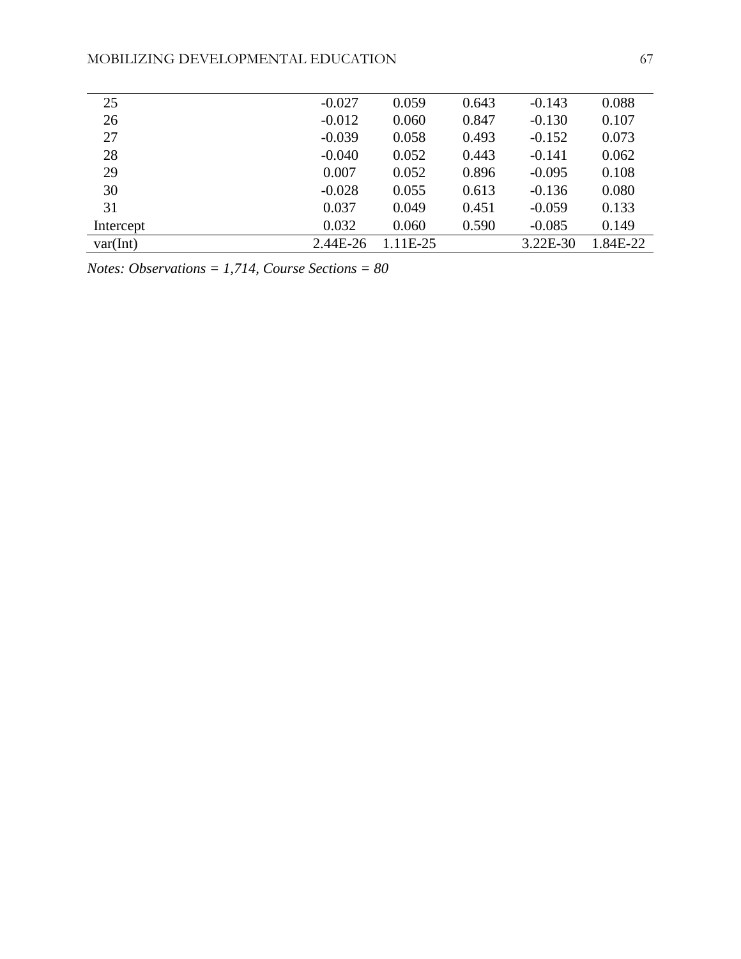| 25        | $-0.027$ | 0.059    | 0.643 | $-0.143$ | 0.088    |
|-----------|----------|----------|-------|----------|----------|
| 26        | $-0.012$ | 0.060    | 0.847 | $-0.130$ | 0.107    |
| 27        | $-0.039$ | 0.058    | 0.493 | $-0.152$ | 0.073    |
| 28        | $-0.040$ | 0.052    | 0.443 | $-0.141$ | 0.062    |
| 29        | 0.007    | 0.052    | 0.896 | $-0.095$ | 0.108    |
| 30        | $-0.028$ | 0.055    | 0.613 | $-0.136$ | 0.080    |
| 31        | 0.037    | 0.049    | 0.451 | $-0.059$ | 0.133    |
| Intercept | 0.032    | 0.060    | 0.590 | $-0.085$ | 0.149    |
| var(int)  | 2.44E-26 | 1.11E-25 |       | 3.22E-30 | 1.84E-22 |
|           |          |          |       |          |          |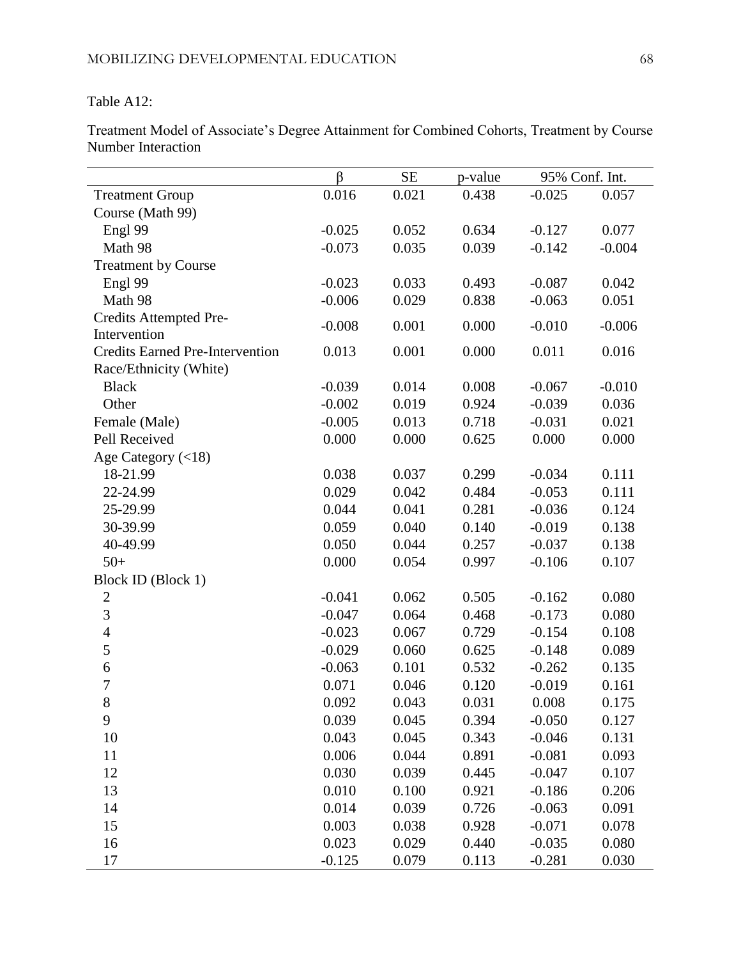#### Table A12:

Treatment Model of Associate's Degree Attainment for Combined Cohorts, Treatment by Course Number Interaction

|                                        | $\beta$  | SE    | p-value | 95% Conf. Int. |          |
|----------------------------------------|----------|-------|---------|----------------|----------|
| <b>Treatment Group</b>                 | 0.016    | 0.021 | 0.438   | $-0.025$       | 0.057    |
| Course (Math 99)                       |          |       |         |                |          |
| Engl 99                                | $-0.025$ | 0.052 | 0.634   | $-0.127$       | 0.077    |
| Math 98                                | $-0.073$ | 0.035 | 0.039   | $-0.142$       | $-0.004$ |
| <b>Treatment by Course</b>             |          |       |         |                |          |
| Engl 99                                | $-0.023$ | 0.033 | 0.493   | $-0.087$       | 0.042    |
| Math 98                                | $-0.006$ | 0.029 | 0.838   | $-0.063$       | 0.051    |
| Credits Attempted Pre-                 | $-0.008$ | 0.001 | 0.000   | $-0.010$       | $-0.006$ |
| Intervention                           |          |       |         |                |          |
| <b>Credits Earned Pre-Intervention</b> | 0.013    | 0.001 | 0.000   | 0.011          | 0.016    |
| Race/Ethnicity (White)                 |          |       |         |                |          |
| <b>Black</b>                           | $-0.039$ | 0.014 | 0.008   | $-0.067$       | $-0.010$ |
| Other                                  | $-0.002$ | 0.019 | 0.924   | $-0.039$       | 0.036    |
| Female (Male)                          | $-0.005$ | 0.013 | 0.718   | $-0.031$       | 0.021    |
| Pell Received                          | 0.000    | 0.000 | 0.625   | 0.000          | 0.000    |
| Age Category $(<18)$                   |          |       |         |                |          |
| 18-21.99                               | 0.038    | 0.037 | 0.299   | $-0.034$       | 0.111    |
| 22-24.99                               | 0.029    | 0.042 | 0.484   | $-0.053$       | 0.111    |
| 25-29.99                               | 0.044    | 0.041 | 0.281   | $-0.036$       | 0.124    |
| 30-39.99                               | 0.059    | 0.040 | 0.140   | $-0.019$       | 0.138    |
| 40-49.99                               | 0.050    | 0.044 | 0.257   | $-0.037$       | 0.138    |
| $50+$                                  | 0.000    | 0.054 | 0.997   | $-0.106$       | 0.107    |
| Block ID (Block 1)                     |          |       |         |                |          |
| $\overline{2}$                         | $-0.041$ | 0.062 | 0.505   | $-0.162$       | 0.080    |
| 3                                      | $-0.047$ | 0.064 | 0.468   | $-0.173$       | 0.080    |
| $\overline{4}$                         | $-0.023$ | 0.067 | 0.729   | $-0.154$       | 0.108    |
| 5                                      | $-0.029$ | 0.060 | 0.625   | $-0.148$       | 0.089    |
| $\boldsymbol{6}$                       | $-0.063$ | 0.101 | 0.532   | $-0.262$       | 0.135    |
| $\overline{7}$                         | 0.071    | 0.046 | 0.120   | $-0.019$       | 0.161    |
| 8                                      | 0.092    | 0.043 | 0.031   | 0.008          | 0.175    |
| 9                                      | 0.039    | 0.045 | 0.394   | $-0.050$       | 0.127    |
| 10                                     | 0.043    | 0.045 | 0.343   | $-0.046$       | 0.131    |
| 11                                     | 0.006    | 0.044 | 0.891   | $-0.081$       | 0.093    |
| 12                                     | 0.030    | 0.039 | 0.445   | $-0.047$       | 0.107    |
| 13                                     | 0.010    | 0.100 | 0.921   | $-0.186$       | 0.206    |
| 14                                     | 0.014    | 0.039 | 0.726   | $-0.063$       | 0.091    |
| 15                                     | 0.003    | 0.038 | 0.928   | $-0.071$       | 0.078    |
| 16                                     | 0.023    | 0.029 | 0.440   | $-0.035$       | 0.080    |
| 17                                     | $-0.125$ | 0.079 | 0.113   | $-0.281$       | 0.030    |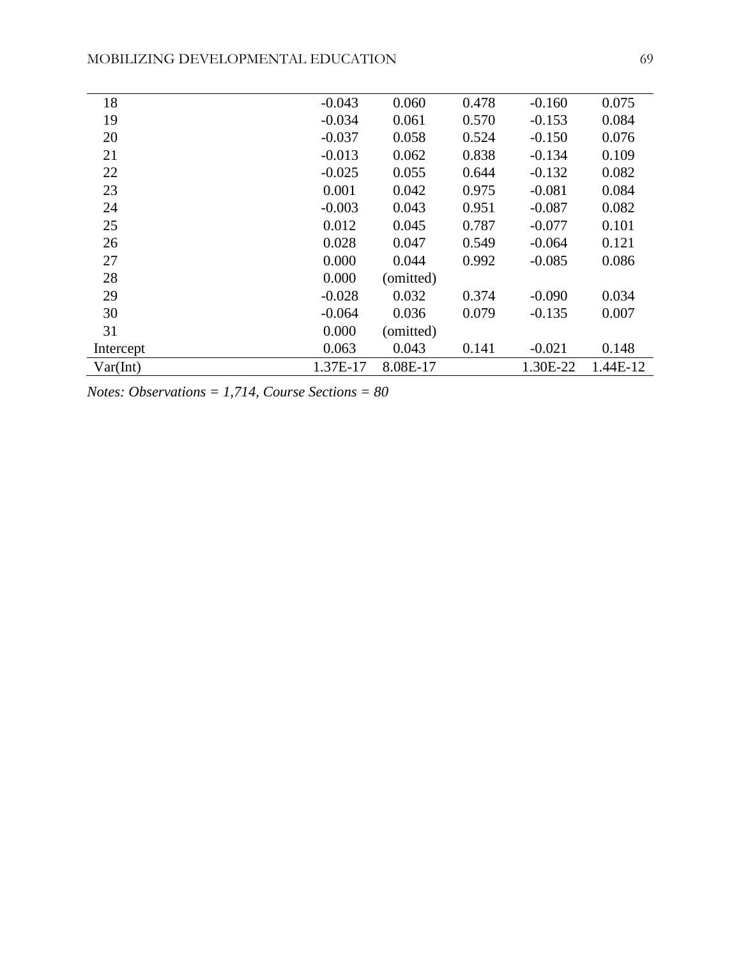| 18        | $-0.043$ | 0.060     | 0.478 | $-0.160$ | 0.075    |
|-----------|----------|-----------|-------|----------|----------|
| 19        | $-0.034$ | 0.061     | 0.570 | $-0.153$ | 0.084    |
| 20        | $-0.037$ | 0.058     | 0.524 | $-0.150$ | 0.076    |
| 21        | $-0.013$ | 0.062     | 0.838 | $-0.134$ | 0.109    |
| 22        | $-0.025$ | 0.055     | 0.644 | $-0.132$ | 0.082    |
| 23        | 0.001    | 0.042     | 0.975 | $-0.081$ | 0.084    |
| 24        | $-0.003$ | 0.043     | 0.951 | $-0.087$ | 0.082    |
| 25        | 0.012    | 0.045     | 0.787 | $-0.077$ | 0.101    |
| 26        | 0.028    | 0.047     | 0.549 | $-0.064$ | 0.121    |
| 27        | 0.000    | 0.044     | 0.992 | $-0.085$ | 0.086    |
| 28        | 0.000    | (omitted) |       |          |          |
| 29        | $-0.028$ | 0.032     | 0.374 | $-0.090$ | 0.034    |
| 30        | $-0.064$ | 0.036     | 0.079 | $-0.135$ | 0.007    |
| 31        | 0.000    | (omitted) |       |          |          |
| Intercept | 0.063    | 0.043     | 0.141 | $-0.021$ | 0.148    |
| Var(int)  | 1.37E-17 | 8.08E-17  |       | 1.30E-22 | 1.44E-12 |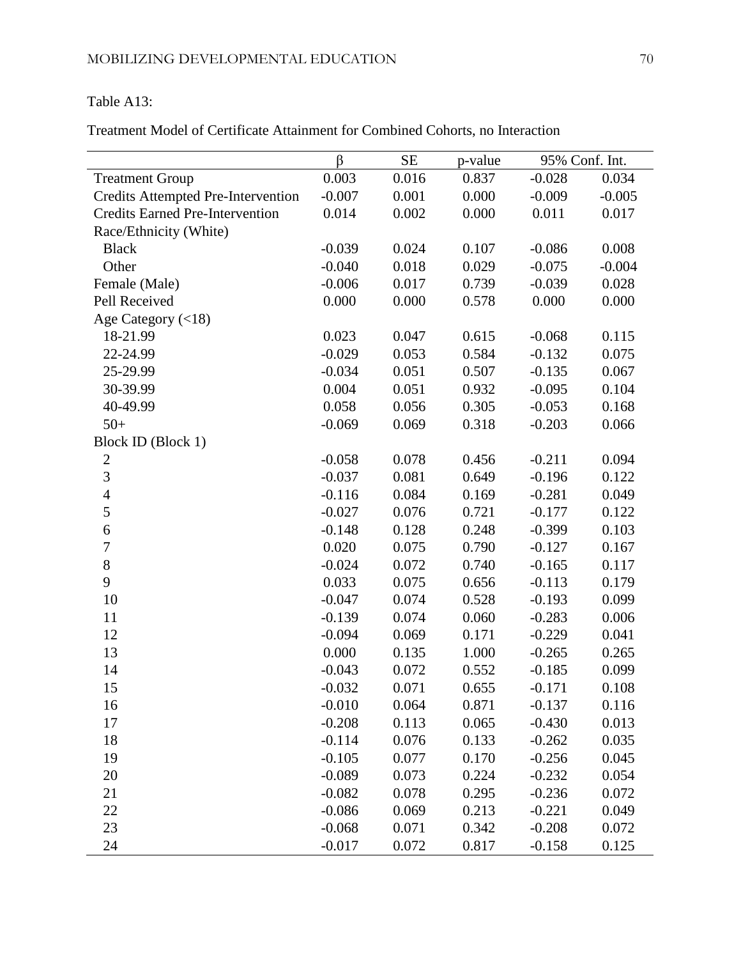# Table A13:

Treatment Model of Certificate Attainment for Combined Cohorts, no Interaction

|                                           | β        | <b>SE</b> | p-value | 95% Conf. Int. |          |
|-------------------------------------------|----------|-----------|---------|----------------|----------|
| <b>Treatment Group</b>                    | 0.003    | 0.016     | 0.837   | $-0.028$       | 0.034    |
| <b>Credits Attempted Pre-Intervention</b> | $-0.007$ | 0.001     | 0.000   | $-0.009$       | $-0.005$ |
| <b>Credits Earned Pre-Intervention</b>    | 0.014    | 0.002     | 0.000   | 0.011          | 0.017    |
| Race/Ethnicity (White)                    |          |           |         |                |          |
| <b>Black</b>                              | $-0.039$ | 0.024     | 0.107   | $-0.086$       | 0.008    |
| Other                                     | $-0.040$ | 0.018     | 0.029   | $-0.075$       | $-0.004$ |
| Female (Male)                             | $-0.006$ | 0.017     | 0.739   | $-0.039$       | 0.028    |
| Pell Received                             | 0.000    | 0.000     | 0.578   | 0.000          | 0.000    |
| Age Category $(<18)$                      |          |           |         |                |          |
| 18-21.99                                  | 0.023    | 0.047     | 0.615   | $-0.068$       | 0.115    |
| 22-24.99                                  | $-0.029$ | 0.053     | 0.584   | $-0.132$       | 0.075    |
| 25-29.99                                  | $-0.034$ | 0.051     | 0.507   | $-0.135$       | 0.067    |
| 30-39.99                                  | 0.004    | 0.051     | 0.932   | $-0.095$       | 0.104    |
| 40-49.99                                  | 0.058    | 0.056     | 0.305   | $-0.053$       | 0.168    |
| $50+$                                     | $-0.069$ | 0.069     | 0.318   | $-0.203$       | 0.066    |
| Block ID (Block 1)                        |          |           |         |                |          |
| $\overline{c}$                            | $-0.058$ | 0.078     | 0.456   | $-0.211$       | 0.094    |
| $\overline{3}$                            | $-0.037$ | 0.081     | 0.649   | $-0.196$       | 0.122    |
| $\overline{4}$                            | $-0.116$ | 0.084     | 0.169   | $-0.281$       | 0.049    |
| 5                                         | $-0.027$ | 0.076     | 0.721   | $-0.177$       | 0.122    |
| 6                                         | $-0.148$ | 0.128     | 0.248   | $-0.399$       | 0.103    |
| $\boldsymbol{7}$                          | 0.020    | 0.075     | 0.790   | $-0.127$       | 0.167    |
| 8                                         | $-0.024$ | 0.072     | 0.740   | $-0.165$       | 0.117    |
| 9                                         | 0.033    | 0.075     | 0.656   | $-0.113$       | 0.179    |
| 10                                        | $-0.047$ | 0.074     | 0.528   | $-0.193$       | 0.099    |
| 11                                        | $-0.139$ | 0.074     | 0.060   | $-0.283$       | 0.006    |
| 12                                        | $-0.094$ | 0.069     | 0.171   | $-0.229$       | 0.041    |
| 13                                        | 0.000    | 0.135     | 1.000   | $-0.265$       | 0.265    |
| 14                                        | $-0.043$ | 0.072     | 0.552   | $-0.185$       | 0.099    |
| 15                                        | $-0.032$ | 0.071     | 0.655   | $-0.171$       | 0.108    |
| 16                                        | $-0.010$ | 0.064     | 0.871   | $-0.137$       | 0.116    |
| 17                                        | $-0.208$ | 0.113     | 0.065   | $-0.430$       | 0.013    |
| 18                                        | $-0.114$ | 0.076     | 0.133   | $-0.262$       | 0.035    |
| 19                                        | $-0.105$ | 0.077     | 0.170   | $-0.256$       | 0.045    |
| 20                                        | $-0.089$ | 0.073     | 0.224   | $-0.232$       | 0.054    |
| 21                                        | $-0.082$ | 0.078     | 0.295   | $-0.236$       | 0.072    |
| 22                                        | $-0.086$ | 0.069     | 0.213   | $-0.221$       | 0.049    |
| 23                                        | $-0.068$ | 0.071     | 0.342   | $-0.208$       | 0.072    |
| 24                                        | $-0.017$ | 0.072     | 0.817   | $-0.158$       | 0.125    |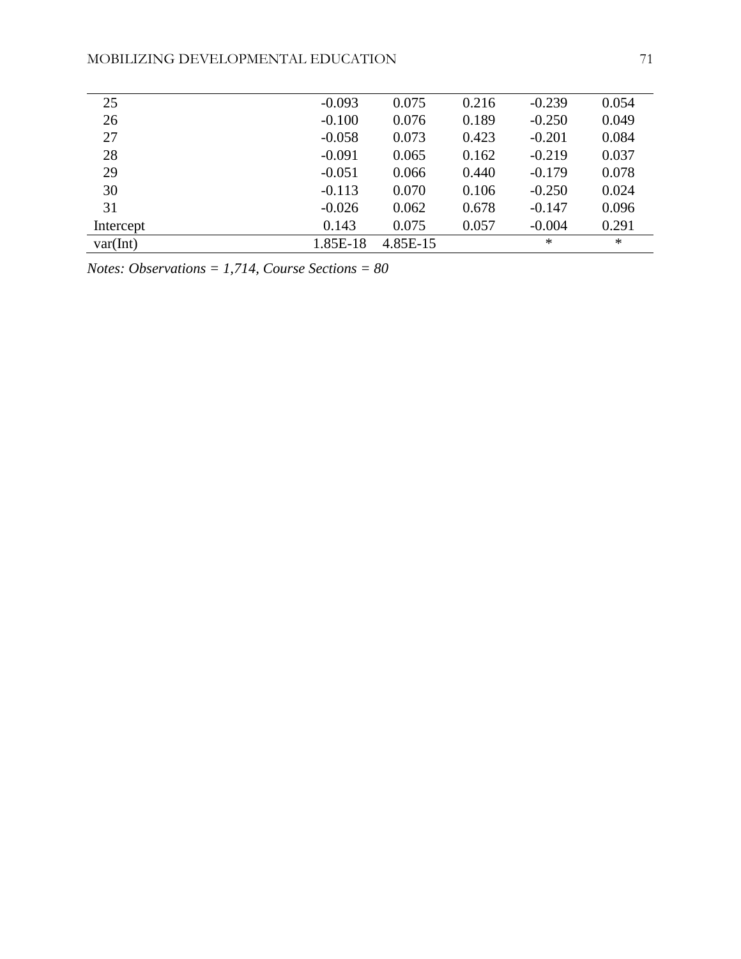| 25        | $-0.093$ | 0.075    | 0.216 | $-0.239$ | 0.054  |
|-----------|----------|----------|-------|----------|--------|
| 26        | $-0.100$ | 0.076    | 0.189 | $-0.250$ | 0.049  |
| 27        | $-0.058$ | 0.073    | 0.423 | $-0.201$ | 0.084  |
| 28        | $-0.091$ | 0.065    | 0.162 | $-0.219$ | 0.037  |
| 29        | $-0.051$ | 0.066    | 0.440 | $-0.179$ | 0.078  |
| 30        | $-0.113$ | 0.070    | 0.106 | $-0.250$ | 0.024  |
| 31        | $-0.026$ | 0.062    | 0.678 | $-0.147$ | 0.096  |
| Intercept | 0.143    | 0.075    | 0.057 | $-0.004$ | 0.291  |
| var(int)  | 1.85E-18 | 4.85E-15 |       | $\ast$   | $\ast$ |
|           |          |          |       |          |        |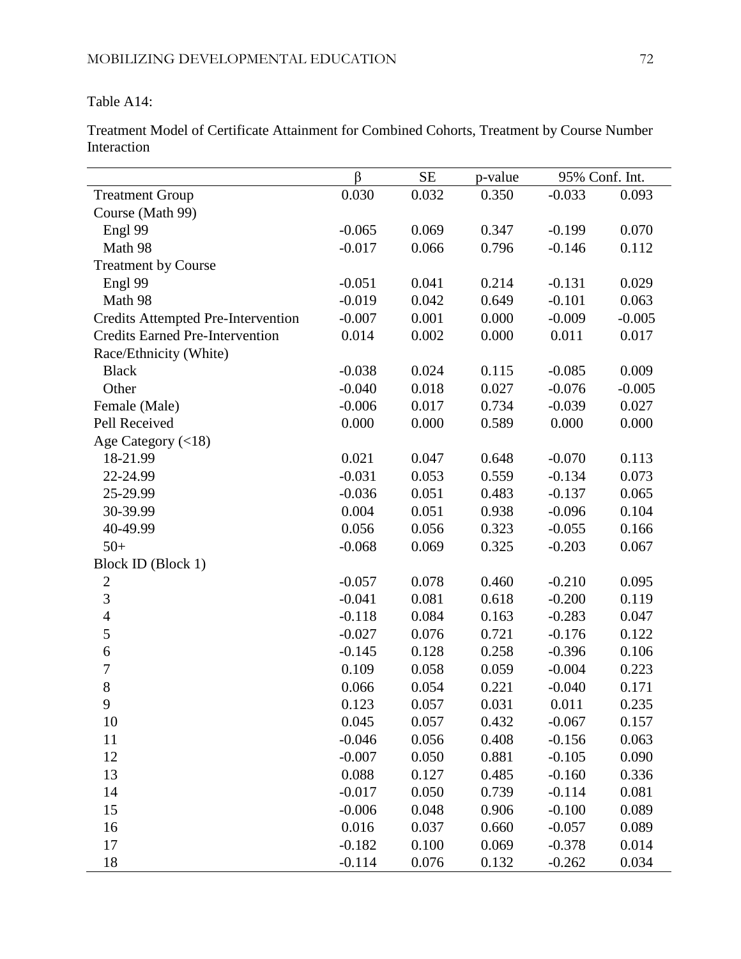Table A14:

Treatment Model of Certificate Attainment for Combined Cohorts, Treatment by Course Number Interaction

|                                           | $\beta$  | $\rm SE$ | p-value | 95% Conf. Int. |          |
|-------------------------------------------|----------|----------|---------|----------------|----------|
| <b>Treatment Group</b>                    | 0.030    | 0.032    | 0.350   | $-0.033$       | 0.093    |
| Course (Math 99)                          |          |          |         |                |          |
| Engl 99                                   | $-0.065$ | 0.069    | 0.347   | $-0.199$       | 0.070    |
| Math 98                                   | $-0.017$ | 0.066    | 0.796   | $-0.146$       | 0.112    |
| <b>Treatment by Course</b>                |          |          |         |                |          |
| Engl 99                                   | $-0.051$ | 0.041    | 0.214   | $-0.131$       | 0.029    |
| Math 98                                   | $-0.019$ | 0.042    | 0.649   | $-0.101$       | 0.063    |
| <b>Credits Attempted Pre-Intervention</b> | $-0.007$ | 0.001    | 0.000   | $-0.009$       | $-0.005$ |
| <b>Credits Earned Pre-Intervention</b>    | 0.014    | 0.002    | 0.000   | 0.011          | 0.017    |
| Race/Ethnicity (White)                    |          |          |         |                |          |
| <b>Black</b>                              | $-0.038$ | 0.024    | 0.115   | $-0.085$       | 0.009    |
| Other                                     | $-0.040$ | 0.018    | 0.027   | $-0.076$       | $-0.005$ |
| Female (Male)                             | $-0.006$ | 0.017    | 0.734   | $-0.039$       | 0.027    |
| Pell Received                             | 0.000    | 0.000    | 0.589   | 0.000          | 0.000    |
| Age Category $(<18)$                      |          |          |         |                |          |
| 18-21.99                                  | 0.021    | 0.047    | 0.648   | $-0.070$       | 0.113    |
| 22-24.99                                  | $-0.031$ | 0.053    | 0.559   | $-0.134$       | 0.073    |
| 25-29.99                                  | $-0.036$ | 0.051    | 0.483   | $-0.137$       | 0.065    |
| 30-39.99                                  | 0.004    | 0.051    | 0.938   | $-0.096$       | 0.104    |
| 40-49.99                                  | 0.056    | 0.056    | 0.323   | $-0.055$       | 0.166    |
| $50+$                                     | $-0.068$ | 0.069    | 0.325   | $-0.203$       | 0.067    |
| Block ID (Block 1)                        |          |          |         |                |          |
| $\overline{2}$                            | $-0.057$ | 0.078    | 0.460   | $-0.210$       | 0.095    |
| $\overline{3}$                            | $-0.041$ | 0.081    | 0.618   | $-0.200$       | 0.119    |
| $\overline{4}$                            | $-0.118$ | 0.084    | 0.163   | $-0.283$       | 0.047    |
| 5                                         | $-0.027$ | 0.076    | 0.721   | $-0.176$       | 0.122    |
| 6                                         | $-0.145$ | 0.128    | 0.258   | $-0.396$       | 0.106    |
| $\boldsymbol{7}$                          | 0.109    | 0.058    | 0.059   | $-0.004$       | 0.223    |
| 8                                         | 0.066    | 0.054    | 0.221   | $-0.040$       | 0.171    |
| 9                                         | 0.123    | 0.057    | 0.031   | 0.011          | 0.235    |
| 10                                        | 0.045    | 0.057    | 0.432   | $-0.067$       | 0.157    |
| 11                                        | $-0.046$ | 0.056    | 0.408   | $-0.156$       | 0.063    |
| 12                                        | $-0.007$ | 0.050    | 0.881   | $-0.105$       | 0.090    |
| 13                                        | 0.088    | 0.127    | 0.485   | $-0.160$       | 0.336    |
| 14                                        | $-0.017$ | 0.050    | 0.739   | $-0.114$       | 0.081    |
| 15                                        | $-0.006$ | 0.048    | 0.906   | $-0.100$       | 0.089    |
| 16                                        | 0.016    | 0.037    | 0.660   | $-0.057$       | 0.089    |
| 17                                        | $-0.182$ | 0.100    | 0.069   | $-0.378$       | 0.014    |
| 18                                        | $-0.114$ | 0.076    | 0.132   | $-0.262$       | 0.034    |